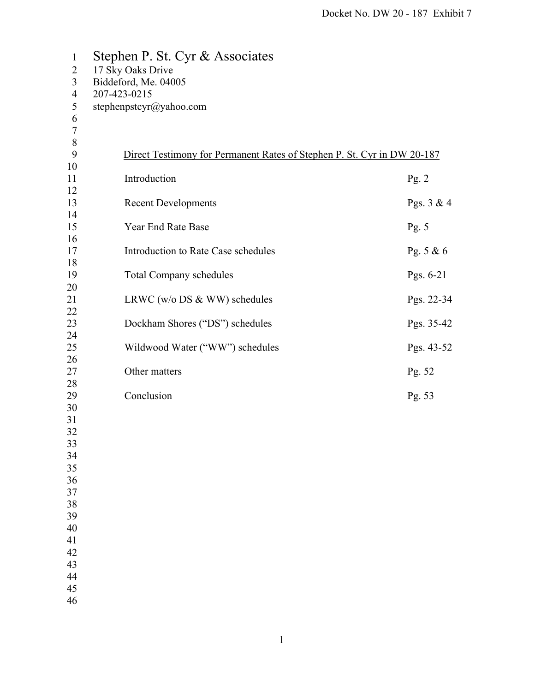| $\mathbf{1}$   | Stephen P. St. Cyr & Associates                                         |             |  |  |
|----------------|-------------------------------------------------------------------------|-------------|--|--|
| 2              | 17 Sky Oaks Drive                                                       |             |  |  |
| 3              | Biddeford, Me. 04005                                                    |             |  |  |
| $\overline{4}$ | 207-423-0215                                                            |             |  |  |
| 5              | stephenpstcyr@yahoo.com                                                 |             |  |  |
| 6              |                                                                         |             |  |  |
| $\tau$         |                                                                         |             |  |  |
| 8              |                                                                         |             |  |  |
| 9              | Direct Testimony for Permanent Rates of Stephen P. St. Cyr in DW 20-187 |             |  |  |
| 10             | Introduction                                                            |             |  |  |
| 11<br>12       |                                                                         | Pg. 2       |  |  |
| 13             | <b>Recent Developments</b>                                              | Pgs. 3 & 4  |  |  |
| 14             |                                                                         |             |  |  |
| 15             | Year End Rate Base                                                      | Pg. $5$     |  |  |
| 16             |                                                                         |             |  |  |
| 17             | Introduction to Rate Case schedules                                     | Pg. 5 & 6   |  |  |
| 18             |                                                                         |             |  |  |
| 19             | <b>Total Company schedules</b>                                          | Pgs. $6-21$ |  |  |
| 20             |                                                                         |             |  |  |
| 21             | LRWC ( $w/o$ DS & WW) schedules                                         | Pgs. 22-34  |  |  |
| 22             |                                                                         |             |  |  |
| 23<br>24       | Dockham Shores ("DS") schedules                                         | Pgs. 35-42  |  |  |
| 25             | Wildwood Water ("WW") schedules                                         | Pgs. 43-52  |  |  |
| 26             |                                                                         |             |  |  |
| 27             | Other matters                                                           | Pg. 52      |  |  |
| 28             |                                                                         |             |  |  |
| 29             | Conclusion                                                              | Pg. 53      |  |  |
| 30             |                                                                         |             |  |  |
| 31             |                                                                         |             |  |  |
| 32             |                                                                         |             |  |  |
| 33             |                                                                         |             |  |  |
| 34<br>35       |                                                                         |             |  |  |
| 36             |                                                                         |             |  |  |
| 37             |                                                                         |             |  |  |
| 38             |                                                                         |             |  |  |
| 39             |                                                                         |             |  |  |
| 40             |                                                                         |             |  |  |
| 41             |                                                                         |             |  |  |
| 42             |                                                                         |             |  |  |
| 43             |                                                                         |             |  |  |
| 44             |                                                                         |             |  |  |
| 45             |                                                                         |             |  |  |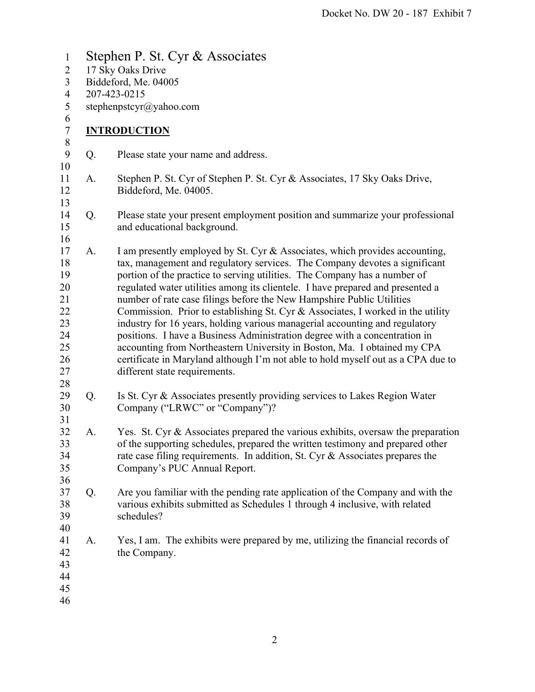1 Stephen P. St. Cyr & Associates 2 17 Sky Oaks Drive 3 Biddeford, Me. 04005 4 207-423-0215 5 stephenpstcyr@yahoo.com 6 7 **INTRODUCTION**  8 9 Q. Please state your name and address. 10 11 A. Stephen P. St. Cyr of Stephen P. St. Cyr & Associates, 17 Sky Oaks Drive, 12 Biddeford, Me. 04005. 13 14 Q. Please state your present employment position and summarize your professional 15 and educational background. 16 17 A. I am presently employed by St. Cyr & Associates, which provides accounting, 18 tax, management and regulatory services. The Company devotes a significant 19 portion of the practice to serving utilities. The Company has a number of 20 regulated water utilities among its clientele. I have prepared and presented a 21 number of rate case filings before the New Hampshire Public Utilities 22 Commission. Prior to establishing St. Cyr & Associates, I worked in the utility 23 industry for 16 years, holding various managerial accounting and regulatory 24 positions. I have a Business Administration degree with a concentration in 25 accounting from Northeastern University in Boston, Ma. I obtained my CPA 26 certificate in Maryland although I'm not able to hold myself out as a CPA due to 27 different state requirements. 28 29 Q. Is St. Cyr & Associates presently providing services to Lakes Region Water 30 Company ("LRWC" or "Company")? 31 32 A. Yes. St. Cyr & Associates prepared the various exhibits, oversaw the preparation 33 of the supporting schedules, prepared the written testimony and prepared other 34 rate case filing requirements. In addition, St. Cyr & Associates prepares the 35 Company's PUC Annual Report. 36 37 Q. Are you familiar with the pending rate application of the Company and with the 38 various exhibits submitted as Schedules 1 through 4 inclusive, with related 39 schedules? 40 41 A. Yes, I am. The exhibits were prepared by me, utilizing the financial records of 42 the Company. 43 44 45 46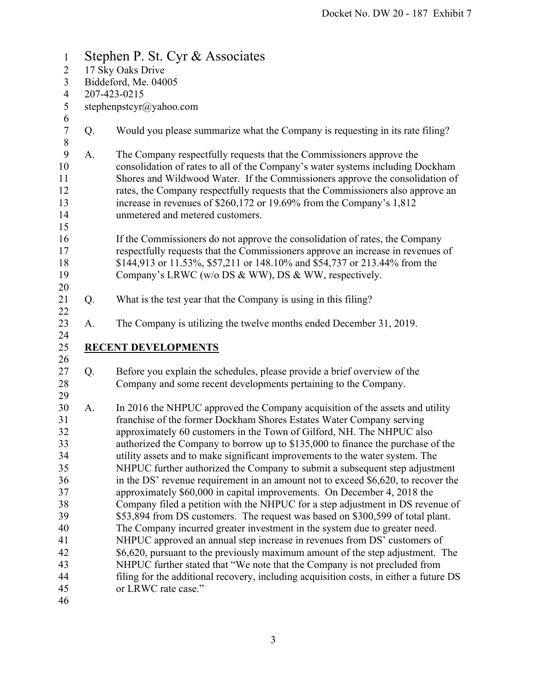1 Stephen P. St. Cyr & Associates 2 17 Sky Oaks Drive 3 Biddeford, Me. 04005 4 207-423-0215 5 stephenpstcyr@yahoo.com 6 7 Q. Would you please summarize what the Company is requesting in its rate filing? 8 9 A. The Company respectfully requests that the Commissioners approve the 10 consolidation of rates to all of the Company's water systems including Dockham 11 Shores and Wildwood Water. If the Commissioners approve the consolidation of 12 rates, the Company respectfully requests that the Commissioners also approve an 13 increase in revenues of \$260,172 or 19.69% from the Company's 1,812 14 unmetered and metered customers. 15 16 If the Commissioners do not approve the consolidation of rates, the Company 17 respectfully requests that the Commissioners approve an increase in revenues of 18 \$144,913 or 11.53%, \$57,211 or 148.10% and \$54,737 or 213.44% from the 19 Company's LRWC (w/o DS & WW), DS & WW, respectively. 20 21 Q. What is the test year that the Company is using in this filing? 22 23 A. The Company is utilizing the twelve months ended December 31, 2019. 24 25 **RECENT DEVELOPMENTS**  26 27 Q. Before you explain the schedules, please provide a brief overview of the 28 Company and some recent developments pertaining to the Company. 29 30 A. In 2016 the NHPUC approved the Company acquisition of the assets and utility 31 franchise of the former Dockham Shores Estates Water Company serving 32 approximately 60 customers in the Town of Gilford, NH. The NHPUC also 33 authorized the Company to borrow up to \$135,000 to finance the purchase of the 34 utility assets and to make significant improvements to the water system. The 35 NHPUC further authorized the Company to submit a subsequent step adjustment 36 in the DS' revenue requirement in an amount not to exceed \$6,620, to recover the 37 approximately \$60,000 in capital improvements. On December 4, 2018 the 38 Company filed a petition with the NHPUC for a step adjustment in DS revenue of 39 \$53,894 from DS customers. The request was based on \$300,599 of total plant. 40 The Company incurred greater investment in the system due to greater need. 41 NHPUC approved an annual step increase in revenues from DS' customers of 42 \$6,620, pursuant to the previously maximum amount of the step adjustment. The 43 NHPUC further stated that "We note that the Company is not precluded from 44 filing for the additional recovery, including acquisition costs, in either a future DS 45 or LRWC rate case." 46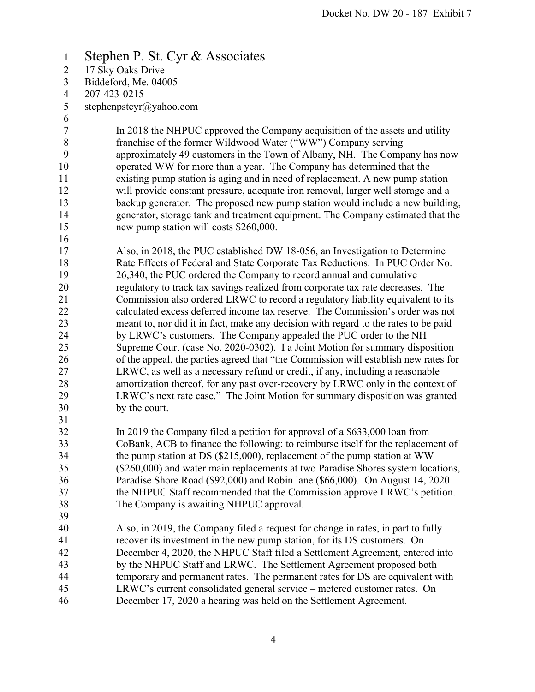## 1 Stephen P. St. Cyr & Associates

- 2 17 Sky Oaks Drive
- 3 Biddeford, Me. 04005
- 4 207-423-0215
- 5 stephenpstcyr@yahoo.com
- 6

16

7 In 2018 the NHPUC approved the Company acquisition of the assets and utility 8 franchise of the former Wildwood Water ("WW") Company serving 9 approximately 49 customers in the Town of Albany, NH. The Company has now 10 operated WW for more than a year. The Company has determined that the 11 existing pump station is aging and in need of replacement. A new pump station 12 will provide constant pressure, adequate iron removal, larger well storage and a 13 backup generator. The proposed new pump station would include a new building, 14 generator, storage tank and treatment equipment. The Company estimated that the 15 new pump station will costs \$260,000.

- 17 Also, in 2018, the PUC established DW 18-056, an Investigation to Determine 18 Rate Effects of Federal and State Corporate Tax Reductions. In PUC Order No. 19 26,340, the PUC ordered the Company to record annual and cumulative 20 regulatory to track tax savings realized from corporate tax rate decreases. The 21 Commission also ordered LRWC to record a regulatory liability equivalent to its 22 calculated excess deferred income tax reserve. The Commission's order was not 23 meant to, nor did it in fact, make any decision with regard to the rates to be paid 24 by LRWC's customers. The Company appealed the PUC order to the NH 25 Supreme Court (case No. 2020-0302). I a Joint Motion for summary disposition 26 of the appeal, the parties agreed that "the Commission will establish new rates for 27 LRWC, as well as a necessary refund or credit, if any, including a reasonable 28 amortization thereof, for any past over-recovery by LRWC only in the context of 29 LRWC's next rate case." The Joint Motion for summary disposition was granted 30 by the court.
- 31

39

- 32 In 2019 the Company filed a petition for approval of a \$633,000 loan from 33 CoBank, ACB to finance the following: to reimburse itself for the replacement of 34 the pump station at DS (\$215,000), replacement of the pump station at WW 35 (\$260,000) and water main replacements at two Paradise Shores system locations, 36 Paradise Shore Road (\$92,000) and Robin lane (\$66,000). On August 14, 2020 37 the NHPUC Staff recommended that the Commission approve LRWC's petition. 38 The Company is awaiting NHPUC approval.
- 40 Also, in 2019, the Company filed a request for change in rates, in part to fully 41 recover its investment in the new pump station, for its DS customers. On 42 December 4, 2020, the NHPUC Staff filed a Settlement Agreement, entered into 43 by the NHPUC Staff and LRWC. The Settlement Agreement proposed both 44 temporary and permanent rates. The permanent rates for DS are equivalent with 45 LRWC's current consolidated general service – metered customer rates. On 46 December 17, 2020 a hearing was held on the Settlement Agreement.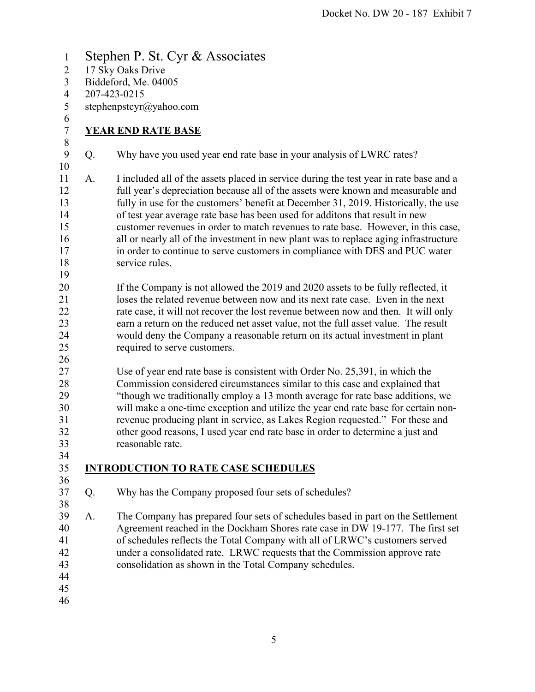- 1 Stephen P. St. Cyr & Associates 2 17 Sky Oaks Drive 3 Biddeford, Me. 04005 4 207-423-0215 5 stephenpstcyr@yahoo.com 6 7 **YEAR END RATE BASE**  8 9 Q. Why have you used year end rate base in your analysis of LWRC rates? 10 11 A. I included all of the assets placed in service during the test year in rate base and a 12 full year's depreciation because all of the assets were known and measurable and 13 fully in use for the customers' benefit at December 31, 2019. Historically, the use 14 of test year average rate base has been used for additons that result in new 15 customer revenues in order to match revenues to rate base. However, in this case, 16 all or nearly all of the investment in new plant was to replace aging infrastructure 17 in order to continue to serve customers in compliance with DES and PUC water 18 service rules. 19 20 If the Company is not allowed the 2019 and 2020 assets to be fully reflected, it 21 loses the related revenue between now and its next rate case. Even in the next 22 rate case, it will not recover the lost revenue between now and then. It will only 23 earn a return on the reduced net asset value, not the full asset value. The result 24 would deny the Company a reasonable return on its actual investment in plant 25 required to serve customers. 26 27 Use of year end rate base is consistent with Order No. 25,391, in which the 28 Commission considered circumstances similar to this case and explained that 29 "though we traditionally employ a 13 month average for rate base additions, we 30 will make a one-time exception and utilize the year end rate base for certain non-31 revenue producing plant in service, as Lakes Region requested." For these and 32 other good reasons, I used year end rate base in order to determine a just and 33 reasonable rate. 34 35 **INTRODUCTION TO RATE CASE SCHEDULES**  36 37 Q. Why has the Company proposed four sets of schedules? 38 39 A. The Company has prepared four sets of schedules based in part on the Settlement
- 40 Agreement reached in the Dockham Shores rate case in DW 19-177. The first set 41 of schedules reflects the Total Company with all of LRWC's customers served 42 under a consolidated rate. LRWC requests that the Commission approve rate 43 consolidation as shown in the Total Company schedules.
- 44
- 45
- 46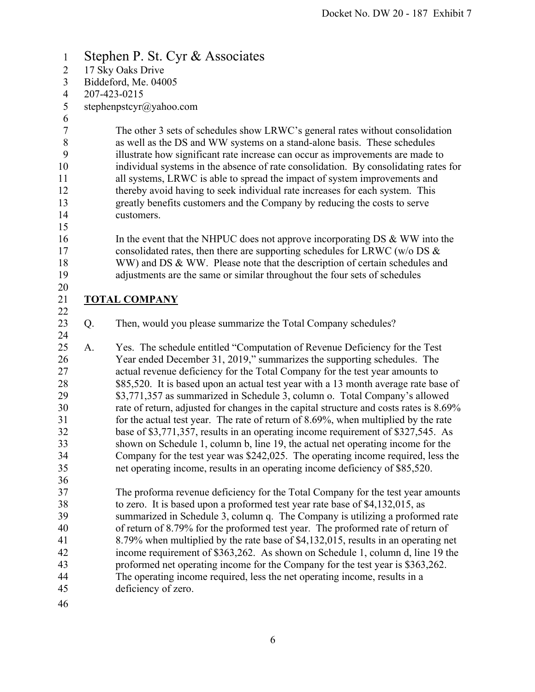## 1 Stephen P. St. Cyr & Associates 2 17 Sky Oaks Drive 3 Biddeford, Me. 04005 4 207-423-0215 5 stephenpstcyr@yahoo.com 6 7 The other 3 sets of schedules show LRWC's general rates without consolidation 8 as well as the DS and WW systems on a stand-alone basis. These schedules 9 illustrate how significant rate increase can occur as improvements are made to 10 individual systems in the absence of rate consolidation. By consolidating rates for 11 all systems, LRWC is able to spread the impact of system improvements and 12 thereby avoid having to seek individual rate increases for each system. This 13 greatly benefits customers and the Company by reducing the costs to serve 14 customers. 15 16 In the event that the NHPUC does not approve incorporating DS & WW into the 17 consolidated rates, then there are supporting schedules for LRWC (w/o DS & 18 WW) and DS & WW. Please note that the description of certain schedules and 19 adjustments are the same or similar throughout the four sets of schedules 20 21 **TOTAL COMPANY**  22 23 Q. Then, would you please summarize the Total Company schedules? 24 25 A. Yes. The schedule entitled "Computation of Revenue Deficiency for the Test 26 Year ended December 31, 2019," summarizes the supporting schedules. The 27 actual revenue deficiency for the Total Company for the test year amounts to 28 \$85,520. It is based upon an actual test year with a 13 month average rate base of 29 \$3,771,357 as summarized in Schedule 3, column o. Total Company's allowed 30 rate of return, adjusted for changes in the capital structure and costs rates is 8.69% 31 for the actual test year. The rate of return of 8.69%, when multiplied by the rate 32 base of \$3,771,357, results in an operating income requirement of \$327,545. As 33 shown on Schedule 1, column b, line 19, the actual net operating income for the 34 Company for the test year was \$242,025. The operating income required, less the 35 net operating income, results in an operating income deficiency of \$85,520. 36 37 The proforma revenue deficiency for the Total Company for the test year amounts 38 to zero. It is based upon a proformed test year rate base of \$4,132,015, as 39 summarized in Schedule 3, column q. The Company is utilizing a proformed rate 40 of return of 8.79% for the proformed test year. The proformed rate of return of 41 8.79% when multiplied by the rate base of \$4,132,015, results in an operating net 42 income requirement of \$363,262. As shown on Schedule 1, column d, line 19 the 43 proformed net operating income for the Company for the test year is \$363,262. 44 The operating income required, less the net operating income, results in a 45 deficiency of zero. 46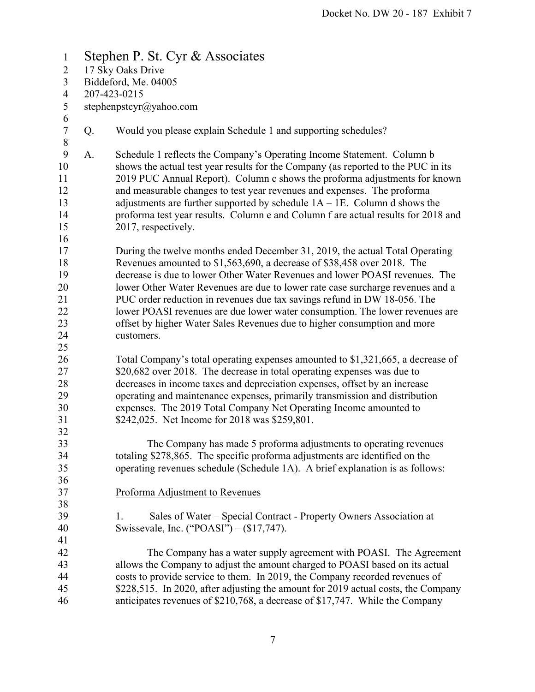| $\mathbf{1}$                          | Stephen P. St. Cyr & Associates |                                                                                                                                                                                                                                                                                                                                                                                                                                                                                                                  |  |  |  |  |
|---------------------------------------|---------------------------------|------------------------------------------------------------------------------------------------------------------------------------------------------------------------------------------------------------------------------------------------------------------------------------------------------------------------------------------------------------------------------------------------------------------------------------------------------------------------------------------------------------------|--|--|--|--|
| $\overline{2}$                        | 17 Sky Oaks Drive               |                                                                                                                                                                                                                                                                                                                                                                                                                                                                                                                  |  |  |  |  |
| 3                                     | Biddeford, Me. 04005            |                                                                                                                                                                                                                                                                                                                                                                                                                                                                                                                  |  |  |  |  |
| $\overline{4}$                        | 207-423-0215                    |                                                                                                                                                                                                                                                                                                                                                                                                                                                                                                                  |  |  |  |  |
| 5                                     | stephenpstcyr@yahoo.com         |                                                                                                                                                                                                                                                                                                                                                                                                                                                                                                                  |  |  |  |  |
| 6                                     |                                 |                                                                                                                                                                                                                                                                                                                                                                                                                                                                                                                  |  |  |  |  |
| $\overline{7}$<br>$\,8\,$             | Q.                              | Would you please explain Schedule 1 and supporting schedules?                                                                                                                                                                                                                                                                                                                                                                                                                                                    |  |  |  |  |
| 9<br>10<br>11<br>12<br>13<br>14<br>15 | A.                              | Schedule 1 reflects the Company's Operating Income Statement. Column b<br>shows the actual test year results for the Company (as reported to the PUC in its<br>2019 PUC Annual Report). Column c shows the proforma adjustments for known<br>and measurable changes to test year revenues and expenses. The proforma<br>adjustments are further supported by schedule $1A - 1E$ . Column d shows the<br>proforma test year results. Column e and Column f are actual results for 2018 and<br>2017, respectively. |  |  |  |  |
| 16<br>17                              |                                 | During the twelve months ended December 31, 2019, the actual Total Operating                                                                                                                                                                                                                                                                                                                                                                                                                                     |  |  |  |  |
| 18<br>19<br>20                        |                                 | Revenues amounted to \$1,563,690, a decrease of \$38,458 over 2018. The<br>decrease is due to lower Other Water Revenues and lower POASI revenues. The<br>lower Other Water Revenues are due to lower rate case surcharge revenues and a                                                                                                                                                                                                                                                                         |  |  |  |  |
| 21<br>22                              |                                 | PUC order reduction in revenues due tax savings refund in DW 18-056. The<br>lower POASI revenues are due lower water consumption. The lower revenues are                                                                                                                                                                                                                                                                                                                                                         |  |  |  |  |
| 23<br>24                              |                                 | offset by higher Water Sales Revenues due to higher consumption and more<br>customers.                                                                                                                                                                                                                                                                                                                                                                                                                           |  |  |  |  |
| 25<br>26                              |                                 | Total Company's total operating expenses amounted to \$1,321,665, a decrease of                                                                                                                                                                                                                                                                                                                                                                                                                                  |  |  |  |  |
| 27<br>28                              |                                 | \$20,682 over 2018. The decrease in total operating expenses was due to<br>decreases in income taxes and depreciation expenses, offset by an increase                                                                                                                                                                                                                                                                                                                                                            |  |  |  |  |
| 29<br>30<br>31                        |                                 | operating and maintenance expenses, primarily transmission and distribution<br>expenses. The 2019 Total Company Net Operating Income amounted to<br>\$242,025. Net Income for 2018 was \$259,801.                                                                                                                                                                                                                                                                                                                |  |  |  |  |
| 32                                    |                                 |                                                                                                                                                                                                                                                                                                                                                                                                                                                                                                                  |  |  |  |  |
| 33<br>34                              |                                 | The Company has made 5 proforma adjustments to operating revenues<br>totaling \$278,865. The specific proforma adjustments are identified on the                                                                                                                                                                                                                                                                                                                                                                 |  |  |  |  |
| 35<br>36                              |                                 | operating revenues schedule (Schedule 1A). A brief explanation is as follows:                                                                                                                                                                                                                                                                                                                                                                                                                                    |  |  |  |  |
| 37<br>38                              |                                 | Proforma Adjustment to Revenues                                                                                                                                                                                                                                                                                                                                                                                                                                                                                  |  |  |  |  |
| 39<br>40<br>41                        |                                 | Sales of Water – Special Contract - Property Owners Association at<br>1.<br>Swissevale, Inc. ("POASI") – (\$17,747).                                                                                                                                                                                                                                                                                                                                                                                             |  |  |  |  |
| 42<br>43<br>44<br>45<br>46            |                                 | The Company has a water supply agreement with POASI. The Agreement<br>allows the Company to adjust the amount charged to POASI based on its actual<br>costs to provide service to them. In 2019, the Company recorded revenues of<br>\$228,515. In 2020, after adjusting the amount for 2019 actual costs, the Company<br>anticipates revenues of \$210,768, a decrease of \$17,747. While the Company                                                                                                           |  |  |  |  |
|                                       |                                 |                                                                                                                                                                                                                                                                                                                                                                                                                                                                                                                  |  |  |  |  |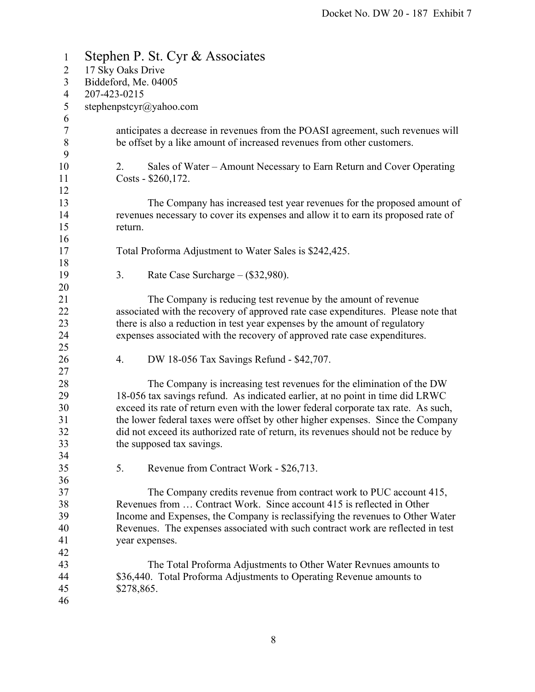| $\mathbf{1}$     | Stephen P. St. Cyr & Associates                                                            |  |  |  |
|------------------|--------------------------------------------------------------------------------------------|--|--|--|
| $\overline{c}$   | 17 Sky Oaks Drive                                                                          |  |  |  |
| 3                | Biddeford, Me. 04005                                                                       |  |  |  |
| $\overline{4}$   | 207-423-0215                                                                               |  |  |  |
| 5                | stephenpstcyr@yahoo.com                                                                    |  |  |  |
| 6                |                                                                                            |  |  |  |
| $\boldsymbol{7}$ | anticipates a decrease in revenues from the POASI agreement, such revenues will            |  |  |  |
| $\, 8$<br>9      | be offset by a like amount of increased revenues from other customers.                     |  |  |  |
| 10               | 2.                                                                                         |  |  |  |
| 11               | Sales of Water – Amount Necessary to Earn Return and Cover Operating<br>Costs - \$260,172. |  |  |  |
| 12               |                                                                                            |  |  |  |
| 13               | The Company has increased test year revenues for the proposed amount of                    |  |  |  |
| 14               | revenues necessary to cover its expenses and allow it to earn its proposed rate of         |  |  |  |
| 15               | return.                                                                                    |  |  |  |
| 16               |                                                                                            |  |  |  |
| 17               | Total Proforma Adjustment to Water Sales is \$242,425.                                     |  |  |  |
| 18               |                                                                                            |  |  |  |
| 19               | 3.<br>Rate Case Surcharge $-$ (\$32,980).                                                  |  |  |  |
| 20               |                                                                                            |  |  |  |
| 21               | The Company is reducing test revenue by the amount of revenue                              |  |  |  |
| 22               | associated with the recovery of approved rate case expenditures. Please note that          |  |  |  |
| 23               | there is also a reduction in test year expenses by the amount of regulatory                |  |  |  |
| 24               | expenses associated with the recovery of approved rate case expenditures.                  |  |  |  |
| 25               |                                                                                            |  |  |  |
| 26               | DW 18-056 Tax Savings Refund - \$42,707.<br>4.                                             |  |  |  |
| 27               |                                                                                            |  |  |  |
| 28               | The Company is increasing test revenues for the elimination of the DW                      |  |  |  |
| 29               | 18-056 tax savings refund. As indicated earlier, at no point in time did LRWC              |  |  |  |
| 30               | exceed its rate of return even with the lower federal corporate tax rate. As such,         |  |  |  |
| 31               | the lower federal taxes were offset by other higher expenses. Since the Company            |  |  |  |
| 32               | did not exceed its authorized rate of return, its revenues should not be reduce by         |  |  |  |
| 33               | the supposed tax savings.                                                                  |  |  |  |
| 34               |                                                                                            |  |  |  |
| 35               | 5.<br>Revenue from Contract Work - \$26,713.                                               |  |  |  |
| 36               |                                                                                            |  |  |  |
| 37               | The Company credits revenue from contract work to PUC account 415,                         |  |  |  |
| 38               | Revenues from  Contract Work. Since account 415 is reflected in Other                      |  |  |  |
| 39               | Income and Expenses, the Company is reclassifying the revenues to Other Water              |  |  |  |
| 40               | Revenues. The expenses associated with such contract work are reflected in test            |  |  |  |
| 41               | year expenses.                                                                             |  |  |  |
| 42               |                                                                                            |  |  |  |
| 43               | The Total Proforma Adjustments to Other Water Revnues amounts to                           |  |  |  |
| 44               | \$36,440. Total Proforma Adjustments to Operating Revenue amounts to                       |  |  |  |
| 45               | \$278,865.                                                                                 |  |  |  |
| 46               |                                                                                            |  |  |  |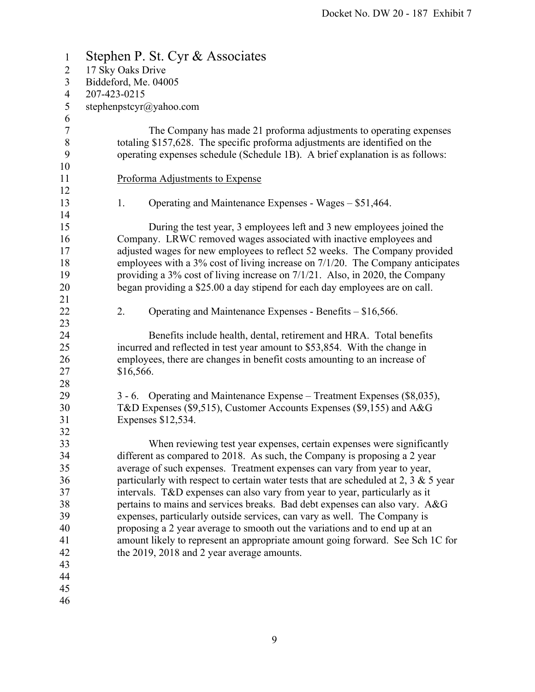| $\mathbf{1}$   | Stephen P. St. Cyr & Associates                                                         |  |  |  |
|----------------|-----------------------------------------------------------------------------------------|--|--|--|
| $\overline{2}$ | 17 Sky Oaks Drive                                                                       |  |  |  |
| 3              | Biddeford, Me. 04005                                                                    |  |  |  |
| $\overline{4}$ | 207-423-0215                                                                            |  |  |  |
| 5              | stephenpstcyr@yahoo.com                                                                 |  |  |  |
| 6              |                                                                                         |  |  |  |
| $\tau$         | The Company has made 21 proforma adjustments to operating expenses                      |  |  |  |
| $8\,$          | totaling \$157,628. The specific proforma adjustments are identified on the             |  |  |  |
| 9              | operating expenses schedule (Schedule 1B). A brief explanation is as follows:           |  |  |  |
| 10             |                                                                                         |  |  |  |
| 11             | Proforma Adjustments to Expense                                                         |  |  |  |
| 12             |                                                                                         |  |  |  |
| 13             | 1.<br>Operating and Maintenance Expenses - Wages – \$51,464.                            |  |  |  |
| 14             |                                                                                         |  |  |  |
| 15             | During the test year, 3 employees left and 3 new employees joined the                   |  |  |  |
| 16             | Company. LRWC removed wages associated with inactive employees and                      |  |  |  |
| 17             | adjusted wages for new employees to reflect 52 weeks. The Company provided              |  |  |  |
| 18             | employees with a 3% cost of living increase on 7/1/20. The Company anticipates          |  |  |  |
| 19             | providing a 3% cost of living increase on 7/1/21. Also, in 2020, the Company            |  |  |  |
| 20             | began providing a \$25.00 a day stipend for each day employees are on call.             |  |  |  |
| 21<br>22       | 2.                                                                                      |  |  |  |
| 23             | Operating and Maintenance Expenses - Benefits - \$16,566.                               |  |  |  |
| 24             | Benefits include health, dental, retirement and HRA. Total benefits                     |  |  |  |
| 25             | incurred and reflected in test year amount to \$53,854. With the change in              |  |  |  |
| 26             | employees, there are changes in benefit costs amounting to an increase of               |  |  |  |
| 27             | \$16,566.                                                                               |  |  |  |
| 28             |                                                                                         |  |  |  |
| 29             | 3 - 6. Operating and Maintenance Expense – Treatment Expenses (\$8,035),                |  |  |  |
| 30             | T&D Expenses (\$9,515), Customer Accounts Expenses (\$9,155) and A&G                    |  |  |  |
| 31             | Expenses \$12,534.                                                                      |  |  |  |
| 32             |                                                                                         |  |  |  |
| 33             | When reviewing test year expenses, certain expenses were significantly                  |  |  |  |
| 34             | different as compared to 2018. As such, the Company is proposing a 2 year               |  |  |  |
| 35             | average of such expenses. Treatment expenses can vary from year to year,                |  |  |  |
| 36             | particularly with respect to certain water tests that are scheduled at 2, 3 $\&$ 5 year |  |  |  |
| 37             | intervals. T&D expenses can also vary from year to year, particularly as it             |  |  |  |
| 38             | pertains to mains and services breaks. Bad debt expenses can also vary. A&G             |  |  |  |
| 39             | expenses, particularly outside services, can vary as well. The Company is               |  |  |  |
| 40             | proposing a 2 year average to smooth out the variations and to end up at an             |  |  |  |
| 41             | amount likely to represent an appropriate amount going forward. See Sch 1C for          |  |  |  |
| 42             | the 2019, 2018 and 2 year average amounts.                                              |  |  |  |
| 43             |                                                                                         |  |  |  |
| 44             |                                                                                         |  |  |  |
| 45             |                                                                                         |  |  |  |
| 46             |                                                                                         |  |  |  |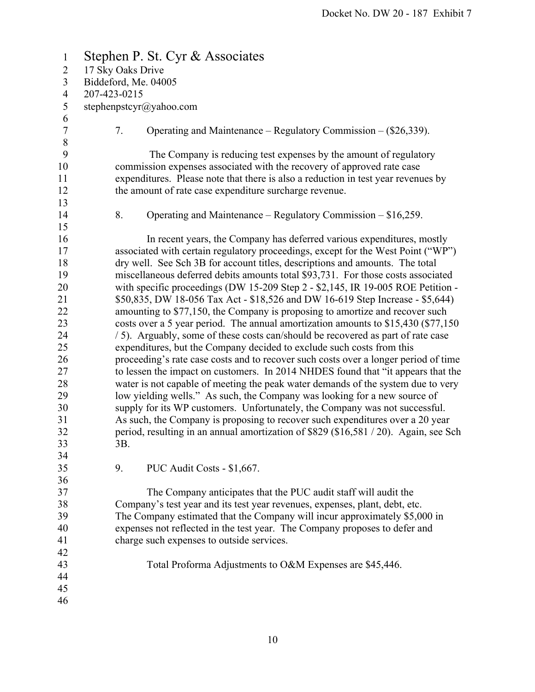| $\mathbf{1}$     | Stephen P. St. Cyr & Associates                                                      |  |  |  |
|------------------|--------------------------------------------------------------------------------------|--|--|--|
| $\overline{2}$   | 17 Sky Oaks Drive                                                                    |  |  |  |
| 3                | Biddeford, Me. 04005                                                                 |  |  |  |
| 4                | 207-423-0215                                                                         |  |  |  |
| 5                | stephenpstcyr@yahoo.com                                                              |  |  |  |
| 6                |                                                                                      |  |  |  |
| $\boldsymbol{7}$ | 7.<br>Operating and Maintenance – Regulatory Commission – $(\$26,339)$ .             |  |  |  |
| $\,$ $\,$        |                                                                                      |  |  |  |
| 9                | The Company is reducing test expenses by the amount of regulatory                    |  |  |  |
| 10               | commission expenses associated with the recovery of approved rate case               |  |  |  |
| 11               | expenditures. Please note that there is also a reduction in test year revenues by    |  |  |  |
| 12               | the amount of rate case expenditure surcharge revenue.                               |  |  |  |
| 13               |                                                                                      |  |  |  |
| 14               | 8.<br>Operating and Maintenance – Regulatory Commission – $$16,259$ .                |  |  |  |
| 15               |                                                                                      |  |  |  |
| 16               | In recent years, the Company has deferred various expenditures, mostly               |  |  |  |
| 17               | associated with certain regulatory proceedings, except for the West Point ("WP")     |  |  |  |
| 18               | dry well. See Sch 3B for account titles, descriptions and amounts. The total         |  |  |  |
| 19               | miscellaneous deferred debits amounts total \$93,731. For those costs associated     |  |  |  |
| 20               | with specific proceedings (DW 15-209 Step 2 - \$2,145, IR 19-005 ROE Petition -      |  |  |  |
| 21               | \$50,835, DW 18-056 Tax Act - \$18,526 and DW 16-619 Step Increase - \$5,644)        |  |  |  |
| 22               | amounting to \$77,150, the Company is proposing to amortize and recover such         |  |  |  |
| 23               | costs over a 5 year period. The annual amortization amounts to \$15,430 (\$77,150)   |  |  |  |
| 24               | / 5). Arguably, some of these costs can/should be recovered as part of rate case     |  |  |  |
| 25               | expenditures, but the Company decided to exclude such costs from this                |  |  |  |
| 26               | proceeding's rate case costs and to recover such costs over a longer period of time  |  |  |  |
| 27               | to lessen the impact on customers. In 2014 NHDES found that "it appears that the     |  |  |  |
| 28               | water is not capable of meeting the peak water demands of the system due to very     |  |  |  |
| 29               | low yielding wells." As such, the Company was looking for a new source of            |  |  |  |
| 30               | supply for its WP customers. Unfortunately, the Company was not successful.          |  |  |  |
| 31               | As such, the Company is proposing to recover such expenditures over a 20 year        |  |  |  |
| 32               | period, resulting in an annual amortization of \$829 (\$16,581 / 20). Again, see Sch |  |  |  |
| 33               | 3B.                                                                                  |  |  |  |
| 34               |                                                                                      |  |  |  |
| 35               | 9.<br>PUC Audit Costs - \$1,667.                                                     |  |  |  |
| 36               |                                                                                      |  |  |  |
| 37               | The Company anticipates that the PUC audit staff will audit the                      |  |  |  |
| 38               | Company's test year and its test year revenues, expenses, plant, debt, etc.          |  |  |  |
| 39               | The Company estimated that the Company will incur approximately \$5,000 in           |  |  |  |
| 40               | expenses not reflected in the test year. The Company proposes to defer and           |  |  |  |
| 41               | charge such expenses to outside services.                                            |  |  |  |
| 42               |                                                                                      |  |  |  |
| 43               | Total Proforma Adjustments to O&M Expenses are \$45,446.                             |  |  |  |
| 44               |                                                                                      |  |  |  |
| 45               |                                                                                      |  |  |  |
| 46               |                                                                                      |  |  |  |
|                  |                                                                                      |  |  |  |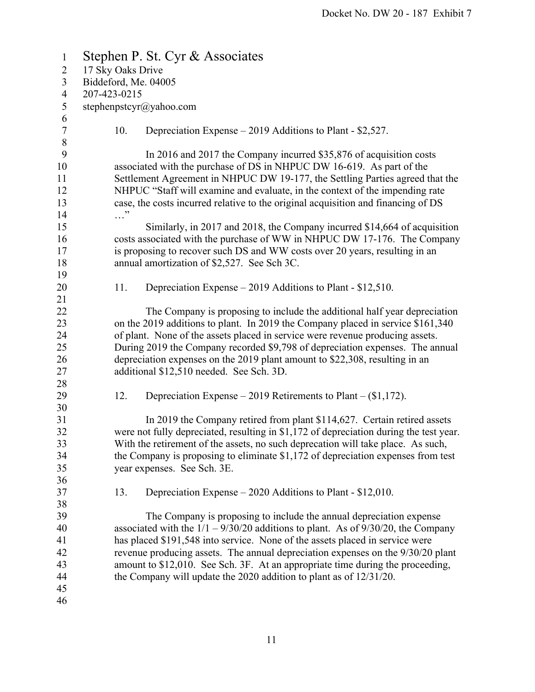| $\mathbf{1}$                     | Stephen P. St. Cyr & Associates                                                                                                                                                                                                                                                                               |  |  |  |
|----------------------------------|---------------------------------------------------------------------------------------------------------------------------------------------------------------------------------------------------------------------------------------------------------------------------------------------------------------|--|--|--|
| $\overline{2}$                   | 17 Sky Oaks Drive                                                                                                                                                                                                                                                                                             |  |  |  |
| $\mathfrak{Z}$                   | Biddeford, Me. 04005                                                                                                                                                                                                                                                                                          |  |  |  |
| $\overline{4}$                   | 207-423-0215                                                                                                                                                                                                                                                                                                  |  |  |  |
| 5                                | stephenpstcyr@yahoo.com                                                                                                                                                                                                                                                                                       |  |  |  |
| 6<br>$\boldsymbol{7}$<br>$\,8\,$ | 10.<br>Depreciation Expense – 2019 Additions to Plant - \$2,527.                                                                                                                                                                                                                                              |  |  |  |
| 9<br>10<br>11<br>12              | In 2016 and 2017 the Company incurred \$35,876 of acquisition costs<br>associated with the purchase of DS in NHPUC DW 16-619. As part of the<br>Settlement Agreement in NHPUC DW 19-177, the Settling Parties agreed that the<br>NHPUC "Staff will examine and evaluate, in the context of the impending rate |  |  |  |
| 13                               | case, the costs incurred relative to the original acquisition and financing of DS                                                                                                                                                                                                                             |  |  |  |
| 14                               | $\cdots$ "                                                                                                                                                                                                                                                                                                    |  |  |  |
| 15                               | Similarly, in 2017 and 2018, the Company incurred \$14,664 of acquisition                                                                                                                                                                                                                                     |  |  |  |
| 16                               | costs associated with the purchase of WW in NHPUC DW 17-176. The Company                                                                                                                                                                                                                                      |  |  |  |
| 17                               | is proposing to recover such DS and WW costs over 20 years, resulting in an                                                                                                                                                                                                                                   |  |  |  |
| 18                               | annual amortization of \$2,527. See Sch 3C.                                                                                                                                                                                                                                                                   |  |  |  |
| 19                               |                                                                                                                                                                                                                                                                                                               |  |  |  |
| 20                               | Depreciation Expense – 2019 Additions to Plant - \$12,510.<br>11.                                                                                                                                                                                                                                             |  |  |  |
| 21                               |                                                                                                                                                                                                                                                                                                               |  |  |  |
| 22                               | The Company is proposing to include the additional half year depreciation                                                                                                                                                                                                                                     |  |  |  |
| 23                               | on the 2019 additions to plant. In 2019 the Company placed in service \$161,340                                                                                                                                                                                                                               |  |  |  |
| 24                               | of plant. None of the assets placed in service were revenue producing assets.                                                                                                                                                                                                                                 |  |  |  |
| 25                               | During 2019 the Company recorded \$9,798 of depreciation expenses. The annual                                                                                                                                                                                                                                 |  |  |  |
| 26                               | depreciation expenses on the 2019 plant amount to \$22,308, resulting in an                                                                                                                                                                                                                                   |  |  |  |
| 27                               | additional \$12,510 needed. See Sch. 3D.                                                                                                                                                                                                                                                                      |  |  |  |
| 28                               |                                                                                                                                                                                                                                                                                                               |  |  |  |
| 29                               | 12.<br>Depreciation Expense – 2019 Retirements to Plant – $(\$1,172)$ .                                                                                                                                                                                                                                       |  |  |  |
| 30                               |                                                                                                                                                                                                                                                                                                               |  |  |  |
| 31                               | In 2019 the Company retired from plant \$114,627. Certain retired assets                                                                                                                                                                                                                                      |  |  |  |
| 32                               | were not fully depreciated, resulting in \$1,172 of depreciation during the test year.                                                                                                                                                                                                                        |  |  |  |
| 33                               | With the retirement of the assets, no such deprecation will take place. As such,                                                                                                                                                                                                                              |  |  |  |
| 34                               | the Company is proposing to eliminate $$1,172$ of depreciation expenses from test                                                                                                                                                                                                                             |  |  |  |
| 35                               | year expenses. See Sch. 3E.                                                                                                                                                                                                                                                                                   |  |  |  |
| 36                               |                                                                                                                                                                                                                                                                                                               |  |  |  |
| 37                               | 13.<br>Depreciation Expense $-2020$ Additions to Plant - \$12,010.                                                                                                                                                                                                                                            |  |  |  |
| 38                               |                                                                                                                                                                                                                                                                                                               |  |  |  |
| 39                               | The Company is proposing to include the annual depreciation expense                                                                                                                                                                                                                                           |  |  |  |
| 40                               | associated with the $1/1 - 9/30/20$ additions to plant. As of $9/30/20$ , the Company                                                                                                                                                                                                                         |  |  |  |
| 41                               | has placed \$191,548 into service. None of the assets placed in service were                                                                                                                                                                                                                                  |  |  |  |
| 42                               | revenue producing assets. The annual depreciation expenses on the 9/30/20 plant                                                                                                                                                                                                                               |  |  |  |
| 43                               | amount to \$12,010. See Sch. 3F. At an appropriate time during the proceeding,                                                                                                                                                                                                                                |  |  |  |
|                                  |                                                                                                                                                                                                                                                                                                               |  |  |  |
| 44                               | the Company will update the $2020$ addition to plant as of $12/31/20$ .                                                                                                                                                                                                                                       |  |  |  |
| 45                               |                                                                                                                                                                                                                                                                                                               |  |  |  |
| 46                               |                                                                                                                                                                                                                                                                                                               |  |  |  |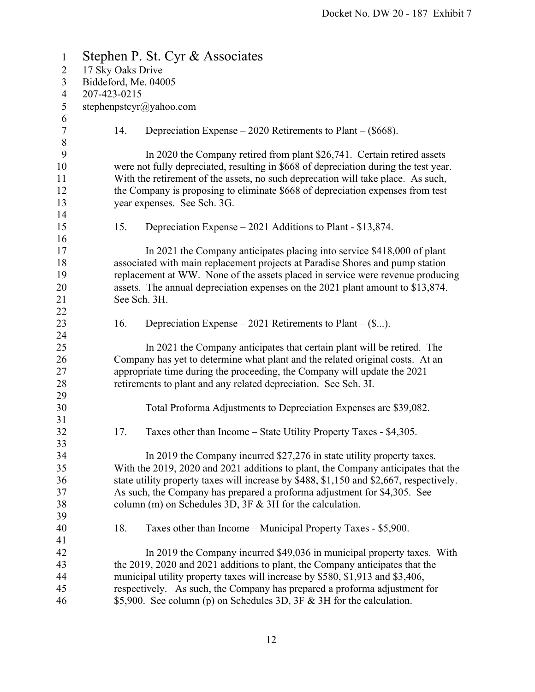| $\mathbf{1}$     | Stephen P. St. Cyr & Associates |              |                                                                                         |  |
|------------------|---------------------------------|--------------|-----------------------------------------------------------------------------------------|--|
| $\overline{2}$   | 17 Sky Oaks Drive               |              |                                                                                         |  |
| 3                | Biddeford, Me. 04005            |              |                                                                                         |  |
| $\overline{4}$   |                                 | 207-423-0215 |                                                                                         |  |
| 5                | stephenpstcyr@yahoo.com         |              |                                                                                         |  |
| 6                |                                 |              |                                                                                         |  |
| $\boldsymbol{7}$ |                                 | 14.          | Depreciation Expense $-2020$ Retirements to Plant $-(\$668)$ .                          |  |
| $\,$ $\,$        |                                 |              |                                                                                         |  |
| 9                |                                 |              | In 2020 the Company retired from plant \$26,741. Certain retired assets                 |  |
| 10               |                                 |              | were not fully depreciated, resulting in \$668 of depreciation during the test year.    |  |
| 11               |                                 |              | With the retirement of the assets, no such deprecation will take place. As such,        |  |
| 12               |                                 |              | the Company is proposing to eliminate \$668 of depreciation expenses from test          |  |
| 13               |                                 |              | year expenses. See Sch. 3G.                                                             |  |
| 14               |                                 |              |                                                                                         |  |
| 15               |                                 | 15.          | Depreciation Expense $-2021$ Additions to Plant - \$13,874.                             |  |
| 16               |                                 |              |                                                                                         |  |
| 17               |                                 |              | In 2021 the Company anticipates placing into service \$418,000 of plant                 |  |
| 18               |                                 |              | associated with main replacement projects at Paradise Shores and pump station           |  |
| 19               |                                 |              | replacement at WW. None of the assets placed in service were revenue producing          |  |
| 20               |                                 |              | assets. The annual depreciation expenses on the 2021 plant amount to \$13,874.          |  |
| 21               |                                 | See Sch. 3H. |                                                                                         |  |
| 22               |                                 |              |                                                                                         |  |
| 23               |                                 | 16.          | Depreciation Expense $-2021$ Retirements to Plant $-(\$).$                              |  |
| 24<br>25         |                                 |              | In 2021 the Company anticipates that certain plant will be retired. The                 |  |
| 26               |                                 |              | Company has yet to determine what plant and the related original costs. At an           |  |
| 27               |                                 |              | appropriate time during the proceeding, the Company will update the 2021                |  |
| 28               |                                 |              | retirements to plant and any related depreciation. See Sch. 3I.                         |  |
| 29               |                                 |              |                                                                                         |  |
| 30               |                                 |              | Total Proforma Adjustments to Depreciation Expenses are \$39,082.                       |  |
| 31               |                                 |              |                                                                                         |  |
| 32               |                                 | 17.          | Taxes other than Income – State Utility Property Taxes - \$4,305.                       |  |
| 33               |                                 |              |                                                                                         |  |
| 34               |                                 |              | In 2019 the Company incurred \$27,276 in state utility property taxes.                  |  |
| 35               |                                 |              | With the 2019, 2020 and 2021 additions to plant, the Company anticipates that the       |  |
| 36               |                                 |              | state utility property taxes will increase by \$488, \$1,150 and \$2,667, respectively. |  |
| 37               |                                 |              | As such, the Company has prepared a proforma adjustment for \$4,305. See                |  |
| 38               |                                 |              | column (m) on Schedules 3D, $3F & 3H$ for the calculation.                              |  |
| 39               |                                 |              |                                                                                         |  |
| 40               |                                 | 18.          | Taxes other than Income – Municipal Property Taxes - \$5,900.                           |  |
| 41               |                                 |              |                                                                                         |  |
| 42               |                                 |              | In 2019 the Company incurred \$49,036 in municipal property taxes. With                 |  |
| 43               |                                 |              | the 2019, 2020 and 2021 additions to plant, the Company anticipates that the            |  |
| 44               |                                 |              | municipal utility property taxes will increase by \$580, \$1,913 and \$3,406,           |  |
| 45               |                                 |              | respectively. As such, the Company has prepared a proforma adjustment for               |  |
| 46               |                                 |              | \$5,900. See column (p) on Schedules 3D, 3F & 3H for the calculation.                   |  |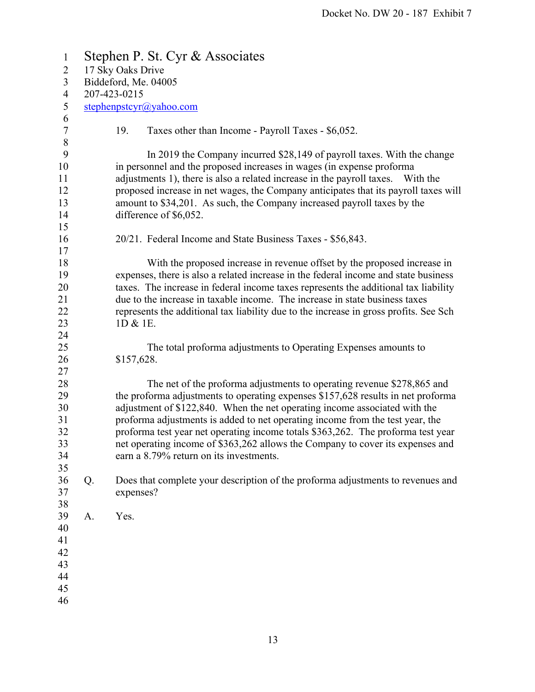| $\mathbf{1}$          | Stephen P. St. Cyr & Associates |                                                                                       |  |  |  |  |
|-----------------------|---------------------------------|---------------------------------------------------------------------------------------|--|--|--|--|
| $\overline{2}$        | 17 Sky Oaks Drive               |                                                                                       |  |  |  |  |
| $\mathfrak{Z}$        | Biddeford, Me. 04005            |                                                                                       |  |  |  |  |
| $\overline{4}$        | 207-423-0215                    |                                                                                       |  |  |  |  |
| 5                     | stephenpstcyr@yahoo.com         |                                                                                       |  |  |  |  |
| 6<br>$\boldsymbol{7}$ |                                 | 19.<br>Taxes other than Income - Payroll Taxes - \$6,052.                             |  |  |  |  |
| $\, 8$                |                                 |                                                                                       |  |  |  |  |
| 9                     |                                 | In 2019 the Company incurred \$28,149 of payroll taxes. With the change               |  |  |  |  |
| 10                    |                                 | in personnel and the proposed increases in wages (in expense proforma                 |  |  |  |  |
| 11                    |                                 | adjustments 1), there is also a related increase in the payroll taxes. With the       |  |  |  |  |
| 12                    |                                 | proposed increase in net wages, the Company anticipates that its payroll taxes will   |  |  |  |  |
| 13                    |                                 | amount to \$34,201. As such, the Company increased payroll taxes by the               |  |  |  |  |
| 14                    |                                 | difference of \$6,052.                                                                |  |  |  |  |
| 15                    |                                 |                                                                                       |  |  |  |  |
| 16                    |                                 | 20/21. Federal Income and State Business Taxes - \$56,843.                            |  |  |  |  |
| 17                    |                                 |                                                                                       |  |  |  |  |
| 18                    |                                 | With the proposed increase in revenue offset by the proposed increase in              |  |  |  |  |
| 19                    |                                 | expenses, there is also a related increase in the federal income and state business   |  |  |  |  |
| 20                    |                                 | taxes. The increase in federal income taxes represents the additional tax liability   |  |  |  |  |
| 21                    |                                 | due to the increase in taxable income. The increase in state business taxes           |  |  |  |  |
| 22                    |                                 | represents the additional tax liability due to the increase in gross profits. See Sch |  |  |  |  |
| 23                    |                                 | 1D & 1E.                                                                              |  |  |  |  |
| 24                    |                                 |                                                                                       |  |  |  |  |
| 25                    |                                 | The total proforma adjustments to Operating Expenses amounts to                       |  |  |  |  |
| 26                    |                                 | \$157,628.                                                                            |  |  |  |  |
| 27                    |                                 |                                                                                       |  |  |  |  |
|                       |                                 |                                                                                       |  |  |  |  |
| 28                    |                                 | The net of the proforma adjustments to operating revenue \$278,865 and                |  |  |  |  |
| 29                    |                                 | the proforma adjustments to operating expenses \$157,628 results in net proforma      |  |  |  |  |
| 30                    |                                 | adjustment of \$122,840. When the net operating income associated with the            |  |  |  |  |
| 31                    |                                 | proforma adjustments is added to net operating income from the test year, the         |  |  |  |  |
| 32                    |                                 | proforma test year net operating income totals \$363,262. The proforma test year      |  |  |  |  |
| 33                    |                                 | net operating income of \$363,262 allows the Company to cover its expenses and        |  |  |  |  |
| 34                    |                                 | earn a 8.79% return on its investments.                                               |  |  |  |  |
| 35                    |                                 |                                                                                       |  |  |  |  |
| 36                    | Q.                              | Does that complete your description of the proforma adjustments to revenues and       |  |  |  |  |
| 37                    |                                 | expenses?                                                                             |  |  |  |  |
| 38                    |                                 |                                                                                       |  |  |  |  |
| 39                    | A.                              | Yes.                                                                                  |  |  |  |  |
| 40                    |                                 |                                                                                       |  |  |  |  |
| 41                    |                                 |                                                                                       |  |  |  |  |
| 42                    |                                 |                                                                                       |  |  |  |  |
| 43                    |                                 |                                                                                       |  |  |  |  |
| 44                    |                                 |                                                                                       |  |  |  |  |
| 45                    |                                 |                                                                                       |  |  |  |  |
| 46                    |                                 |                                                                                       |  |  |  |  |
|                       |                                 |                                                                                       |  |  |  |  |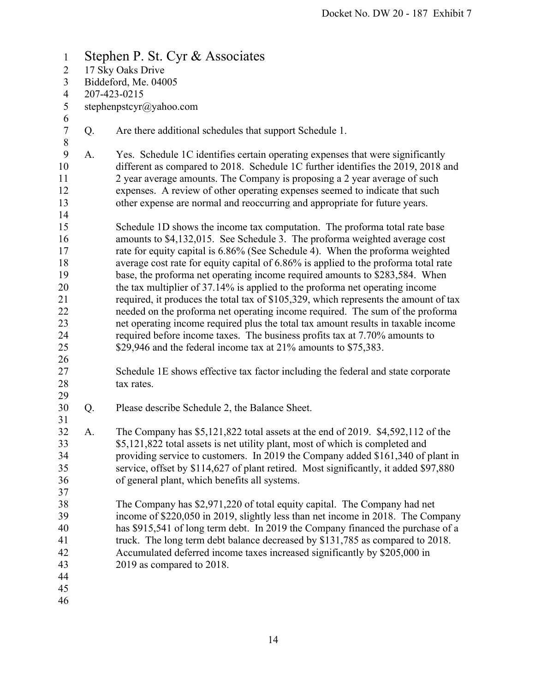1 Stephen P. St. Cyr & Associates 2 17 Sky Oaks Drive 3 Biddeford, Me. 04005 4 207-423-0215 5 stephenpstcyr@yahoo.com 6 7 Q. Are there additional schedules that support Schedule 1. 8 9 A. Yes. Schedule 1C identifies certain operating expenses that were significantly 10 different as compared to 2018. Schedule 1C further identifies the 2019, 2018 and 11 2 year average amounts. The Company is proposing a 2 year average of such 12 expenses. A review of other operating expenses seemed to indicate that such 13 other expense are normal and reoccurring and appropriate for future years. 14 15 Schedule 1D shows the income tax computation. The proforma total rate base 16 amounts to \$4,132,015. See Schedule 3. The proforma weighted average cost 17 rate for equity capital is 6.86% (See Schedule 4). When the proforma weighted 18 average cost rate for equity capital of 6.86% is applied to the proforma total rate 19 base, the proforma net operating income required amounts to \$283,584. When 20 the tax multiplier of 37.14% is applied to the proforma net operating income 21 required, it produces the total tax of \$105,329, which represents the amount of tax 22 needed on the proforma net operating income required. The sum of the proforma 23 net operating income required plus the total tax amount results in taxable income 24 required before income taxes. The business profits tax at 7.70% amounts to 25 \$29,946 and the federal income tax at 21% amounts to \$75,383. 26 27 Schedule 1E shows effective tax factor including the federal and state corporate 28 tax rates. 29 30 Q. Please describe Schedule 2, the Balance Sheet. 31 32 A. The Company has \$5,121,822 total assets at the end of 2019. \$4,592,112 of the 33 \$5,121,822 total assets is net utility plant, most of which is completed and 34 providing service to customers. In 2019 the Company added \$161,340 of plant in 35 service, offset by \$114,627 of plant retired. Most significantly, it added \$97,880 36 of general plant, which benefits all systems. 37 38 The Company has \$2,971,220 of total equity capital. The Company had net 39 income of \$220,050 in 2019, slightly less than net income in 2018. The Company 40 has \$915,541 of long term debt. In 2019 the Company financed the purchase of a 41 truck. The long term debt balance decreased by \$131,785 as compared to 2018. 42 Accumulated deferred income taxes increased significantly by \$205,000 in 43 2019 as compared to 2018. 44 45 46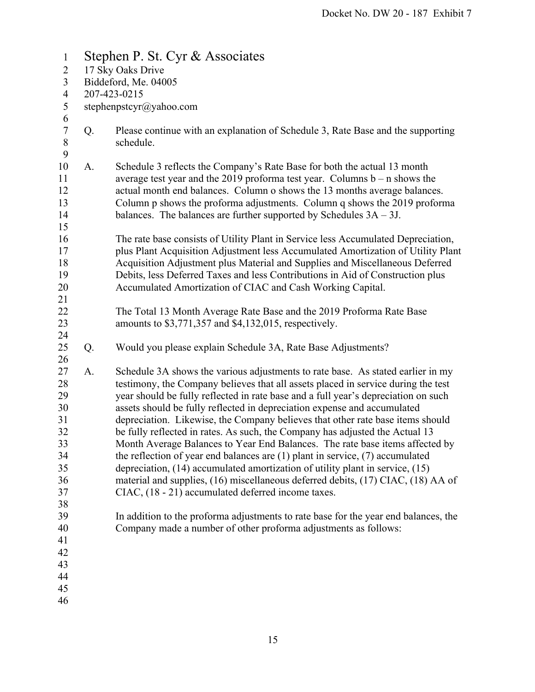| $\mathbf{1}$                                                                     | Stephen P. St. Cyr & Associates |                                                                                                                                                                                                                                                                                                                                                                                                                                                                                                                                                                                                                                                                                                                                                                                                                                                                                                                                                                                                                                                                        |  |  |  |  |
|----------------------------------------------------------------------------------|---------------------------------|------------------------------------------------------------------------------------------------------------------------------------------------------------------------------------------------------------------------------------------------------------------------------------------------------------------------------------------------------------------------------------------------------------------------------------------------------------------------------------------------------------------------------------------------------------------------------------------------------------------------------------------------------------------------------------------------------------------------------------------------------------------------------------------------------------------------------------------------------------------------------------------------------------------------------------------------------------------------------------------------------------------------------------------------------------------------|--|--|--|--|
| $\overline{2}$                                                                   | 17 Sky Oaks Drive               |                                                                                                                                                                                                                                                                                                                                                                                                                                                                                                                                                                                                                                                                                                                                                                                                                                                                                                                                                                                                                                                                        |  |  |  |  |
| 3                                                                                | Biddeford, Me. 04005            |                                                                                                                                                                                                                                                                                                                                                                                                                                                                                                                                                                                                                                                                                                                                                                                                                                                                                                                                                                                                                                                                        |  |  |  |  |
| $\overline{4}$                                                                   | 207-423-0215                    |                                                                                                                                                                                                                                                                                                                                                                                                                                                                                                                                                                                                                                                                                                                                                                                                                                                                                                                                                                                                                                                                        |  |  |  |  |
| 5                                                                                | stephenpstcyr@yahoo.com         |                                                                                                                                                                                                                                                                                                                                                                                                                                                                                                                                                                                                                                                                                                                                                                                                                                                                                                                                                                                                                                                                        |  |  |  |  |
| 6<br>$\boldsymbol{7}$<br>$\,$ $\,$<br>9                                          | Q.                              | Please continue with an explanation of Schedule 3, Rate Base and the supporting<br>schedule.                                                                                                                                                                                                                                                                                                                                                                                                                                                                                                                                                                                                                                                                                                                                                                                                                                                                                                                                                                           |  |  |  |  |
| 10<br>11<br>12<br>13<br>14<br>15                                                 | A.                              | Schedule 3 reflects the Company's Rate Base for both the actual 13 month<br>average test year and the 2019 proforma test year. Columns $b - n$ shows the<br>actual month end balances. Column o shows the 13 months average balances.<br>Column p shows the proforma adjustments. Column q shows the 2019 proforma<br>balances. The balances are further supported by Schedules $3A - 3J$ .                                                                                                                                                                                                                                                                                                                                                                                                                                                                                                                                                                                                                                                                            |  |  |  |  |
| 16<br>17<br>18<br>19<br>20<br>21                                                 |                                 | The rate base consists of Utility Plant in Service less Accumulated Depreciation,<br>plus Plant Acquisition Adjustment less Accumulated Amortization of Utility Plant<br>Acquisition Adjustment plus Material and Supplies and Miscellaneous Deferred<br>Debits, less Deferred Taxes and less Contributions in Aid of Construction plus<br>Accumulated Amortization of CIAC and Cash Working Capital.                                                                                                                                                                                                                                                                                                                                                                                                                                                                                                                                                                                                                                                                  |  |  |  |  |
| 22<br>23<br>24                                                                   |                                 | The Total 13 Month Average Rate Base and the 2019 Proforma Rate Base<br>amounts to \$3,771,357 and \$4,132,015, respectively.                                                                                                                                                                                                                                                                                                                                                                                                                                                                                                                                                                                                                                                                                                                                                                                                                                                                                                                                          |  |  |  |  |
| 25<br>26                                                                         | Q.                              | Would you please explain Schedule 3A, Rate Base Adjustments?                                                                                                                                                                                                                                                                                                                                                                                                                                                                                                                                                                                                                                                                                                                                                                                                                                                                                                                                                                                                           |  |  |  |  |
| 27<br>28<br>29<br>30<br>31<br>32<br>33<br>34<br>35<br>36<br>37<br>38<br>39<br>40 | A.                              | Schedule 3A shows the various adjustments to rate base. As stated earlier in my<br>testimony, the Company believes that all assets placed in service during the test<br>year should be fully reflected in rate base and a full year's depreciation on such<br>assets should be fully reflected in depreciation expense and accumulated<br>depreciation. Likewise, the Company believes that other rate base items should<br>be fully reflected in rates. As such, the Company has adjusted the Actual 13<br>Month Average Balances to Year End Balances. The rate base items affected by<br>the reflection of year end balances are $(1)$ plant in service, $(7)$ accumulated<br>depreciation, $(14)$ accumulated amortization of utility plant in service, $(15)$<br>material and supplies, (16) miscellaneous deferred debits, (17) CIAC, (18) AA of<br>CIAC, (18 - 21) accumulated deferred income taxes.<br>In addition to the proforma adjustments to rate base for the year end balances, the<br>Company made a number of other proforma adjustments as follows: |  |  |  |  |
| 41<br>42<br>43<br>44<br>45<br>46                                                 |                                 |                                                                                                                                                                                                                                                                                                                                                                                                                                                                                                                                                                                                                                                                                                                                                                                                                                                                                                                                                                                                                                                                        |  |  |  |  |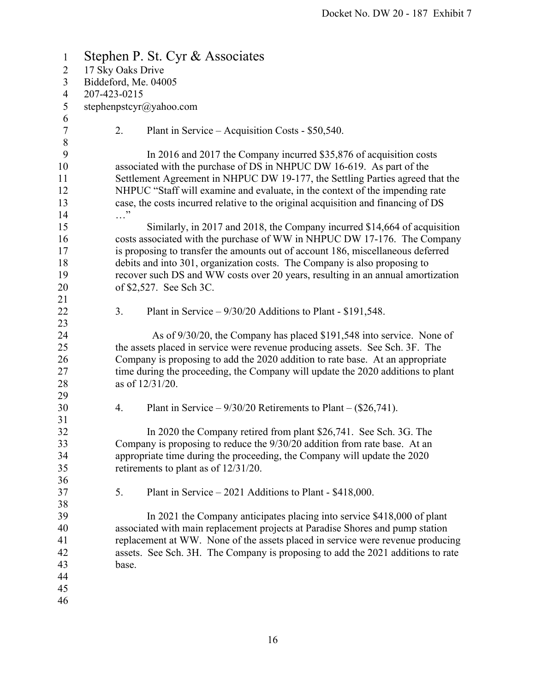| $\mathbf{1}$   | Stephen P. St. Cyr & Associates                                                   |  |  |  |
|----------------|-----------------------------------------------------------------------------------|--|--|--|
| $\overline{2}$ | 17 Sky Oaks Drive                                                                 |  |  |  |
| 3              | Biddeford, Me. 04005                                                              |  |  |  |
| $\overline{4}$ | 207-423-0215                                                                      |  |  |  |
| $\mathfrak{S}$ | stephenpstcyr@yahoo.com                                                           |  |  |  |
| 6              |                                                                                   |  |  |  |
| $\tau$         | 2.<br>Plant in Service – Acquisition Costs - \$50,540.                            |  |  |  |
| $8\,$          |                                                                                   |  |  |  |
| 9              | In 2016 and 2017 the Company incurred \$35,876 of acquisition costs               |  |  |  |
| 10             | associated with the purchase of DS in NHPUC DW 16-619. As part of the             |  |  |  |
| 11             | Settlement Agreement in NHPUC DW 19-177, the Settling Parties agreed that the     |  |  |  |
| 12             | NHPUC "Staff will examine and evaluate, in the context of the impending rate      |  |  |  |
| 13             | case, the costs incurred relative to the original acquisition and financing of DS |  |  |  |
| 14             | . "                                                                               |  |  |  |
| 15             | Similarly, in 2017 and 2018, the Company incurred \$14,664 of acquisition         |  |  |  |
| 16             | costs associated with the purchase of WW in NHPUC DW 17-176. The Company          |  |  |  |
| 17             | is proposing to transfer the amounts out of account 186, miscellaneous deferred   |  |  |  |
| 18             | debits and into 301, organization costs. The Company is also proposing to         |  |  |  |
| 19             | recover such DS and WW costs over 20 years, resulting in an annual amortization   |  |  |  |
| 20             | of \$2,527. See Sch 3C.                                                           |  |  |  |
| 21             |                                                                                   |  |  |  |
| 22             | 3.<br>Plant in Service $-9/30/20$ Additions to Plant - \$191,548.                 |  |  |  |
| 23             |                                                                                   |  |  |  |
| 24             | As of 9/30/20, the Company has placed \$191,548 into service. None of             |  |  |  |
| 25             | the assets placed in service were revenue producing assets. See Sch. 3F. The      |  |  |  |
| 26             | Company is proposing to add the 2020 addition to rate base. At an appropriate     |  |  |  |
| 27             | time during the proceeding, the Company will update the 2020 additions to plant   |  |  |  |
| 28             | as of 12/31/20.                                                                   |  |  |  |
| 29             |                                                                                   |  |  |  |
| 30             | Plant in Service – $9/30/20$ Retirements to Plant – (\$26,741).<br>4.             |  |  |  |
| 31             |                                                                                   |  |  |  |
| 32             | In 2020 the Company retired from plant \$26,741. See Sch. 3G. The                 |  |  |  |
| 33             | Company is proposing to reduce the 9/30/20 addition from rate base. At an         |  |  |  |
| 34             | appropriate time during the proceeding, the Company will update the 2020          |  |  |  |
| 35             | retirements to plant as of $12/31/20$ .                                           |  |  |  |
| 36             |                                                                                   |  |  |  |
| 37             | 5.<br>Plant in Service $-2021$ Additions to Plant - \$418,000.                    |  |  |  |
| 38             |                                                                                   |  |  |  |
| 39             | In 2021 the Company anticipates placing into service \$418,000 of plant           |  |  |  |
| 40             | associated with main replacement projects at Paradise Shores and pump station     |  |  |  |
| 41             | replacement at WW. None of the assets placed in service were revenue producing    |  |  |  |
| 42             | assets. See Sch. 3H. The Company is proposing to add the 2021 additions to rate   |  |  |  |
| 43             | base.                                                                             |  |  |  |
| 44             |                                                                                   |  |  |  |
| 45             |                                                                                   |  |  |  |
| 46             |                                                                                   |  |  |  |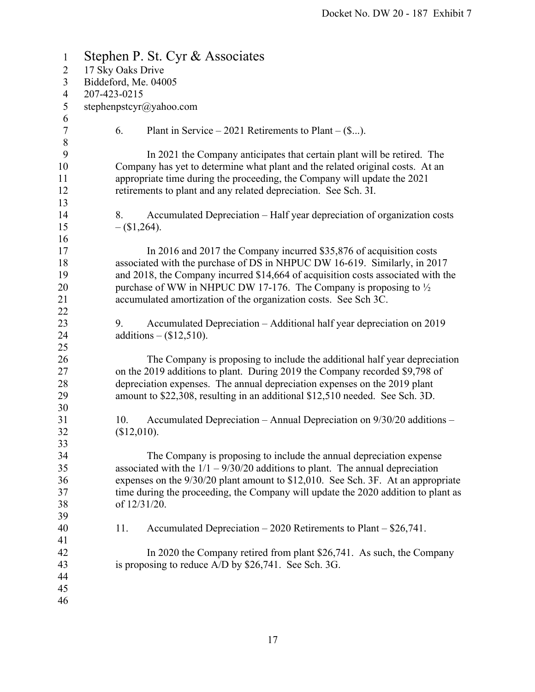| $\mathbf{1}$     | Stephen P. St. Cyr & Associates                                                   |  |  |  |
|------------------|-----------------------------------------------------------------------------------|--|--|--|
| $\overline{2}$   | 17 Sky Oaks Drive                                                                 |  |  |  |
| $\overline{3}$   | Biddeford, Me. 04005                                                              |  |  |  |
| $\overline{4}$   | 207-423-0215                                                                      |  |  |  |
| 5                | stephenpstcyr@yahoo.com                                                           |  |  |  |
| $\boldsymbol{6}$ |                                                                                   |  |  |  |
| $\boldsymbol{7}$ | 6.<br>Plant in Service – 2021 Retirements to Plant – $(\$)$ .                     |  |  |  |
| $\,$ $\,$        |                                                                                   |  |  |  |
| 9                | In 2021 the Company anticipates that certain plant will be retired. The           |  |  |  |
| 10               | Company has yet to determine what plant and the related original costs. At an     |  |  |  |
| 11               | appropriate time during the proceeding, the Company will update the 2021          |  |  |  |
| 12               | retirements to plant and any related depreciation. See Sch. 3I.                   |  |  |  |
| 13               |                                                                                   |  |  |  |
| 14               | Accumulated Depreciation – Half year depreciation of organization costs<br>8.     |  |  |  |
| 15               | $-(\$1,264).$                                                                     |  |  |  |
| 16               |                                                                                   |  |  |  |
| 17               | In 2016 and 2017 the Company incurred \$35,876 of acquisition costs               |  |  |  |
| 18               | associated with the purchase of DS in NHPUC DW 16-619. Similarly, in 2017         |  |  |  |
| 19               | and 2018, the Company incurred \$14,664 of acquisition costs associated with the  |  |  |  |
| 20               | purchase of WW in NHPUC DW 17-176. The Company is proposing to $\frac{1}{2}$      |  |  |  |
| 21               | accumulated amortization of the organization costs. See Sch 3C.                   |  |  |  |
| 22               |                                                                                   |  |  |  |
| 23               | Accumulated Depreciation – Additional half year depreciation on 2019<br>9.        |  |  |  |
| 24               | additions $-$ (\$12,510).                                                         |  |  |  |
| 25               |                                                                                   |  |  |  |
| 26               | The Company is proposing to include the additional half year depreciation         |  |  |  |
| 27               | on the 2019 additions to plant. During 2019 the Company recorded \$9,798 of       |  |  |  |
| 28               | depreciation expenses. The annual depreciation expenses on the 2019 plant         |  |  |  |
| 29               | amount to \$22,308, resulting in an additional \$12,510 needed. See Sch. 3D.      |  |  |  |
| 30               |                                                                                   |  |  |  |
| 31               | Accumulated Depreciation – Annual Depreciation on 9/30/20 additions –<br>10.      |  |  |  |
| 32               | (\$12,010).                                                                       |  |  |  |
| 33               |                                                                                   |  |  |  |
| 34               | The Company is proposing to include the annual depreciation expense               |  |  |  |
| 35               | associated with the $1/1 - 9/30/20$ additions to plant. The annual depreciation   |  |  |  |
| 36               | expenses on the 9/30/20 plant amount to \$12,010. See Sch. 3F. At an appropriate  |  |  |  |
| 37               | time during the proceeding, the Company will update the 2020 addition to plant as |  |  |  |
| 38               | of 12/31/20.                                                                      |  |  |  |
| 39               |                                                                                   |  |  |  |
| 40               | Accumulated Depreciation $-2020$ Retirements to Plant $-$ \$26,741.<br>11.        |  |  |  |
| 41               |                                                                                   |  |  |  |
| 42               | In 2020 the Company retired from plant \$26,741. As such, the Company             |  |  |  |
| 43<br>44         | is proposing to reduce $A/D$ by \$26,741. See Sch. 3G.                            |  |  |  |
| 45               |                                                                                   |  |  |  |
| 46               |                                                                                   |  |  |  |
|                  |                                                                                   |  |  |  |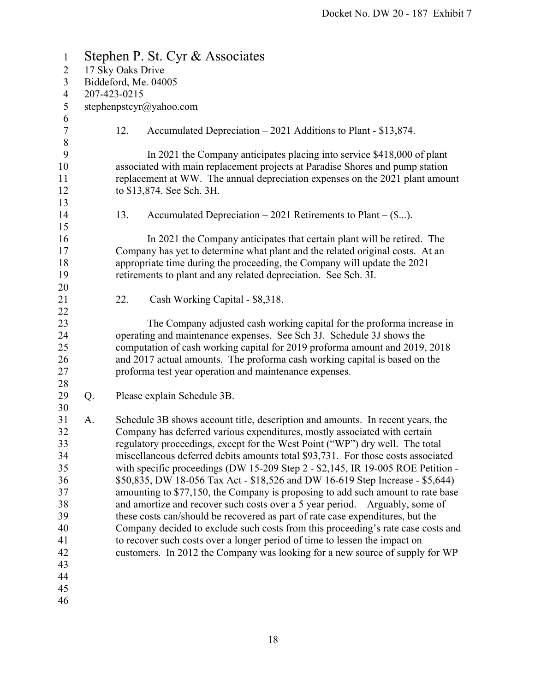| $\mathbf{1}$   | Stephen P. St. Cyr & Associates |                      |                                                                                                                                                                |  |  |
|----------------|---------------------------------|----------------------|----------------------------------------------------------------------------------------------------------------------------------------------------------------|--|--|
| $\overline{2}$ | 17 Sky Oaks Drive               |                      |                                                                                                                                                                |  |  |
| $\overline{3}$ |                                 | Biddeford, Me. 04005 |                                                                                                                                                                |  |  |
| $\overline{4}$ |                                 | 207-423-0215         |                                                                                                                                                                |  |  |
| 5              |                                 |                      | stephenpstcyr@yahoo.com                                                                                                                                        |  |  |
| 6              |                                 |                      |                                                                                                                                                                |  |  |
| $\tau$         |                                 | 12.                  | Accumulated Depreciation $-2021$ Additions to Plant - \$13,874.                                                                                                |  |  |
| $\,8\,$        |                                 |                      |                                                                                                                                                                |  |  |
| 9              |                                 |                      | In 2021 the Company anticipates placing into service \$418,000 of plant                                                                                        |  |  |
| 10             |                                 |                      | associated with main replacement projects at Paradise Shores and pump station                                                                                  |  |  |
| 11             |                                 |                      | replacement at WW. The annual depreciation expenses on the 2021 plant amount                                                                                   |  |  |
| 12             |                                 |                      | to \$13,874. See Sch. 3H.                                                                                                                                      |  |  |
| 13             |                                 |                      |                                                                                                                                                                |  |  |
| 14             |                                 | 13.                  | Accumulated Depreciation $-2021$ Retirements to Plant $-(\$).$                                                                                                 |  |  |
| 15             |                                 |                      |                                                                                                                                                                |  |  |
| 16             |                                 |                      | In 2021 the Company anticipates that certain plant will be retired. The                                                                                        |  |  |
| 17             |                                 |                      | Company has yet to determine what plant and the related original costs. At an                                                                                  |  |  |
| 18             |                                 |                      | appropriate time during the proceeding, the Company will update the 2021                                                                                       |  |  |
| 19             |                                 |                      | retirements to plant and any related depreciation. See Sch. 3I.                                                                                                |  |  |
| 20             |                                 |                      |                                                                                                                                                                |  |  |
| 21             |                                 | 22.                  | Cash Working Capital - \$8,318.                                                                                                                                |  |  |
| 22             |                                 |                      |                                                                                                                                                                |  |  |
| 23             |                                 |                      | The Company adjusted cash working capital for the proforma increase in                                                                                         |  |  |
| 24             |                                 |                      | operating and maintenance expenses. See Sch 3J. Schedule 3J shows the                                                                                          |  |  |
| 25             |                                 |                      | computation of cash working capital for 2019 proforma amount and 2019, 2018                                                                                    |  |  |
| 26             |                                 |                      | and 2017 actual amounts. The proforma cash working capital is based on the                                                                                     |  |  |
| 27             |                                 |                      | proforma test year operation and maintenance expenses.                                                                                                         |  |  |
| 28             |                                 |                      |                                                                                                                                                                |  |  |
| 29             | Q.                              |                      | Please explain Schedule 3B.                                                                                                                                    |  |  |
| 30             |                                 |                      |                                                                                                                                                                |  |  |
| 31             | A.                              |                      | Schedule 3B shows account title, description and amounts. In recent years, the                                                                                 |  |  |
| 32             |                                 |                      | Company has deferred various expenditures, mostly associated with certain                                                                                      |  |  |
| 33             |                                 |                      | regulatory proceedings, except for the West Point ("WP") dry well. The total                                                                                   |  |  |
| 34             |                                 |                      | miscellaneous deferred debits amounts total \$93,731. For those costs associated                                                                               |  |  |
| 35             |                                 |                      | with specific proceedings (DW 15-209 Step 2 - \$2,145, IR 19-005 ROE Petition -                                                                                |  |  |
| 36             |                                 |                      |                                                                                                                                                                |  |  |
| 37             |                                 |                      | \$50,835, DW 18-056 Tax Act - \$18,526 and DW 16-619 Step Increase - \$5,644)                                                                                  |  |  |
|                |                                 |                      | amounting to \$77,150, the Company is proposing to add such amount to rate base<br>and amortize and recover such costs over a 5 year period. Arguably, some of |  |  |
| 38             |                                 |                      |                                                                                                                                                                |  |  |
| 39             |                                 |                      | these costs can/should be recovered as part of rate case expenditures, but the                                                                                 |  |  |
| 40             |                                 |                      | Company decided to exclude such costs from this proceeding's rate case costs and                                                                               |  |  |
| 41             |                                 |                      | to recover such costs over a longer period of time to lessen the impact on                                                                                     |  |  |
| 42             |                                 |                      | customers. In 2012 the Company was looking for a new source of supply for WP                                                                                   |  |  |
| 43             |                                 |                      |                                                                                                                                                                |  |  |
| 44             |                                 |                      |                                                                                                                                                                |  |  |
| 45             |                                 |                      |                                                                                                                                                                |  |  |
| 46             |                                 |                      |                                                                                                                                                                |  |  |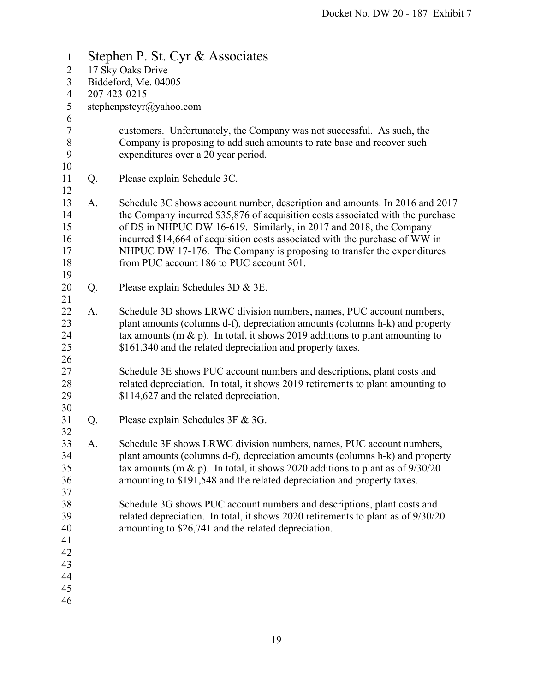| $\mathbf{1}$   | Stephen P. St. Cyr & Associates |                                                                                  |  |  |  |
|----------------|---------------------------------|----------------------------------------------------------------------------------|--|--|--|
| $\overline{2}$ | 17 Sky Oaks Drive               |                                                                                  |  |  |  |
| $\mathfrak{Z}$ | Biddeford, Me. 04005            |                                                                                  |  |  |  |
| $\overline{4}$ | 207-423-0215                    |                                                                                  |  |  |  |
| $\mathfrak{S}$ |                                 | stephenpstcyr@yahoo.com                                                          |  |  |  |
| 6              |                                 |                                                                                  |  |  |  |
| $\tau$         |                                 | customers. Unfortunately, the Company was not successful. As such, the           |  |  |  |
| $8\,$          |                                 | Company is proposing to add such amounts to rate base and recover such           |  |  |  |
| 9              |                                 | expenditures over a 20 year period.                                              |  |  |  |
| 10             |                                 |                                                                                  |  |  |  |
| 11<br>12       | Q.                              | Please explain Schedule 3C.                                                      |  |  |  |
| 13             | A.                              | Schedule 3C shows account number, description and amounts. In 2016 and 2017      |  |  |  |
| 14             |                                 | the Company incurred \$35,876 of acquisition costs associated with the purchase  |  |  |  |
| 15             |                                 | of DS in NHPUC DW 16-619. Similarly, in 2017 and 2018, the Company               |  |  |  |
| 16             |                                 | incurred \$14,664 of acquisition costs associated with the purchase of WW in     |  |  |  |
| 17             |                                 | NHPUC DW 17-176. The Company is proposing to transfer the expenditures           |  |  |  |
| 18             |                                 | from PUC account 186 to PUC account 301.                                         |  |  |  |
| 19             |                                 |                                                                                  |  |  |  |
| 20             | Q.                              | Please explain Schedules 3D & 3E.                                                |  |  |  |
| 21             |                                 |                                                                                  |  |  |  |
| 22             | A.                              | Schedule 3D shows LRWC division numbers, names, PUC account numbers,             |  |  |  |
| 23             |                                 | plant amounts (columns d-f), depreciation amounts (columns h-k) and property     |  |  |  |
| 24             |                                 | tax amounts (m & p). In total, it shows 2019 additions to plant amounting to     |  |  |  |
| 25             |                                 | \$161,340 and the related depreciation and property taxes.                       |  |  |  |
| 26             |                                 |                                                                                  |  |  |  |
| 27             |                                 | Schedule 3E shows PUC account numbers and descriptions, plant costs and          |  |  |  |
| 28             |                                 | related depreciation. In total, it shows 2019 retirements to plant amounting to  |  |  |  |
| 29             |                                 | \$114,627 and the related depreciation.                                          |  |  |  |
| 30             |                                 |                                                                                  |  |  |  |
| 31             | Q.                              | Please explain Schedules 3F & 3G.                                                |  |  |  |
| 32             |                                 |                                                                                  |  |  |  |
| 33             | A.                              | Schedule 3F shows LRWC division numbers, names, PUC account numbers,             |  |  |  |
| 34             |                                 | plant amounts (columns d-f), depreciation amounts (columns h-k) and property     |  |  |  |
| 35             |                                 | tax amounts (m & p). In total, it shows 2020 additions to plant as of $9/30/20$  |  |  |  |
| 36             |                                 | amounting to \$191,548 and the related depreciation and property taxes.          |  |  |  |
| 37             |                                 |                                                                                  |  |  |  |
| 38             |                                 | Schedule 3G shows PUC account numbers and descriptions, plant costs and          |  |  |  |
| 39             |                                 | related depreciation. In total, it shows 2020 retirements to plant as of 9/30/20 |  |  |  |
| 40             |                                 | amounting to \$26,741 and the related depreciation.                              |  |  |  |
| 41             |                                 |                                                                                  |  |  |  |
| 42             |                                 |                                                                                  |  |  |  |
| 43             |                                 |                                                                                  |  |  |  |
| 44             |                                 |                                                                                  |  |  |  |
| 45             |                                 |                                                                                  |  |  |  |
| 46             |                                 |                                                                                  |  |  |  |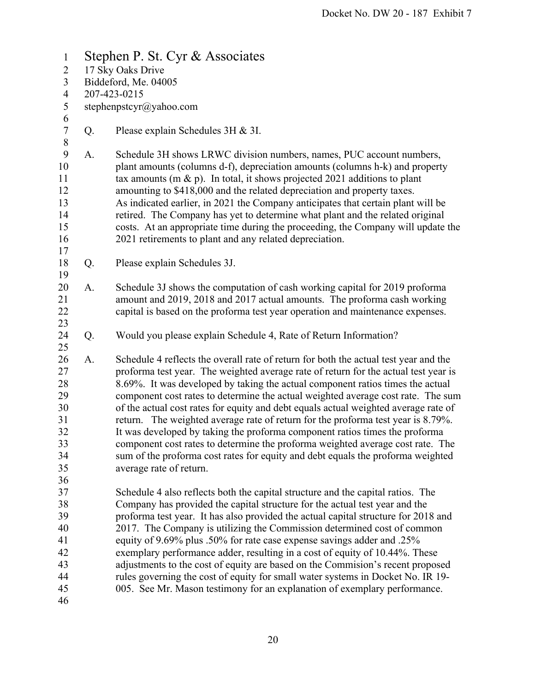1 Stephen P. St. Cyr & Associates 2 17 Sky Oaks Drive 3 Biddeford, Me. 04005 4 207-423-0215 5 stephenpstcyr@yahoo.com 6 7 Q. Please explain Schedules 3H & 3I. 8 9 A. Schedule 3H shows LRWC division numbers, names, PUC account numbers, 10 plant amounts (columns d-f), depreciation amounts (columns h-k) and property 11 tax amounts (m  $\&$  p). In total, it shows projected 2021 additions to plant 12 amounting to \$418,000 and the related depreciation and property taxes. 13 As indicated earlier, in 2021 the Company anticipates that certain plant will be 14 retired. The Company has yet to determine what plant and the related original 15 costs. At an appropriate time during the proceeding, the Company will update the 16 2021 retirements to plant and any related depreciation. 17 18 Q. Please explain Schedules 3J. 19 20 A. Schedule 3J shows the computation of cash working capital for 2019 proforma 21 amount and 2019, 2018 and 2017 actual amounts. The proforma cash working 22 capital is based on the proforma test year operation and maintenance expenses. 23 24 Q. Would you please explain Schedule 4, Rate of Return Information? 25 26 A. Schedule 4 reflects the overall rate of return for both the actual test year and the 27 proforma test year. The weighted average rate of return for the actual test year is 28 8.69%. It was developed by taking the actual component ratios times the actual 29 component cost rates to determine the actual weighted average cost rate. The sum 30 of the actual cost rates for equity and debt equals actual weighted average rate of 31 return. The weighted average rate of return for the proforma test year is 8.79%. 32 It was developed by taking the proforma component ratios times the proforma 33 component cost rates to determine the proforma weighted average cost rate. The 34 sum of the proforma cost rates for equity and debt equals the proforma weighted 35 average rate of return. 36 37 Schedule 4 also reflects both the capital structure and the capital ratios. The 38 Company has provided the capital structure for the actual test year and the 39 proforma test year. It has also provided the actual capital structure for 2018 and 40 2017. The Company is utilizing the Commission determined cost of common 41 equity of 9.69% plus .50% for rate case expense savings adder and .25% 42 exemplary performance adder, resulting in a cost of equity of 10.44%. These 43 adjustments to the cost of equity are based on the Commision's recent proposed 44 rules governing the cost of equity for small water systems in Docket No. IR 19- 45 005. See Mr. Mason testimony for an explanation of exemplary performance. 46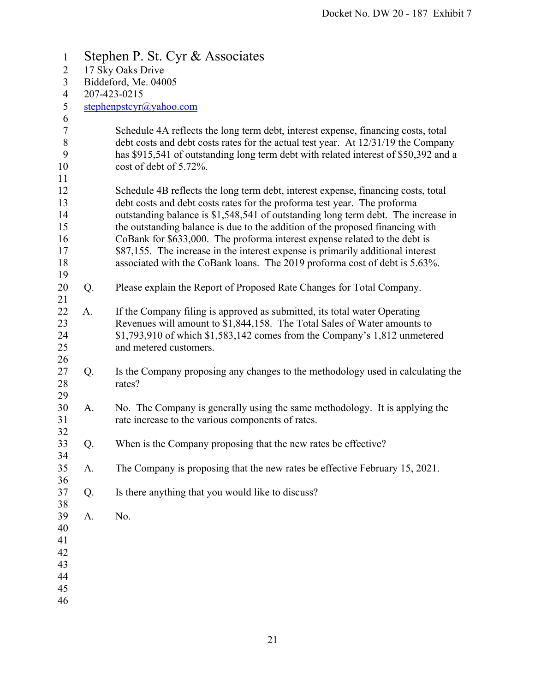| $\mathbf{1}$             | Stephen P. St. Cyr & Associates |                                                                                                                                                                        |  |  |  |
|--------------------------|---------------------------------|------------------------------------------------------------------------------------------------------------------------------------------------------------------------|--|--|--|
| $\overline{2}$           | 17 Sky Oaks Drive               |                                                                                                                                                                        |  |  |  |
| $\overline{3}$           | Biddeford, Me. 04005            |                                                                                                                                                                        |  |  |  |
| $\overline{\mathcal{A}}$ |                                 | 207-423-0215                                                                                                                                                           |  |  |  |
| 5                        |                                 | stephenpstcyr@yahoo.com                                                                                                                                                |  |  |  |
| 6<br>$\boldsymbol{7}$    |                                 |                                                                                                                                                                        |  |  |  |
| $\, 8$                   |                                 | Schedule 4A reflects the long term debt, interest expense, financing costs, total<br>debt costs and debt costs rates for the actual test year. At 12/31/19 the Company |  |  |  |
| 9                        |                                 | has \$915,541 of outstanding long term debt with related interest of \$50,392 and a                                                                                    |  |  |  |
| 10                       |                                 | cost of debt of 5.72%.                                                                                                                                                 |  |  |  |
| 11                       |                                 |                                                                                                                                                                        |  |  |  |
| 12                       |                                 | Schedule 4B reflects the long term debt, interest expense, financing costs, total                                                                                      |  |  |  |
| 13                       |                                 | debt costs and debt costs rates for the proforma test year. The proforma                                                                                               |  |  |  |
| 14                       |                                 | outstanding balance is \$1,548,541 of outstanding long term debt. The increase in                                                                                      |  |  |  |
| 15                       |                                 | the outstanding balance is due to the addition of the proposed financing with                                                                                          |  |  |  |
| 16                       |                                 | CoBank for \$633,000. The proforma interest expense related to the debt is                                                                                             |  |  |  |
| 17                       |                                 | \$87,155. The increase in the interest expense is primarily additional interest                                                                                        |  |  |  |
| 18                       |                                 | associated with the CoBank loans. The 2019 proforma cost of debt is 5.63%.                                                                                             |  |  |  |
| 19<br>20                 | Q.                              | Please explain the Report of Proposed Rate Changes for Total Company.                                                                                                  |  |  |  |
| 21                       |                                 |                                                                                                                                                                        |  |  |  |
| 22                       | A.                              | If the Company filing is approved as submitted, its total water Operating                                                                                              |  |  |  |
| 23                       |                                 | Revenues will amount to \$1,844,158. The Total Sales of Water amounts to                                                                                               |  |  |  |
| 24                       |                                 | $$1,793,910$ of which $$1,583,142$ comes from the Company's 1,812 unmetered                                                                                            |  |  |  |
| 25                       |                                 | and metered customers.                                                                                                                                                 |  |  |  |
| 26                       |                                 |                                                                                                                                                                        |  |  |  |
| 27                       | Q.                              | Is the Company proposing any changes to the methodology used in calculating the                                                                                        |  |  |  |
| 28                       |                                 | rates?                                                                                                                                                                 |  |  |  |
| 29                       |                                 |                                                                                                                                                                        |  |  |  |
| 30<br>31                 | A.                              | No. The Company is generally using the same methodology. It is applying the<br>rate increase to the various components of rates.                                       |  |  |  |
| 32                       |                                 |                                                                                                                                                                        |  |  |  |
| 33                       | Q.                              | When is the Company proposing that the new rates be effective?                                                                                                         |  |  |  |
| 34                       |                                 |                                                                                                                                                                        |  |  |  |
| 35                       | A.                              | The Company is proposing that the new rates be effective February 15, 2021.                                                                                            |  |  |  |
| 36                       |                                 |                                                                                                                                                                        |  |  |  |
| 37                       | Q.                              | Is there anything that you would like to discuss?                                                                                                                      |  |  |  |
| 38                       |                                 |                                                                                                                                                                        |  |  |  |
| 39                       | A.                              | No.                                                                                                                                                                    |  |  |  |
| 40                       |                                 |                                                                                                                                                                        |  |  |  |
| 41                       |                                 |                                                                                                                                                                        |  |  |  |
| 42                       |                                 |                                                                                                                                                                        |  |  |  |
| 43<br>44                 |                                 |                                                                                                                                                                        |  |  |  |
| 45                       |                                 |                                                                                                                                                                        |  |  |  |
|                          |                                 |                                                                                                                                                                        |  |  |  |
| 46                       |                                 |                                                                                                                                                                        |  |  |  |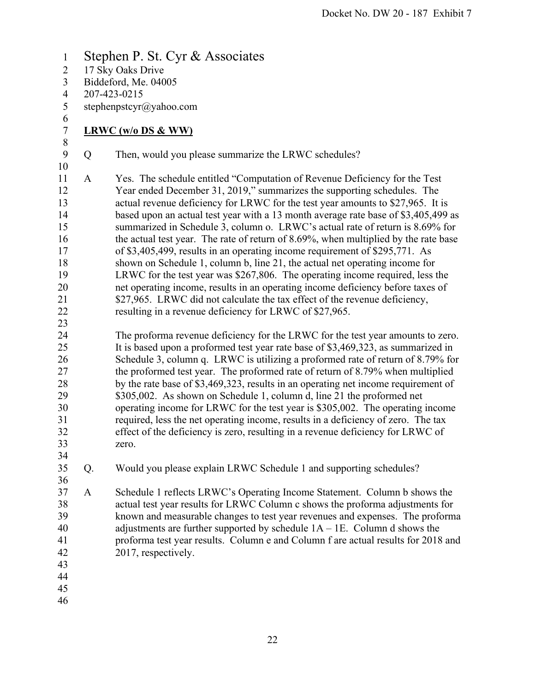1 Stephen P. St. Cyr & Associates 2 17 Sky Oaks Drive 3 Biddeford, Me. 04005 4 207-423-0215 5 stephenpstcyr@yahoo.com 6 7 **LRWC (w/o DS & WW)**  8 9 Q Then, would you please summarize the LRWC schedules? 10 11 A Yes. The schedule entitled "Computation of Revenue Deficiency for the Test 12 Year ended December 31, 2019," summarizes the supporting schedules. The 13 actual revenue deficiency for LRWC for the test year amounts to \$27,965. It is 14 based upon an actual test year with a 13 month average rate base of \$3,405,499 as 15 summarized in Schedule 3, column o. LRWC's actual rate of return is 8.69% for 16 the actual test year. The rate of return of 8.69%, when multiplied by the rate base 17 of \$3,405,499, results in an operating income requirement of \$295,771. As 18 shown on Schedule 1, column b, line 21, the actual net operating income for 19 LRWC for the test year was \$267,806. The operating income required, less the 20 net operating income, results in an operating income deficiency before taxes of 21 \$27,965. LRWC did not calculate the tax effect of the revenue deficiency, 22 resulting in a revenue deficiency for LRWC of \$27,965. 23 24 The proforma revenue deficiency for the LRWC for the test year amounts to zero. 25 It is based upon a proformed test year rate base of \$3,469,323, as summarized in 26 Schedule 3, column q. LRWC is utilizing a proformed rate of return of 8.79% for 27 the proformed test year. The proformed rate of return of 8.79% when multiplied 28 by the rate base of \$3,469,323, results in an operating net income requirement of 29 \$305,002. As shown on Schedule 1, column d, line 21 the proformed net 30 operating income for LRWC for the test year is \$305,002. The operating income 31 required, less the net operating income, results in a deficiency of zero. The tax 32 effect of the deficiency is zero, resulting in a revenue deficiency for LRWC of 33 zero. 34 35 Q. Would you please explain LRWC Schedule 1 and supporting schedules? 36 37 A Schedule 1 reflects LRWC's Operating Income Statement. Column b shows the 38 actual test year results for LRWC Column c shows the proforma adjustments for 39 known and measurable changes to test year revenues and expenses. The proforma 40 adjustments are further supported by schedule 1A – 1E. Column d shows the 41 proforma test year results. Column e and Column f are actual results for 2018 and 42 2017, respectively. 43 44 45 46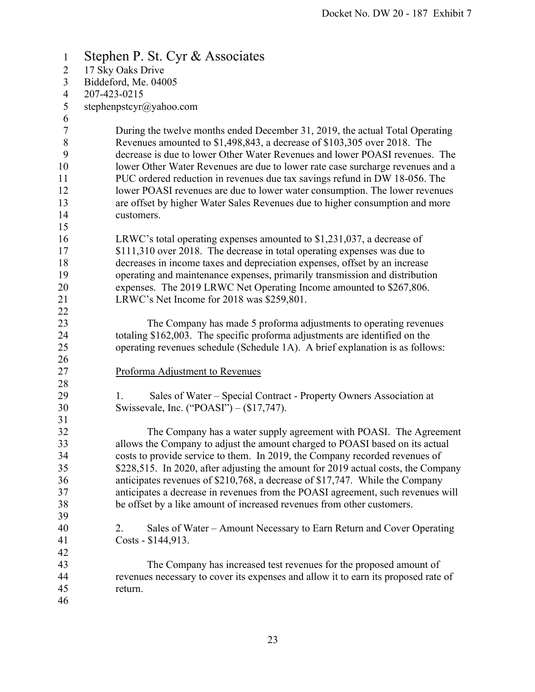1 Stephen P. St. Cyr & Associates 2 17 Sky Oaks Drive 3 Biddeford, Me. 04005 4 207-423-0215 5 stephenpstcyr@yahoo.com 6 7 During the twelve months ended December 31, 2019, the actual Total Operating 8 Revenues amounted to \$1,498,843, a decrease of \$103,305 over 2018. The 9 decrease is due to lower Other Water Revenues and lower POASI revenues. The 10 lower Other Water Revenues are due to lower rate case surcharge revenues and a 11 PUC ordered reduction in revenues due tax savings refund in DW 18-056. The 12 lower POASI revenues are due to lower water consumption. The lower revenues 13 are offset by higher Water Sales Revenues due to higher consumption and more 14 customers. 15 16 LRWC's total operating expenses amounted to \$1,231,037, a decrease of 17 \$111,310 over 2018. The decrease in total operating expenses was due to 18 decreases in income taxes and depreciation expenses, offset by an increase 19 operating and maintenance expenses, primarily transmission and distribution 20 expenses. The 2019 LRWC Net Operating Income amounted to \$267,806. 21 LRWC's Net Income for 2018 was \$259,801. 22 23 The Company has made 5 proforma adjustments to operating revenues 24 totaling \$162,003. The specific proforma adjustments are identified on the 25 operating revenues schedule (Schedule 1A). A brief explanation is as follows: 26 27 Proforma Adjustment to Revenues 28 29 1. Sales of Water – Special Contract - Property Owners Association at 30 Swissevale, Inc. ("POASI") – (\$17,747). 31 32 The Company has a water supply agreement with POASI. The Agreement 33 allows the Company to adjust the amount charged to POASI based on its actual 34 costs to provide service to them. In 2019, the Company recorded revenues of 35 \$228,515. In 2020, after adjusting the amount for 2019 actual costs, the Company 36 anticipates revenues of \$210,768, a decrease of \$17,747. While the Company 37 anticipates a decrease in revenues from the POASI agreement, such revenues will 38 be offset by a like amount of increased revenues from other customers. 39 40 2. Sales of Water – Amount Necessary to Earn Return and Cover Operating 41 Costs - \$144,913. 42 43 The Company has increased test revenues for the proposed amount of 44 revenues necessary to cover its expenses and allow it to earn its proposed rate of 45 return. 46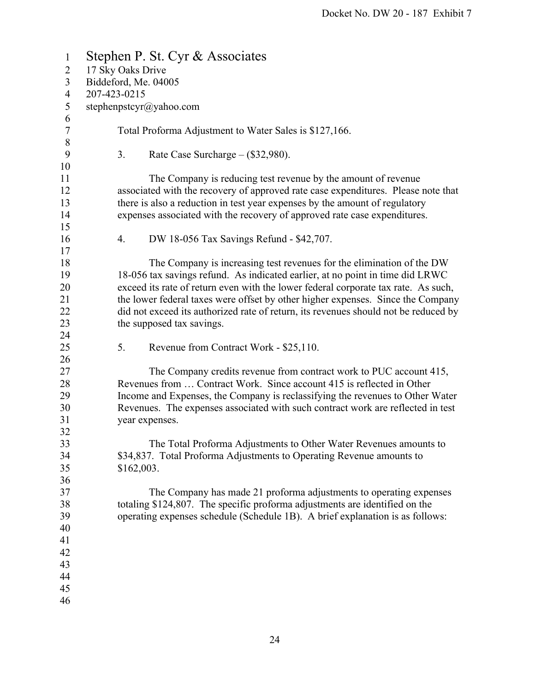| $\mathbf{1}$             | Stephen P. St. Cyr & Associates                                                     |  |  |  |
|--------------------------|-------------------------------------------------------------------------------------|--|--|--|
| $\overline{2}$           | 17 Sky Oaks Drive                                                                   |  |  |  |
| 3                        | Biddeford, Me. 04005                                                                |  |  |  |
| $\overline{\mathcal{A}}$ | 207-423-0215                                                                        |  |  |  |
| 5                        | stephenpstcyr@yahoo.com                                                             |  |  |  |
| 6                        |                                                                                     |  |  |  |
| 7                        | Total Proforma Adjustment to Water Sales is \$127,166.                              |  |  |  |
| $8\,$                    |                                                                                     |  |  |  |
| 9                        | 3.<br>Rate Case Surcharge $-$ (\$32,980).                                           |  |  |  |
| 10                       |                                                                                     |  |  |  |
| 11                       | The Company is reducing test revenue by the amount of revenue                       |  |  |  |
| 12                       | associated with the recovery of approved rate case expenditures. Please note that   |  |  |  |
| 13                       | there is also a reduction in test year expenses by the amount of regulatory         |  |  |  |
| 14                       | expenses associated with the recovery of approved rate case expenditures.           |  |  |  |
| 15                       |                                                                                     |  |  |  |
| 16                       | DW 18-056 Tax Savings Refund - \$42,707.<br>4.                                      |  |  |  |
| 17                       |                                                                                     |  |  |  |
| 18                       | The Company is increasing test revenues for the elimination of the DW               |  |  |  |
| 19                       | 18-056 tax savings refund. As indicated earlier, at no point in time did LRWC       |  |  |  |
| 20                       | exceed its rate of return even with the lower federal corporate tax rate. As such,  |  |  |  |
| 21                       | the lower federal taxes were offset by other higher expenses. Since the Company     |  |  |  |
| 22                       | did not exceed its authorized rate of return, its revenues should not be reduced by |  |  |  |
| 23                       | the supposed tax savings.                                                           |  |  |  |
| 24                       |                                                                                     |  |  |  |
| 25                       | 5.<br>Revenue from Contract Work - \$25,110.                                        |  |  |  |
| 26                       |                                                                                     |  |  |  |
| 27                       | The Company credits revenue from contract work to PUC account 415,                  |  |  |  |
| 28                       | Revenues from  Contract Work. Since account 415 is reflected in Other               |  |  |  |
| 29                       | Income and Expenses, the Company is reclassifying the revenues to Other Water       |  |  |  |
| 30                       | Revenues. The expenses associated with such contract work are reflected in test     |  |  |  |
| 31                       | year expenses.                                                                      |  |  |  |
| 32                       |                                                                                     |  |  |  |
| 33                       | The Total Proforma Adjustments to Other Water Revenues amounts to                   |  |  |  |
| 34                       | \$34,837. Total Proforma Adjustments to Operating Revenue amounts to                |  |  |  |
| 35                       | \$162,003.                                                                          |  |  |  |
| 36                       |                                                                                     |  |  |  |
| 37                       | The Company has made 21 proforma adjustments to operating expenses                  |  |  |  |
| 38                       | totaling \$124,807. The specific proforma adjustments are identified on the         |  |  |  |
| 39                       | operating expenses schedule (Schedule 1B). A brief explanation is as follows:       |  |  |  |
| 40                       |                                                                                     |  |  |  |
| 41                       |                                                                                     |  |  |  |
| 42                       |                                                                                     |  |  |  |
| 43                       |                                                                                     |  |  |  |
| 44                       |                                                                                     |  |  |  |
| 45                       |                                                                                     |  |  |  |
| 46                       |                                                                                     |  |  |  |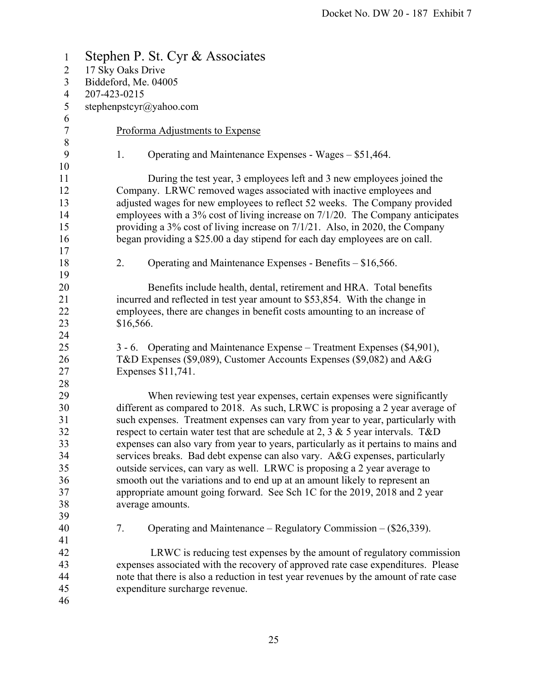| $\mathbf{1}$     | Stephen P. St. Cyr & Associates                                                                                                                          |  |  |  |
|------------------|----------------------------------------------------------------------------------------------------------------------------------------------------------|--|--|--|
| $\overline{2}$   | 17 Sky Oaks Drive                                                                                                                                        |  |  |  |
| 3                | Biddeford, Me. 04005                                                                                                                                     |  |  |  |
| $\overline{4}$   | 207-423-0215                                                                                                                                             |  |  |  |
| $\sqrt{5}$       | stephenpstcyr@yahoo.com                                                                                                                                  |  |  |  |
| $\sqrt{6}$       |                                                                                                                                                          |  |  |  |
| $\boldsymbol{7}$ | Proforma Adjustments to Expense                                                                                                                          |  |  |  |
| $8\,$            |                                                                                                                                                          |  |  |  |
| 9                | Operating and Maintenance Expenses - Wages – \$51,464.<br>1.                                                                                             |  |  |  |
| 10               |                                                                                                                                                          |  |  |  |
| 11               | During the test year, 3 employees left and 3 new employees joined the                                                                                    |  |  |  |
| 12               | Company. LRWC removed wages associated with inactive employees and                                                                                       |  |  |  |
| 13               | adjusted wages for new employees to reflect 52 weeks. The Company provided                                                                               |  |  |  |
| 14               | employees with a 3% cost of living increase on 7/1/20. The Company anticipates                                                                           |  |  |  |
| 15               | providing a $3\%$ cost of living increase on $7/1/21$ . Also, in 2020, the Company                                                                       |  |  |  |
| 16               | began providing a \$25.00 a day stipend for each day employees are on call.                                                                              |  |  |  |
| 17               |                                                                                                                                                          |  |  |  |
| 18               | 2.<br>Operating and Maintenance Expenses - Benefits – \$16,566.                                                                                          |  |  |  |
| 19               |                                                                                                                                                          |  |  |  |
| 20               | Benefits include health, dental, retirement and HRA. Total benefits                                                                                      |  |  |  |
| 21               | incurred and reflected in test year amount to \$53,854. With the change in                                                                               |  |  |  |
| 22               | employees, there are changes in benefit costs amounting to an increase of                                                                                |  |  |  |
| 23               | \$16,566.                                                                                                                                                |  |  |  |
| 24               |                                                                                                                                                          |  |  |  |
| 25               | 3 - 6. Operating and Maintenance Expense - Treatment Expenses (\$4,901),                                                                                 |  |  |  |
| 26               | T&D Expenses (\$9,089), Customer Accounts Expenses (\$9,082) and A&G                                                                                     |  |  |  |
| 27               | Expenses \$11,741.                                                                                                                                       |  |  |  |
| 28               |                                                                                                                                                          |  |  |  |
| 29               | When reviewing test year expenses, certain expenses were significantly                                                                                   |  |  |  |
| 30               | different as compared to 2018. As such, LRWC is proposing a 2 year average of                                                                            |  |  |  |
| 31               | such expenses. Treatment expenses can vary from year to year, particularly with                                                                          |  |  |  |
| 32               | respect to certain water test that are schedule at 2, 3 $\&$ 5 year intervals. T&D                                                                       |  |  |  |
| 33<br>34         | expenses can also vary from year to years, particularly as it pertains to mains and                                                                      |  |  |  |
| 35               | services breaks. Bad debt expense can also vary. A&G expenses, particularly<br>outside services, can vary as well. LRWC is proposing a 2 year average to |  |  |  |
| 36               | smooth out the variations and to end up at an amount likely to represent an                                                                              |  |  |  |
| 37               | appropriate amount going forward. See Sch 1C for the 2019, 2018 and 2 year                                                                               |  |  |  |
| 38               | average amounts.                                                                                                                                         |  |  |  |
| 39               |                                                                                                                                                          |  |  |  |
| 40               | Operating and Maintenance – Regulatory Commission – $(\$26,339)$ .<br>7.                                                                                 |  |  |  |
| 41               |                                                                                                                                                          |  |  |  |
| 42               | LRWC is reducing test expenses by the amount of regulatory commission                                                                                    |  |  |  |
| 43               | expenses associated with the recovery of approved rate case expenditures. Please                                                                         |  |  |  |
| 44               | note that there is also a reduction in test year revenues by the amount of rate case                                                                     |  |  |  |
| 45               | expenditure surcharge revenue.                                                                                                                           |  |  |  |
| 46               |                                                                                                                                                          |  |  |  |
|                  |                                                                                                                                                          |  |  |  |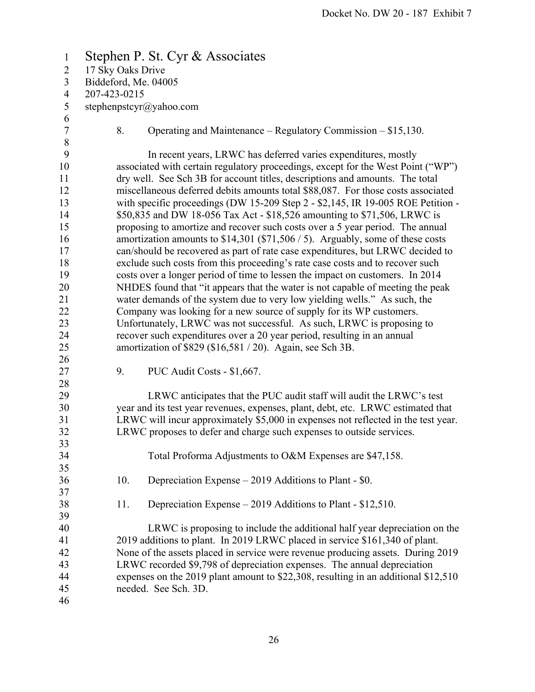1 Stephen P. St. Cyr & Associates 2 17 Sky Oaks Drive 3 Biddeford, Me. 04005 4 207-423-0215 5 stephenpstcyr@yahoo.com 6 7 8. Operating and Maintenance – Regulatory Commission – \$15,130. 8 9 In recent years, LRWC has deferred varies expenditures, mostly 10 associated with certain regulatory proceedings, except for the West Point ("WP") 11 dry well. See Sch 3B for account titles, descriptions and amounts. The total 12 miscellaneous deferred debits amounts total \$88,087. For those costs associated 13 with specific proceedings (DW 15-209 Step 2 - \$2,145, IR 19-005 ROE Petition - 14 \$50,835 and DW 18-056 Tax Act - \$18,526 amounting to \$71,506, LRWC is 15 proposing to amortize and recover such costs over a 5 year period. The annual 16 amortization amounts to \$14,301 (\$71,506 / 5). Arguably, some of these costs 17 can/should be recovered as part of rate case expenditures, but LRWC decided to 18 exclude such costs from this proceeding's rate case costs and to recover such 19 costs over a longer period of time to lessen the impact on customers. In 2014 20 NHDES found that "it appears that the water is not capable of meeting the peak 21 water demands of the system due to very low yielding wells." As such, the 22 Company was looking for a new source of supply for its WP customers. 23 Unfortunately, LRWC was not successful. As such, LRWC is proposing to 24 recover such expenditures over a 20 year period, resulting in an annual 25 amortization of \$829 (\$16,581 / 20). Again, see Sch 3B. 26 27 9. PUC Audit Costs - \$1,667. 28 29 LRWC anticipates that the PUC audit staff will audit the LRWC's test 30 year and its test year revenues, expenses, plant, debt, etc. LRWC estimated that 31 LRWC will incur approximately \$5,000 in expenses not reflected in the test year. 32 LRWC proposes to defer and charge such expenses to outside services. 33 34 Total Proforma Adjustments to O&M Expenses are \$47,158. 35 36 10. Depreciation Expense – 2019 Additions to Plant - \$0. 37 38 11. Depreciation Expense – 2019 Additions to Plant - \$12,510. 39 40 LRWC is proposing to include the additional half year depreciation on the 41 2019 additions to plant. In 2019 LRWC placed in service \$161,340 of plant. 42 None of the assets placed in service were revenue producing assets. During 2019 43 LRWC recorded \$9,798 of depreciation expenses. The annual depreciation 44 expenses on the 2019 plant amount to \$22,308, resulting in an additional \$12,510 45 needed. See Sch. 3D. 46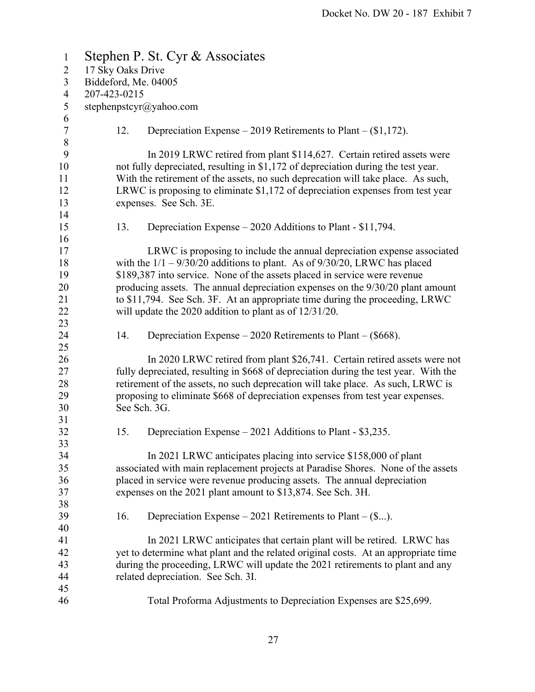| $\mathbf{1}$     | Stephen P. St. Cyr & Associates |                                                                                |                                                                                      |  |
|------------------|---------------------------------|--------------------------------------------------------------------------------|--------------------------------------------------------------------------------------|--|
| $\overline{2}$   | 17 Sky Oaks Drive               |                                                                                |                                                                                      |  |
| 3                | Biddeford, Me. 04005            |                                                                                |                                                                                      |  |
| $\overline{4}$   | 207-423-0215                    |                                                                                |                                                                                      |  |
| 5                |                                 |                                                                                | stephenpstcyr@yahoo.com                                                              |  |
| 6                |                                 |                                                                                |                                                                                      |  |
| $\boldsymbol{7}$ |                                 | 12.                                                                            | Depreciation Expense – 2019 Retirements to Plant – $(\$1,172)$ .                     |  |
| $\,8\,$          |                                 |                                                                                |                                                                                      |  |
| 9                |                                 |                                                                                | In 2019 LRWC retired from plant \$114,627. Certain retired assets were               |  |
| 10               |                                 |                                                                                | not fully depreciated, resulting in \$1,172 of depreciation during the test year.    |  |
| 11               |                                 |                                                                                | With the retirement of the assets, no such deprecation will take place. As such,     |  |
| 12               |                                 |                                                                                | LRWC is proposing to eliminate \$1,172 of depreciation expenses from test year       |  |
| 13               |                                 |                                                                                | expenses. See Sch. 3E.                                                               |  |
| 14               |                                 |                                                                                |                                                                                      |  |
| 15               |                                 | 13.                                                                            | Depreciation Expense – 2020 Additions to Plant - \$11,794.                           |  |
| 16               |                                 |                                                                                |                                                                                      |  |
| 17               |                                 |                                                                                | LRWC is proposing to include the annual depreciation expense associated              |  |
| 18               |                                 |                                                                                | with the $1/1 - 9/30/20$ additions to plant. As of $9/30/20$ , LRWC has placed       |  |
| 19               |                                 |                                                                                | \$189,387 into service. None of the assets placed in service were revenue            |  |
| 20               |                                 |                                                                                | producing assets. The annual depreciation expenses on the $9/30/20$ plant amount     |  |
| 21               |                                 |                                                                                | to \$11,794. See Sch. 3F. At an appropriate time during the proceeding, LRWC         |  |
| 22               |                                 |                                                                                | will update the $2020$ addition to plant as of $12/31/20$ .                          |  |
| 23               |                                 |                                                                                |                                                                                      |  |
| 24               |                                 | 14.                                                                            | Depreciation Expense $-2020$ Retirements to Plant $-(\$668)$ .                       |  |
| 25               |                                 |                                                                                |                                                                                      |  |
| 26               |                                 |                                                                                | In 2020 LRWC retired from plant \$26,741. Certain retired assets were not            |  |
| 27               |                                 |                                                                                | fully depreciated, resulting in \$668 of depreciation during the test year. With the |  |
| 28               |                                 |                                                                                | retirement of the assets, no such deprecation will take place. As such, LRWC is      |  |
| 29               |                                 | proposing to eliminate \$668 of depreciation expenses from test year expenses. |                                                                                      |  |
| 30               |                                 | See Sch. 3G.                                                                   |                                                                                      |  |
| 31               |                                 |                                                                                |                                                                                      |  |
| 32               |                                 | 15.                                                                            | Depreciation Expense – 2021 Additions to Plant - \$3,235.                            |  |
| 33               |                                 |                                                                                |                                                                                      |  |
| 34               |                                 |                                                                                | In 2021 LRWC anticipates placing into service \$158,000 of plant                     |  |
| 35               |                                 |                                                                                | associated with main replacement projects at Paradise Shores. None of the assets     |  |
| 36               |                                 |                                                                                | placed in service were revenue producing assets. The annual depreciation             |  |
| 37               |                                 |                                                                                | expenses on the 2021 plant amount to \$13,874. See Sch. 3H.                          |  |
| 38               |                                 |                                                                                |                                                                                      |  |
| 39               |                                 | 16.                                                                            | Depreciation Expense $-2021$ Retirements to Plant $-(\$).$                           |  |
| 40               |                                 |                                                                                |                                                                                      |  |
| 41               |                                 |                                                                                | In 2021 LRWC anticipates that certain plant will be retired. LRWC has                |  |
| 42               |                                 |                                                                                | yet to determine what plant and the related original costs. At an appropriate time   |  |
| 43<br>44         |                                 |                                                                                | during the proceeding, LRWC will update the 2021 retirements to plant and any        |  |
| 45               |                                 |                                                                                | related depreciation. See Sch. 3I.                                                   |  |
| 46               |                                 |                                                                                | Total Proforma Adjustments to Depreciation Expenses are \$25,699.                    |  |
|                  |                                 |                                                                                |                                                                                      |  |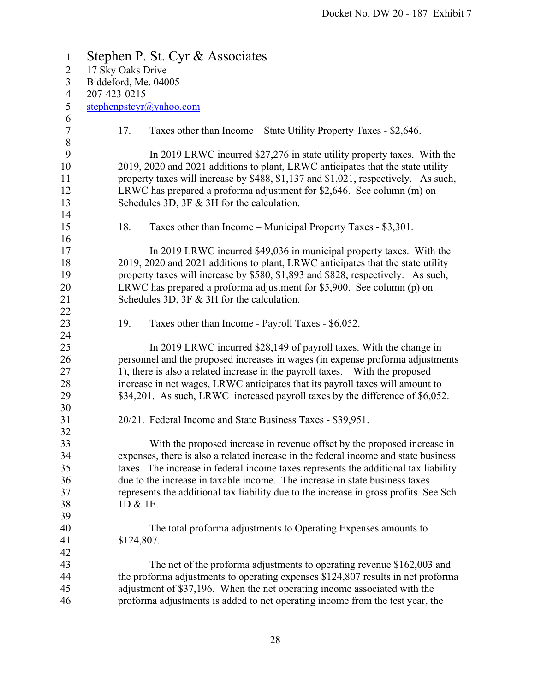| $\mathbf{1}$                               | Stephen P. St. Cyr & Associates                                                                                                                                                                                                                                                                                                                                                                         |  |  |  |
|--------------------------------------------|---------------------------------------------------------------------------------------------------------------------------------------------------------------------------------------------------------------------------------------------------------------------------------------------------------------------------------------------------------------------------------------------------------|--|--|--|
| $\overline{2}$                             | 17 Sky Oaks Drive                                                                                                                                                                                                                                                                                                                                                                                       |  |  |  |
| $\overline{3}$                             | Biddeford, Me. 04005                                                                                                                                                                                                                                                                                                                                                                                    |  |  |  |
| $\overline{4}$                             | 207-423-0215                                                                                                                                                                                                                                                                                                                                                                                            |  |  |  |
| $\mathfrak{S}$                             | stephenpstcyr@yahoo.com                                                                                                                                                                                                                                                                                                                                                                                 |  |  |  |
| 6<br>$\tau$                                | 17.<br>Taxes other than Income – State Utility Property Taxes - \$2,646.                                                                                                                                                                                                                                                                                                                                |  |  |  |
| $\,8\,$<br>9<br>10<br>11<br>12<br>13<br>14 | In 2019 LRWC incurred \$27,276 in state utility property taxes. With the<br>2019, 2020 and 2021 additions to plant, LRWC anticipates that the state utility<br>property taxes will increase by \$488, \$1,137 and \$1,021, respectively. As such,<br>LRWC has prepared a proforma adjustment for \$2,646. See column (m) on<br>Schedules 3D, $3F \& 3H$ for the calculation.                            |  |  |  |
| 15                                         | 18.<br>Taxes other than Income – Municipal Property Taxes - \$3,301.                                                                                                                                                                                                                                                                                                                                    |  |  |  |
| 16<br>17<br>18<br>19<br>20<br>21<br>22     | In 2019 LRWC incurred \$49,036 in municipal property taxes. With the<br>2019, 2020 and 2021 additions to plant, LRWC anticipates that the state utility<br>property taxes will increase by \$580, \$1,893 and \$828, respectively. As such,<br>LRWC has prepared a proforma adjustment for \$5,900. See column (p) on<br>Schedules 3D, $3F \& 3H$ for the calculation.                                  |  |  |  |
| 23<br>24                                   | 19.<br>Taxes other than Income - Payroll Taxes - \$6,052.                                                                                                                                                                                                                                                                                                                                               |  |  |  |
| 25<br>26<br>27<br>28<br>29                 | In 2019 LRWC incurred \$28,149 of payroll taxes. With the change in<br>personnel and the proposed increases in wages (in expense proforma adjustments<br>1), there is also a related increase in the payroll taxes. With the proposed<br>increase in net wages, LRWC anticipates that its payroll taxes will amount to<br>\$34,201. As such, LRWC increased payroll taxes by the difference of \$6,052. |  |  |  |
| 30<br>31                                   | 20/21. Federal Income and State Business Taxes - \$39,951.                                                                                                                                                                                                                                                                                                                                              |  |  |  |
| 32                                         |                                                                                                                                                                                                                                                                                                                                                                                                         |  |  |  |
| 33                                         | With the proposed increase in revenue offset by the proposed increase in                                                                                                                                                                                                                                                                                                                                |  |  |  |
| 34<br>35                                   | expenses, there is also a related increase in the federal income and state business<br>taxes. The increase in federal income taxes represents the additional tax liability                                                                                                                                                                                                                              |  |  |  |
| 36                                         | due to the increase in taxable income. The increase in state business taxes                                                                                                                                                                                                                                                                                                                             |  |  |  |
| 37                                         | represents the additional tax liability due to the increase in gross profits. See Sch                                                                                                                                                                                                                                                                                                                   |  |  |  |
| 38                                         | 1D & 1E.                                                                                                                                                                                                                                                                                                                                                                                                |  |  |  |
| 39                                         |                                                                                                                                                                                                                                                                                                                                                                                                         |  |  |  |
| 40                                         | The total proforma adjustments to Operating Expenses amounts to                                                                                                                                                                                                                                                                                                                                         |  |  |  |
| 41                                         | \$124,807.                                                                                                                                                                                                                                                                                                                                                                                              |  |  |  |
| 42                                         |                                                                                                                                                                                                                                                                                                                                                                                                         |  |  |  |
| 43                                         | The net of the proforma adjustments to operating revenue \$162,003 and                                                                                                                                                                                                                                                                                                                                  |  |  |  |
| 44                                         | the proforma adjustments to operating expenses \$124,807 results in net proforma                                                                                                                                                                                                                                                                                                                        |  |  |  |
| 45                                         | adjustment of \$37,196. When the net operating income associated with the                                                                                                                                                                                                                                                                                                                               |  |  |  |
| 46                                         | proforma adjustments is added to net operating income from the test year, the                                                                                                                                                                                                                                                                                                                           |  |  |  |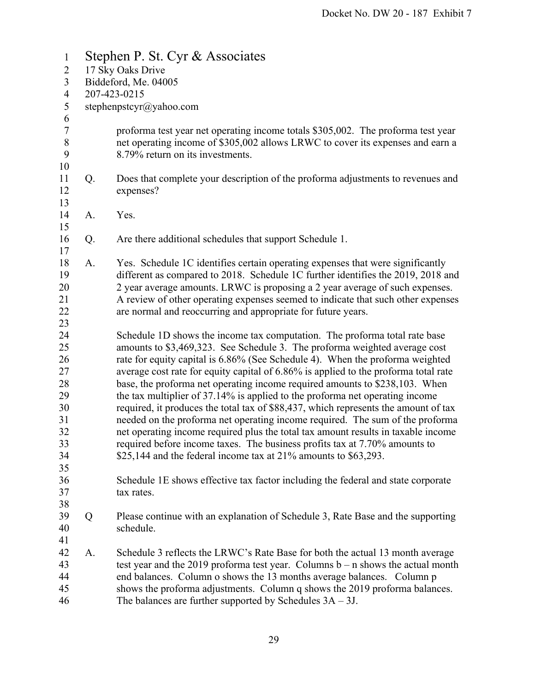1 Stephen P. St. Cyr & Associates 2 17 Sky Oaks Drive 3 Biddeford, Me. 04005 4 207-423-0215 5 stephenpstcyr@yahoo.com 6 7 proforma test year net operating income totals \$305,002. The proforma test year 8 net operating income of \$305,002 allows LRWC to cover its expenses and earn a 9 8.79% return on its investments. 10 11 Q. Does that complete your description of the proforma adjustments to revenues and 12 expenses? 13 14 A. Yes. 15 16 Q. Are there additional schedules that support Schedule 1. 17 18 A. Yes. Schedule 1C identifies certain operating expenses that were significantly 19 different as compared to 2018. Schedule 1C further identifies the 2019, 2018 and 20 2 year average amounts. LRWC is proposing a 2 year average of such expenses. 21 A review of other operating expenses seemed to indicate that such other expenses 22 are normal and reoccurring and appropriate for future years. 23 24 Schedule 1D shows the income tax computation. The proforma total rate base 25 amounts to \$3,469,323. See Schedule 3. The proforma weighted average cost 26 rate for equity capital is 6.86% (See Schedule 4). When the proforma weighted 27 average cost rate for equity capital of 6.86% is applied to the proforma total rate 28 base, the proforma net operating income required amounts to \$238,103. When 29 the tax multiplier of 37.14% is applied to the proforma net operating income 30 required, it produces the total tax of \$88,437, which represents the amount of tax 31 needed on the proforma net operating income required. The sum of the proforma 32 net operating income required plus the total tax amount results in taxable income 33 required before income taxes. The business profits tax at 7.70% amounts to 34 \$25,144 and the federal income tax at 21% amounts to \$63,293. 35 36 Schedule 1E shows effective tax factor including the federal and state corporate 37 tax rates. 38 39 Q Please continue with an explanation of Schedule 3, Rate Base and the supporting 40 schedule. 41 42 A. Schedule 3 reflects the LRWC's Rate Base for both the actual 13 month average 43 test year and the 2019 proforma test year. Columns b – n shows the actual month 44 end balances. Column o shows the 13 months average balances. Column p 45 shows the proforma adjustments. Column q shows the 2019 proforma balances. 46 The balances are further supported by Schedules 3A – 3J.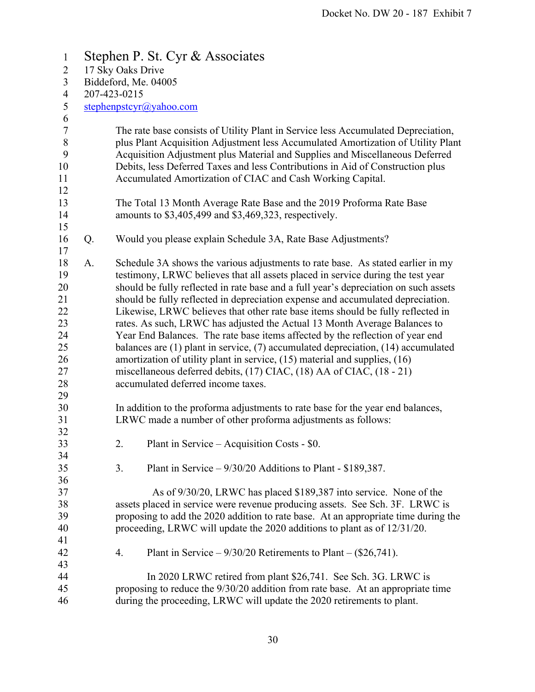| $\mathbf{1}$                                                         | Stephen P. St. Cyr & Associates |                                                                                                                                                                                                                                                                                                                                                                                                                                                                                                                                                                                                                                                                                                                                                                                                                                                                                           |  |  |  |
|----------------------------------------------------------------------|---------------------------------|-------------------------------------------------------------------------------------------------------------------------------------------------------------------------------------------------------------------------------------------------------------------------------------------------------------------------------------------------------------------------------------------------------------------------------------------------------------------------------------------------------------------------------------------------------------------------------------------------------------------------------------------------------------------------------------------------------------------------------------------------------------------------------------------------------------------------------------------------------------------------------------------|--|--|--|
| $\overline{2}$                                                       |                                 | 17 Sky Oaks Drive                                                                                                                                                                                                                                                                                                                                                                                                                                                                                                                                                                                                                                                                                                                                                                                                                                                                         |  |  |  |
| 3                                                                    |                                 | Biddeford, Me. 04005                                                                                                                                                                                                                                                                                                                                                                                                                                                                                                                                                                                                                                                                                                                                                                                                                                                                      |  |  |  |
| $\overline{4}$                                                       |                                 | 207-423-0215                                                                                                                                                                                                                                                                                                                                                                                                                                                                                                                                                                                                                                                                                                                                                                                                                                                                              |  |  |  |
| 5                                                                    |                                 | stephenpstcyr@yahoo.com                                                                                                                                                                                                                                                                                                                                                                                                                                                                                                                                                                                                                                                                                                                                                                                                                                                                   |  |  |  |
| 6<br>$\tau$<br>$8\,$<br>9<br>10<br>11<br>12                          |                                 | The rate base consists of Utility Plant in Service less Accumulated Depreciation,<br>plus Plant Acquisition Adjustment less Accumulated Amortization of Utility Plant<br>Acquisition Adjustment plus Material and Supplies and Miscellaneous Deferred<br>Debits, less Deferred Taxes and less Contributions in Aid of Construction plus<br>Accumulated Amortization of CIAC and Cash Working Capital.                                                                                                                                                                                                                                                                                                                                                                                                                                                                                     |  |  |  |
| 13<br>14<br>15                                                       |                                 | The Total 13 Month Average Rate Base and the 2019 Proforma Rate Base<br>amounts to \$3,405,499 and \$3,469,323, respectively.                                                                                                                                                                                                                                                                                                                                                                                                                                                                                                                                                                                                                                                                                                                                                             |  |  |  |
| 16<br>17                                                             | Q.                              | Would you please explain Schedule 3A, Rate Base Adjustments?                                                                                                                                                                                                                                                                                                                                                                                                                                                                                                                                                                                                                                                                                                                                                                                                                              |  |  |  |
| 18<br>19<br>20<br>21<br>22<br>23<br>24<br>25<br>26<br>27<br>28<br>29 | A.                              | Schedule 3A shows the various adjustments to rate base. As stated earlier in my<br>testimony, LRWC believes that all assets placed in service during the test year<br>should be fully reflected in rate base and a full year's depreciation on such assets<br>should be fully reflected in depreciation expense and accumulated depreciation.<br>Likewise, LRWC believes that other rate base items should be fully reflected in<br>rates. As such, LRWC has adjusted the Actual 13 Month Average Balances to<br>Year End Balances. The rate base items affected by the reflection of year end<br>balances are $(1)$ plant in service, $(7)$ accumulated depreciation, $(14)$ accumulated<br>amortization of utility plant in service, $(15)$ material and supplies, $(16)$<br>miscellaneous deferred debits, (17) CIAC, (18) AA of CIAC, (18 - 21)<br>accumulated deferred income taxes. |  |  |  |
| 30<br>31<br>32                                                       |                                 | In addition to the proforma adjustments to rate base for the year end balances,<br>LRWC made a number of other proforma adjustments as follows:                                                                                                                                                                                                                                                                                                                                                                                                                                                                                                                                                                                                                                                                                                                                           |  |  |  |
| 33<br>34                                                             |                                 | Plant in Service – Acquisition Costs - \$0.<br>2.                                                                                                                                                                                                                                                                                                                                                                                                                                                                                                                                                                                                                                                                                                                                                                                                                                         |  |  |  |
| 35<br>36                                                             |                                 | 3.<br>Plant in Service $-9/30/20$ Additions to Plant - \$189,387.                                                                                                                                                                                                                                                                                                                                                                                                                                                                                                                                                                                                                                                                                                                                                                                                                         |  |  |  |
| 37<br>38<br>39<br>40<br>41                                           |                                 | As of 9/30/20, LRWC has placed \$189,387 into service. None of the<br>assets placed in service were revenue producing assets. See Sch. 3F. LRWC is<br>proposing to add the 2020 addition to rate base. At an appropriate time during the<br>proceeding, LRWC will update the 2020 additions to plant as of 12/31/20.                                                                                                                                                                                                                                                                                                                                                                                                                                                                                                                                                                      |  |  |  |
| 42<br>43                                                             |                                 | 4.<br>Plant in Service – $9/30/20$ Retirements to Plant – (\$26,741).                                                                                                                                                                                                                                                                                                                                                                                                                                                                                                                                                                                                                                                                                                                                                                                                                     |  |  |  |
| 44<br>45<br>46                                                       |                                 | In 2020 LRWC retired from plant \$26,741. See Sch. 3G. LRWC is<br>proposing to reduce the 9/30/20 addition from rate base. At an appropriate time<br>during the proceeding, LRWC will update the 2020 retirements to plant.                                                                                                                                                                                                                                                                                                                                                                                                                                                                                                                                                                                                                                                               |  |  |  |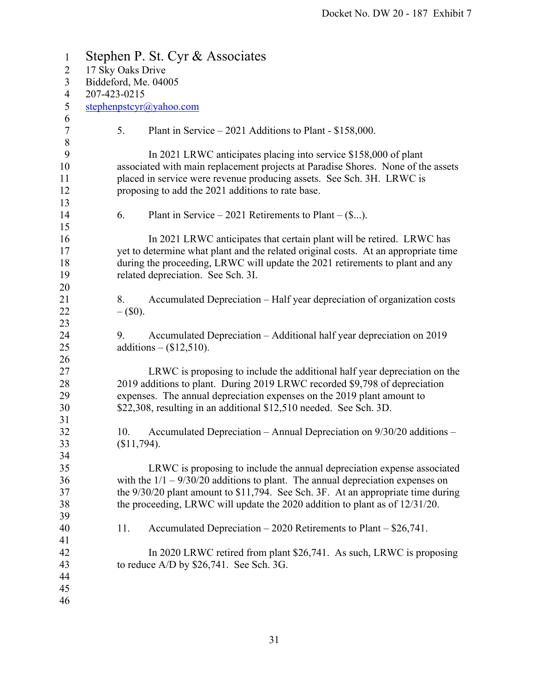| $\mathbf{1}$           | Stephen P. St. Cyr & Associates                                                                                                                                                                                                                                                                                                |  |  |
|------------------------|--------------------------------------------------------------------------------------------------------------------------------------------------------------------------------------------------------------------------------------------------------------------------------------------------------------------------------|--|--|
| $\overline{2}$         | 17 Sky Oaks Drive                                                                                                                                                                                                                                                                                                              |  |  |
| $\mathfrak{Z}$         | Biddeford, Me. 04005                                                                                                                                                                                                                                                                                                           |  |  |
| $\overline{4}$         | 207-423-0215                                                                                                                                                                                                                                                                                                                   |  |  |
| 5                      | stephenpstcyr@yahoo.com                                                                                                                                                                                                                                                                                                        |  |  |
| 6<br>$\tau$<br>$\,8\,$ | 5.<br>Plant in Service $-2021$ Additions to Plant - \$158,000.                                                                                                                                                                                                                                                                 |  |  |
| 9<br>10<br>11<br>12    | In 2021 LRWC anticipates placing into service \$158,000 of plant<br>associated with main replacement projects at Paradise Shores. None of the assets<br>placed in service were revenue producing assets. See Sch. 3H. LRWC is<br>proposing to add the 2021 additions to rate base.                                             |  |  |
| 13<br>14<br>15         | 6.<br>Plant in Service – 2021 Retirements to Plant – $(\$)$ .                                                                                                                                                                                                                                                                  |  |  |
| 16<br>17<br>18<br>19   | In 2021 LRWC anticipates that certain plant will be retired. LRWC has<br>yet to determine what plant and the related original costs. At an appropriate time<br>during the proceeding, LRWC will update the 2021 retirements to plant and any<br>related depreciation. See Sch. 3I.                                             |  |  |
| 20<br>21<br>22<br>23   | Accumulated Depreciation – Half year depreciation of organization costs<br>8.<br>$-$ (\$0).                                                                                                                                                                                                                                    |  |  |
| 24<br>25<br>26         | Accumulated Depreciation – Additional half year depreciation on 2019<br>9.<br>additions $-$ (\$12,510).                                                                                                                                                                                                                        |  |  |
| 27<br>28<br>29<br>30   | LRWC is proposing to include the additional half year depreciation on the<br>2019 additions to plant. During 2019 LRWC recorded \$9,798 of depreciation<br>expenses. The annual depreciation expenses on the 2019 plant amount to<br>\$22,308, resulting in an additional \$12,510 needed. See Sch. 3D.                        |  |  |
| 31<br>32<br>33<br>34   | Accumulated Depreciation – Annual Depreciation on $9/30/20$ additions –<br>10.<br>(\$11,794).                                                                                                                                                                                                                                  |  |  |
| 35<br>36<br>37<br>38   | LRWC is proposing to include the annual depreciation expense associated<br>with the $1/1 - 9/30/20$ additions to plant. The annual depreciation expenses on<br>the 9/30/20 plant amount to \$11,794. See Sch. 3F. At an appropriate time during<br>the proceeding, LRWC will update the 2020 addition to plant as of 12/31/20. |  |  |
| 39<br>40<br>41         | Accumulated Depreciation $-2020$ Retirements to Plant $-$ \$26,741.<br>11.                                                                                                                                                                                                                                                     |  |  |
| 42<br>43<br>44<br>45   | In 2020 LRWC retired from plant \$26,741. As such, LRWC is proposing<br>to reduce $A/D$ by \$26,741. See Sch. 3G.                                                                                                                                                                                                              |  |  |
| 46                     |                                                                                                                                                                                                                                                                                                                                |  |  |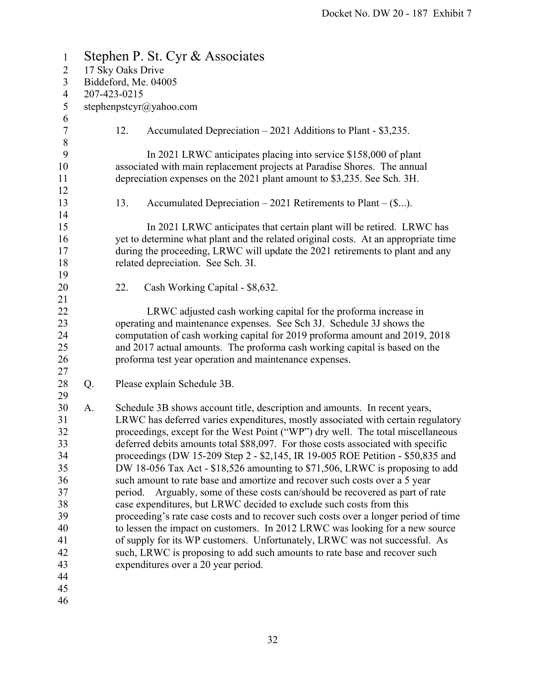| $\mathbf{1}$                                                                                 | Stephen P. St. Cyr & Associates |                      |                                                                                                                                                                                                                                                                                                                                                                                                                                                                                                                                                                                                                                                                                                                                                                                                                                                                                                                                                                                                                                                                                                                |  |  |
|----------------------------------------------------------------------------------------------|---------------------------------|----------------------|----------------------------------------------------------------------------------------------------------------------------------------------------------------------------------------------------------------------------------------------------------------------------------------------------------------------------------------------------------------------------------------------------------------------------------------------------------------------------------------------------------------------------------------------------------------------------------------------------------------------------------------------------------------------------------------------------------------------------------------------------------------------------------------------------------------------------------------------------------------------------------------------------------------------------------------------------------------------------------------------------------------------------------------------------------------------------------------------------------------|--|--|
| $\overline{2}$                                                                               | 17 Sky Oaks Drive               |                      |                                                                                                                                                                                                                                                                                                                                                                                                                                                                                                                                                                                                                                                                                                                                                                                                                                                                                                                                                                                                                                                                                                                |  |  |
| $\mathfrak{Z}$                                                                               |                                 | Biddeford, Me. 04005 |                                                                                                                                                                                                                                                                                                                                                                                                                                                                                                                                                                                                                                                                                                                                                                                                                                                                                                                                                                                                                                                                                                                |  |  |
| $\overline{4}$                                                                               |                                 | 207-423-0215         |                                                                                                                                                                                                                                                                                                                                                                                                                                                                                                                                                                                                                                                                                                                                                                                                                                                                                                                                                                                                                                                                                                                |  |  |
| $\sqrt{5}$<br>6                                                                              |                                 |                      | stephenpstcyr@yahoo.com                                                                                                                                                                                                                                                                                                                                                                                                                                                                                                                                                                                                                                                                                                                                                                                                                                                                                                                                                                                                                                                                                        |  |  |
| $\boldsymbol{7}$<br>$\,8\,$                                                                  |                                 | 12.                  | Accumulated Depreciation $-2021$ Additions to Plant - \$3,235.                                                                                                                                                                                                                                                                                                                                                                                                                                                                                                                                                                                                                                                                                                                                                                                                                                                                                                                                                                                                                                                 |  |  |
| 9<br>10<br>11                                                                                |                                 |                      | In 2021 LRWC anticipates placing into service \$158,000 of plant<br>associated with main replacement projects at Paradise Shores. The annual<br>depreciation expenses on the 2021 plant amount to \$3,235. See Sch. 3H.                                                                                                                                                                                                                                                                                                                                                                                                                                                                                                                                                                                                                                                                                                                                                                                                                                                                                        |  |  |
| 12<br>13                                                                                     |                                 | 13.                  | Accumulated Depreciation $-2021$ Retirements to Plant $-(\$).$                                                                                                                                                                                                                                                                                                                                                                                                                                                                                                                                                                                                                                                                                                                                                                                                                                                                                                                                                                                                                                                 |  |  |
| 14<br>15<br>16<br>17<br>18<br>19                                                             |                                 |                      | In 2021 LRWC anticipates that certain plant will be retired. LRWC has<br>yet to determine what plant and the related original costs. At an appropriate time<br>during the proceeding, LRWC will update the 2021 retirements to plant and any<br>related depreciation. See Sch. 3I.                                                                                                                                                                                                                                                                                                                                                                                                                                                                                                                                                                                                                                                                                                                                                                                                                             |  |  |
| 20<br>21                                                                                     |                                 | 22.                  | Cash Working Capital - \$8,632.                                                                                                                                                                                                                                                                                                                                                                                                                                                                                                                                                                                                                                                                                                                                                                                                                                                                                                                                                                                                                                                                                |  |  |
| 22<br>23<br>24<br>25<br>26                                                                   |                                 |                      | LRWC adjusted cash working capital for the proforma increase in<br>operating and maintenance expenses. See Sch 3J. Schedule 3J shows the<br>computation of cash working capital for 2019 proforma amount and 2019, 2018<br>and 2017 actual amounts. The proforma cash working capital is based on the<br>proforma test year operation and maintenance expenses.                                                                                                                                                                                                                                                                                                                                                                                                                                                                                                                                                                                                                                                                                                                                                |  |  |
| 27<br>28                                                                                     | Q.                              |                      | Please explain Schedule 3B.                                                                                                                                                                                                                                                                                                                                                                                                                                                                                                                                                                                                                                                                                                                                                                                                                                                                                                                                                                                                                                                                                    |  |  |
| 29<br>30<br>31<br>32<br>33<br>34<br>35<br>36<br>37<br>38<br>39<br>40<br>41<br>42<br>43<br>44 | A.                              | period.              | Schedule 3B shows account title, description and amounts. In recent years,<br>LRWC has deferred varies expenditures, mostly associated with certain regulatory<br>proceedings, except for the West Point ("WP") dry well. The total miscellaneous<br>deferred debits amounts total \$88,097. For those costs associated with specific<br>proceedings (DW 15-209 Step 2 - \$2,145, IR 19-005 ROE Petition - \$50,835 and<br>DW 18-056 Tax Act - \$18,526 amounting to \$71,506, LRWC is proposing to add<br>such amount to rate base and amortize and recover such costs over a 5 year<br>Arguably, some of these costs can/should be recovered as part of rate<br>case expenditures, but LRWC decided to exclude such costs from this<br>proceeding's rate case costs and to recover such costs over a longer period of time<br>to lessen the impact on customers. In 2012 LRWC was looking for a new source<br>of supply for its WP customers. Unfortunately, LRWC was not successful. As<br>such, LRWC is proposing to add such amounts to rate base and recover such<br>expenditures over a 20 year period. |  |  |
| 45                                                                                           |                                 |                      |                                                                                                                                                                                                                                                                                                                                                                                                                                                                                                                                                                                                                                                                                                                                                                                                                                                                                                                                                                                                                                                                                                                |  |  |

46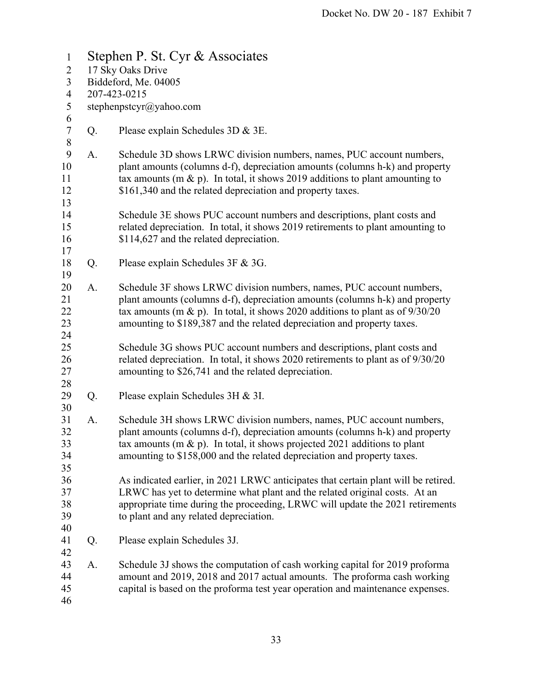| $\mathbf{1}$                  | Stephen P. St. Cyr & Associates |                                                                                                                                                                                                                                                                                                                    |  |  |  |
|-------------------------------|---------------------------------|--------------------------------------------------------------------------------------------------------------------------------------------------------------------------------------------------------------------------------------------------------------------------------------------------------------------|--|--|--|
| $\overline{c}$                | 17 Sky Oaks Drive               |                                                                                                                                                                                                                                                                                                                    |  |  |  |
| 3                             | Biddeford, Me. 04005            |                                                                                                                                                                                                                                                                                                                    |  |  |  |
| $\overline{4}$                |                                 | 207-423-0215                                                                                                                                                                                                                                                                                                       |  |  |  |
| 5<br>6                        | stephenpstcyr@yahoo.com         |                                                                                                                                                                                                                                                                                                                    |  |  |  |
| $\boldsymbol{7}$<br>$\,$ $\,$ | Q.                              | Please explain Schedules 3D & 3E.                                                                                                                                                                                                                                                                                  |  |  |  |
| 9<br>10<br>11<br>12           | A.                              | Schedule 3D shows LRWC division numbers, names, PUC account numbers,<br>plant amounts (columns d-f), depreciation amounts (columns h-k) and property<br>tax amounts (m & p). In total, it shows 2019 additions to plant amounting to<br>\$161,340 and the related depreciation and property taxes.                 |  |  |  |
| 13<br>14<br>15<br>16          |                                 | Schedule 3E shows PUC account numbers and descriptions, plant costs and<br>related depreciation. In total, it shows 2019 retirements to plant amounting to<br>\$114,627 and the related depreciation.                                                                                                              |  |  |  |
| 17<br>18                      | Q.                              | Please explain Schedules 3F & 3G.                                                                                                                                                                                                                                                                                  |  |  |  |
| 19<br>20<br>21<br>22<br>23    | A.                              | Schedule 3F shows LRWC division numbers, names, PUC account numbers,<br>plant amounts (columns d-f), depreciation amounts (columns h-k) and property<br>tax amounts (m & p). In total, it shows 2020 additions to plant as of $9/30/20$<br>amounting to \$189,387 and the related depreciation and property taxes. |  |  |  |
| 24<br>25<br>26<br>27<br>28    |                                 | Schedule 3G shows PUC account numbers and descriptions, plant costs and<br>related depreciation. In total, it shows 2020 retirements to plant as of 9/30/20<br>amounting to \$26,741 and the related depreciation.                                                                                                 |  |  |  |
| 29<br>30                      | Q.                              | Please explain Schedules 3H & 3I.                                                                                                                                                                                                                                                                                  |  |  |  |
| 31<br>32<br>33<br>34<br>35    | A.                              | Schedule 3H shows LRWC division numbers, names, PUC account numbers,<br>plant amounts (columns d-f), depreciation amounts (columns h-k) and property<br>tax amounts (m & p). In total, it shows projected 2021 additions to plant<br>amounting to \$158,000 and the related depreciation and property taxes.       |  |  |  |
| 36<br>37<br>38<br>39<br>40    |                                 | As indicated earlier, in 2021 LRWC anticipates that certain plant will be retired.<br>LRWC has yet to determine what plant and the related original costs. At an<br>appropriate time during the proceeding, LRWC will update the 2021 retirements<br>to plant and any related depreciation.                        |  |  |  |
| 41<br>42                      | Q.                              | Please explain Schedules 3J.                                                                                                                                                                                                                                                                                       |  |  |  |
| 43<br>44<br>45<br>46          | A.                              | Schedule 3J shows the computation of cash working capital for 2019 proforma<br>amount and 2019, 2018 and 2017 actual amounts. The proforma cash working<br>capital is based on the proforma test year operation and maintenance expenses.                                                                          |  |  |  |
|                               |                                 |                                                                                                                                                                                                                                                                                                                    |  |  |  |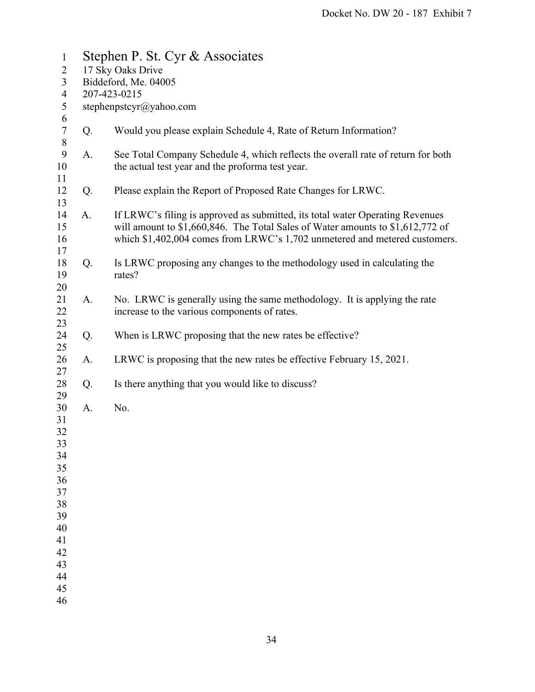| $\mathbf{1}$               | Stephen P. St. Cyr & Associates |                                                                                                                                                                                                                                               |  |  |  |
|----------------------------|---------------------------------|-----------------------------------------------------------------------------------------------------------------------------------------------------------------------------------------------------------------------------------------------|--|--|--|
| $\overline{2}$             | 17 Sky Oaks Drive               |                                                                                                                                                                                                                                               |  |  |  |
| 3                          | Biddeford, Me. 04005            |                                                                                                                                                                                                                                               |  |  |  |
| $\overline{4}$             | 207-423-0215                    |                                                                                                                                                                                                                                               |  |  |  |
| $\mathfrak s$              |                                 | stephenpstcyr@yahoo.com                                                                                                                                                                                                                       |  |  |  |
| 6<br>$\boldsymbol{7}$<br>8 | Q.                              | Would you please explain Schedule 4, Rate of Return Information?                                                                                                                                                                              |  |  |  |
| 9<br>10<br>11              | A.                              | See Total Company Schedule 4, which reflects the overall rate of return for both<br>the actual test year and the proforma test year.                                                                                                          |  |  |  |
| 12<br>13                   | Q.                              | Please explain the Report of Proposed Rate Changes for LRWC.                                                                                                                                                                                  |  |  |  |
| 14<br>15<br>16<br>17       | A.                              | If LRWC's filing is approved as submitted, its total water Operating Revenues<br>will amount to \$1,660,846. The Total Sales of Water amounts to \$1,612,772 of<br>which \$1,402,004 comes from LRWC's 1,702 unmetered and metered customers. |  |  |  |
| 18<br>19<br>20             | Q.                              | Is LRWC proposing any changes to the methodology used in calculating the<br>rates?                                                                                                                                                            |  |  |  |
| 21<br>22<br>23             | A.                              | No. LRWC is generally using the same methodology. It is applying the rate<br>increase to the various components of rates.                                                                                                                     |  |  |  |
| 24<br>25                   | Q.                              | When is LRWC proposing that the new rates be effective?                                                                                                                                                                                       |  |  |  |
| 26<br>27                   | A.                              | LRWC is proposing that the new rates be effective February 15, 2021.                                                                                                                                                                          |  |  |  |
| 28<br>29                   | Q.                              | Is there anything that you would like to discuss?                                                                                                                                                                                             |  |  |  |
| 30<br>31                   | A.                              | No.                                                                                                                                                                                                                                           |  |  |  |
| 32<br>33                   |                                 |                                                                                                                                                                                                                                               |  |  |  |
| 34<br>35                   |                                 |                                                                                                                                                                                                                                               |  |  |  |
| 36                         |                                 |                                                                                                                                                                                                                                               |  |  |  |
| 37                         |                                 |                                                                                                                                                                                                                                               |  |  |  |
| 38                         |                                 |                                                                                                                                                                                                                                               |  |  |  |
| 39                         |                                 |                                                                                                                                                                                                                                               |  |  |  |
| 40                         |                                 |                                                                                                                                                                                                                                               |  |  |  |
| 41                         |                                 |                                                                                                                                                                                                                                               |  |  |  |
| 42                         |                                 |                                                                                                                                                                                                                                               |  |  |  |
| 43                         |                                 |                                                                                                                                                                                                                                               |  |  |  |
| 44                         |                                 |                                                                                                                                                                                                                                               |  |  |  |
| 45                         |                                 |                                                                                                                                                                                                                                               |  |  |  |
| 46                         |                                 |                                                                                                                                                                                                                                               |  |  |  |
|                            |                                 |                                                                                                                                                                                                                                               |  |  |  |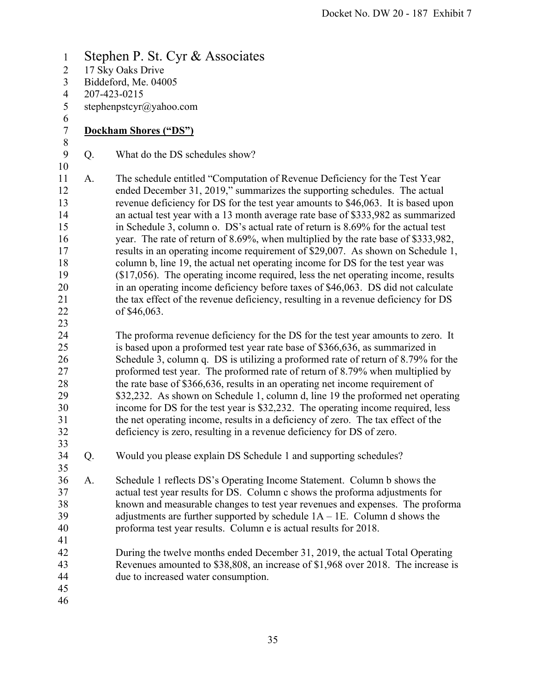1 Stephen P. St. Cyr & Associates 2 17 Sky Oaks Drive 3 Biddeford, Me. 04005 4 207-423-0215 5 stephenpstcyr@yahoo.com 6 7 **Dockham Shores ("DS")**  8 9 Q. What do the DS schedules show? 10 11 A. The schedule entitled "Computation of Revenue Deficiency for the Test Year 12 ended December 31, 2019," summarizes the supporting schedules. The actual 13 revenue deficiency for DS for the test year amounts to \$46,063. It is based upon 14 an actual test year with a 13 month average rate base of \$333,982 as summarized 15 in Schedule 3, column o. DS's actual rate of return is 8.69% for the actual test 16 year. The rate of return of 8.69%, when multiplied by the rate base of \$333,982, 17 results in an operating income requirement of \$29,007. As shown on Schedule 1, 18 column b, line 19, the actual net operating income for DS for the test year was 19 (\$17,056). The operating income required, less the net operating income, results 20 in an operating income deficiency before taxes of \$46,063. DS did not calculate 21 the tax effect of the revenue deficiency, resulting in a revenue deficiency for DS 22 of \$46,063. 23 24 The proforma revenue deficiency for the DS for the test year amounts to zero. It 25 is based upon a proformed test year rate base of \$366,636, as summarized in 26 Schedule 3, column q. DS is utilizing a proformed rate of return of 8.79% for the 27 proformed test year. The proformed rate of return of 8.79% when multiplied by 28 the rate base of \$366,636, results in an operating net income requirement of 29 \$32,232. As shown on Schedule 1, column d, line 19 the proformed net operating 30 income for DS for the test year is \$32,232. The operating income required, less 31 the net operating income, results in a deficiency of zero. The tax effect of the 32 deficiency is zero, resulting in a revenue deficiency for DS of zero. 33 34 Q. Would you please explain DS Schedule 1 and supporting schedules? 35 36 A. Schedule 1 reflects DS's Operating Income Statement. Column b shows the 37 actual test year results for DS. Column c shows the proforma adjustments for 38 known and measurable changes to test year revenues and expenses. The proforma 39 adjustments are further supported by schedule 1A – 1E. Column d shows the 40 proforma test year results. Column e is actual results for 2018. 41 42 During the twelve months ended December 31, 2019, the actual Total Operating 43 Revenues amounted to \$38,808, an increase of \$1,968 over 2018. The increase is 44 due to increased water consumption. 45 46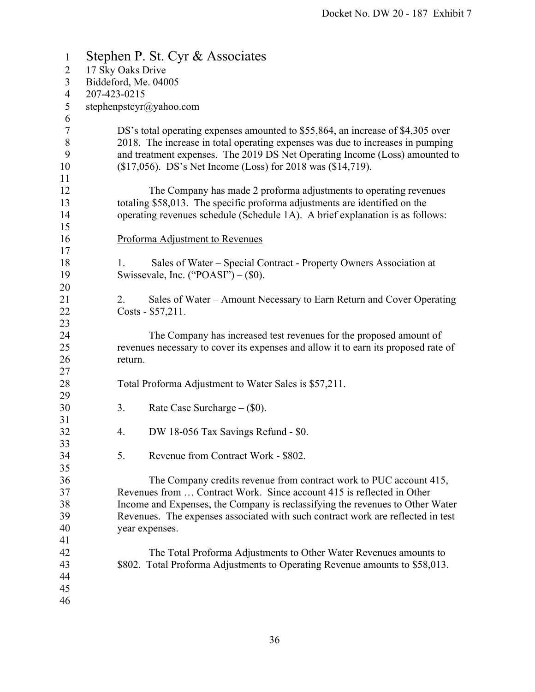| Stephen P. St. Cyr & Associates |                                                                                    |  |
|---------------------------------|------------------------------------------------------------------------------------|--|
| 17 Sky Oaks Drive               |                                                                                    |  |
| Biddeford, Me. 04005            |                                                                                    |  |
|                                 |                                                                                    |  |
|                                 |                                                                                    |  |
|                                 |                                                                                    |  |
|                                 | DS's total operating expenses amounted to \$55,864, an increase of \$4,305 over    |  |
|                                 | 2018. The increase in total operating expenses was due to increases in pumping     |  |
|                                 | and treatment expenses. The 2019 DS Net Operating Income (Loss) amounted to        |  |
|                                 | (\$17,056). DS's Net Income (Loss) for 2018 was (\$14,719).                        |  |
|                                 |                                                                                    |  |
|                                 | The Company has made 2 proforma adjustments to operating revenues                  |  |
|                                 | totaling \$58,013. The specific proforma adjustments are identified on the         |  |
|                                 | operating revenues schedule (Schedule 1A). A brief explanation is as follows:      |  |
|                                 |                                                                                    |  |
|                                 | Proforma Adjustment to Revenues                                                    |  |
|                                 |                                                                                    |  |
|                                 | Sales of Water – Special Contract - Property Owners Association at                 |  |
|                                 | Swissevale, Inc. ("POASI") $-$ (\$0).                                              |  |
|                                 |                                                                                    |  |
| 2.                              | Sales of Water – Amount Necessary to Earn Return and Cover Operating               |  |
|                                 | Costs - \$57,211.                                                                  |  |
|                                 |                                                                                    |  |
|                                 | The Company has increased test revenues for the proposed amount of                 |  |
|                                 | revenues necessary to cover its expenses and allow it to earn its proposed rate of |  |
| return.                         |                                                                                    |  |
|                                 |                                                                                    |  |
|                                 | Total Proforma Adjustment to Water Sales is \$57,211.                              |  |
|                                 |                                                                                    |  |
| 3.                              | Rate Case Surcharge $-$ (\$0).                                                     |  |
|                                 |                                                                                    |  |
| 4.                              | DW 18-056 Tax Savings Refund - \$0.                                                |  |
|                                 |                                                                                    |  |
|                                 | Revenue from Contract Work - \$802.                                                |  |
|                                 |                                                                                    |  |
|                                 | The Company credits revenue from contract work to PUC account 415,                 |  |
|                                 | Revenues from  Contract Work. Since account 415 is reflected in Other              |  |
|                                 | Income and Expenses, the Company is reclassifying the revenues to Other Water      |  |
|                                 | Revenues. The expenses associated with such contract work are reflected in test    |  |
|                                 | year expenses.                                                                     |  |
|                                 |                                                                                    |  |
|                                 | The Total Proforma Adjustments to Other Water Revenues amounts to                  |  |
|                                 | \$802. Total Proforma Adjustments to Operating Revenue amounts to \$58,013.        |  |
|                                 |                                                                                    |  |
|                                 |                                                                                    |  |
|                                 |                                                                                    |  |
|                                 | 207-423-0215<br>stephenpstcyr@yahoo.com<br>1.<br>5.                                |  |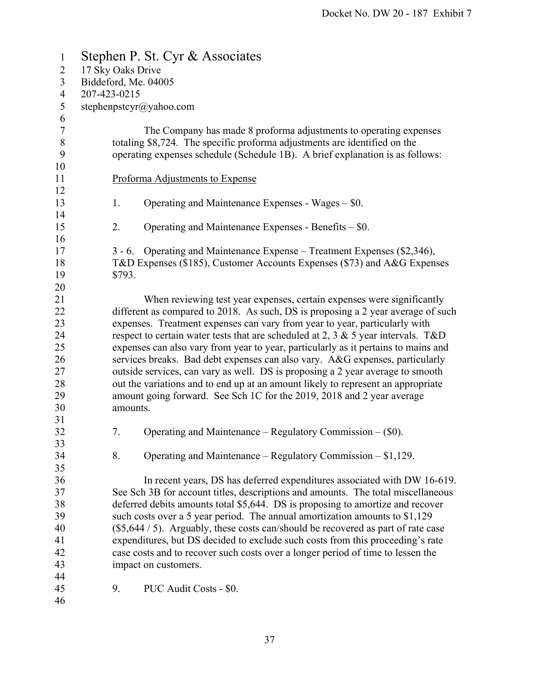| $\mathbf{1}$     |                      | Stephen P. St. Cyr & Associates                                                      |  |
|------------------|----------------------|--------------------------------------------------------------------------------------|--|
| $\overline{2}$   | 17 Sky Oaks Drive    |                                                                                      |  |
| 3                | Biddeford, Me. 04005 |                                                                                      |  |
| 4                | 207-423-0215         |                                                                                      |  |
| 5                |                      | stephenpstcyr@yahoo.com                                                              |  |
| 6                |                      |                                                                                      |  |
| $\boldsymbol{7}$ |                      | The Company has made 8 proforma adjustments to operating expenses                    |  |
| $8\,$            |                      | totaling \$8,724. The specific proforma adjustments are identified on the            |  |
| 9                |                      | operating expenses schedule (Schedule 1B). A brief explanation is as follows:        |  |
| 10               |                      |                                                                                      |  |
| 11               |                      | Proforma Adjustments to Expense                                                      |  |
| 12               |                      |                                                                                      |  |
| 13               | 1.                   | Operating and Maintenance Expenses - Wages – \$0.                                    |  |
| 14               |                      |                                                                                      |  |
| 15               | 2.                   | Operating and Maintenance Expenses - Benefits - \$0.                                 |  |
| 16               |                      |                                                                                      |  |
| 17               | $3 - 6.$             | Operating and Maintenance Expense – Treatment Expenses (\$2,346),                    |  |
| 18               |                      | T&D Expenses (\$185), Customer Accounts Expenses (\$73) and A&G Expenses             |  |
| 19               | \$793.               |                                                                                      |  |
| 20               |                      |                                                                                      |  |
| 21               |                      | When reviewing test year expenses, certain expenses were significantly               |  |
| 22               |                      | different as compared to 2018. As such, DS is proposing a 2 year average of such     |  |
| 23               |                      | expenses. Treatment expenses can vary from year to year, particularly with           |  |
| 24               |                      | respect to certain water tests that are scheduled at 2, 3 $\&$ 5 year intervals. T&D |  |
| 25               |                      | expenses can also vary from year to year, particularly as it pertains to mains and   |  |
| 26               |                      | services breaks. Bad debt expenses can also vary. A&G expenses, particularly         |  |
| 27               |                      | outside services, can vary as well. DS is proposing a 2 year average to smooth       |  |
| 28               |                      | out the variations and to end up at an amount likely to represent an appropriate     |  |
| 29               |                      | amount going forward. See Sch 1C for the 2019, 2018 and 2 year average               |  |
| 30               | amounts.             |                                                                                      |  |
| 31               |                      |                                                                                      |  |
| 32               | 7.                   | Operating and Maintenance – Regulatory Commission – $(\$0)$ .                        |  |
| 33               |                      |                                                                                      |  |
| 34               | 8.                   | Operating and Maintenance – Regulatory Commission – $$1,129$ .                       |  |
| 35               |                      |                                                                                      |  |
| 36               |                      | In recent years, DS has deferred expenditures associated with DW 16-619.             |  |
| 37               |                      | See Sch 3B for account titles, descriptions and amounts. The total miscellaneous     |  |
| 38               |                      | deferred debits amounts total \$5,644. DS is proposing to amortize and recover       |  |
| 39               |                      | such costs over a 5 year period. The annual amortization amounts to $$1,129$         |  |
| 40               |                      | $(\$5,644 / 5)$ . Arguably, these costs can/should be recovered as part of rate case |  |
| 41               |                      | expenditures, but DS decided to exclude such costs from this proceeding's rate       |  |
| 42               |                      | case costs and to recover such costs over a longer period of time to lessen the      |  |
| 43               |                      | impact on customers.                                                                 |  |
| 44               |                      |                                                                                      |  |
| 45               | 9.                   | PUC Audit Costs - \$0.                                                               |  |
| 46               |                      |                                                                                      |  |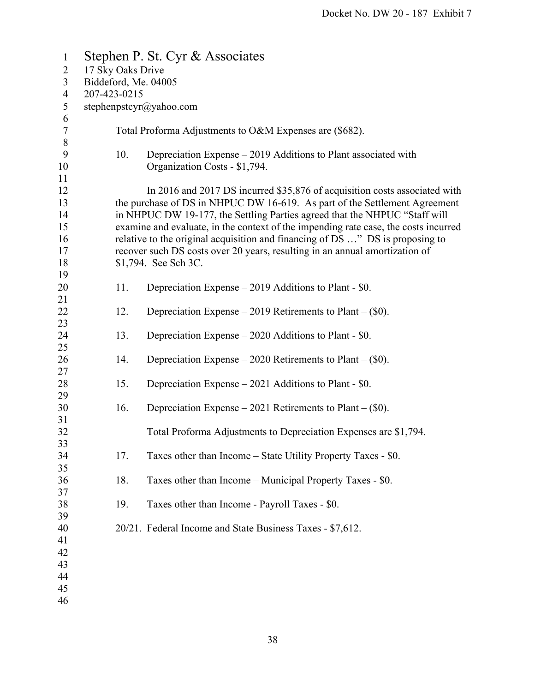| $\mathbf{1}$           |                         | Stephen P. St. Cyr & Associates                                                                                                                                      |  |  |
|------------------------|-------------------------|----------------------------------------------------------------------------------------------------------------------------------------------------------------------|--|--|
| $\overline{2}$         | 17 Sky Oaks Drive       |                                                                                                                                                                      |  |  |
| $\overline{3}$         | Biddeford, Me. 04005    |                                                                                                                                                                      |  |  |
| $\overline{4}$         | 207-423-0215            |                                                                                                                                                                      |  |  |
| 5                      | stephenpstcyr@yahoo.com |                                                                                                                                                                      |  |  |
| 6<br>$\tau$            |                         | Total Proforma Adjustments to O&M Expenses are (\$682).                                                                                                              |  |  |
| $\,8\,$                |                         |                                                                                                                                                                      |  |  |
| $\boldsymbol{9}$<br>10 | 10.                     | Depreciation Expense – 2019 Additions to Plant associated with<br>Organization Costs - \$1,794.                                                                      |  |  |
| 11                     |                         |                                                                                                                                                                      |  |  |
| 12                     |                         | In 2016 and 2017 DS incurred \$35,876 of acquisition costs associated with                                                                                           |  |  |
| 13<br>14               |                         | the purchase of DS in NHPUC DW 16-619. As part of the Settlement Agreement<br>in NHPUC DW 19-177, the Settling Parties agreed that the NHPUC "Staff will             |  |  |
| 15<br>16               |                         | examine and evaluate, in the context of the impending rate case, the costs incurred<br>relative to the original acquisition and financing of DS " DS is proposing to |  |  |
| 17                     |                         | recover such DS costs over 20 years, resulting in an annual amortization of                                                                                          |  |  |
| 18                     |                         | \$1,794. See Sch 3C.                                                                                                                                                 |  |  |
| 19                     |                         |                                                                                                                                                                      |  |  |
| 20<br>21               | 11.                     | Depreciation Expense – 2019 Additions to Plant - \$0.                                                                                                                |  |  |
| 22                     | 12.                     | Depreciation Expense – 2019 Retirements to Plant – $(\$0)$ .                                                                                                         |  |  |
| 23<br>24               | 13.                     | Depreciation Expense – 2020 Additions to Plant - \$0.                                                                                                                |  |  |
| 25<br>26               | 14.                     | Depreciation Expense $-2020$ Retirements to Plant $-(\$0)$ .                                                                                                         |  |  |
| 27                     |                         |                                                                                                                                                                      |  |  |
| 28                     | 15.                     | Depreciation Expense $-2021$ Additions to Plant - \$0.                                                                                                               |  |  |
| 29<br>30               | 16.                     | Depreciation Expense $-2021$ Retirements to Plant $-(\$0)$ .                                                                                                         |  |  |
| 31                     |                         |                                                                                                                                                                      |  |  |
| 32<br>33               |                         | Total Proforma Adjustments to Depreciation Expenses are \$1,794.                                                                                                     |  |  |
| 34                     | 17.                     | Taxes other than Income – State Utility Property Taxes - \$0.                                                                                                        |  |  |
| 35                     |                         |                                                                                                                                                                      |  |  |
| 36                     | 18.                     | Taxes other than Income – Municipal Property Taxes - \$0.                                                                                                            |  |  |
| 37                     | 19.                     |                                                                                                                                                                      |  |  |
| 38<br>39               |                         | Taxes other than Income - Payroll Taxes - \$0.                                                                                                                       |  |  |
| 40                     |                         | 20/21. Federal Income and State Business Taxes - \$7,612.                                                                                                            |  |  |
| 41                     |                         |                                                                                                                                                                      |  |  |
| 42                     |                         |                                                                                                                                                                      |  |  |
| 43                     |                         |                                                                                                                                                                      |  |  |
| 44                     |                         |                                                                                                                                                                      |  |  |
| 45                     |                         |                                                                                                                                                                      |  |  |
| 46                     |                         |                                                                                                                                                                      |  |  |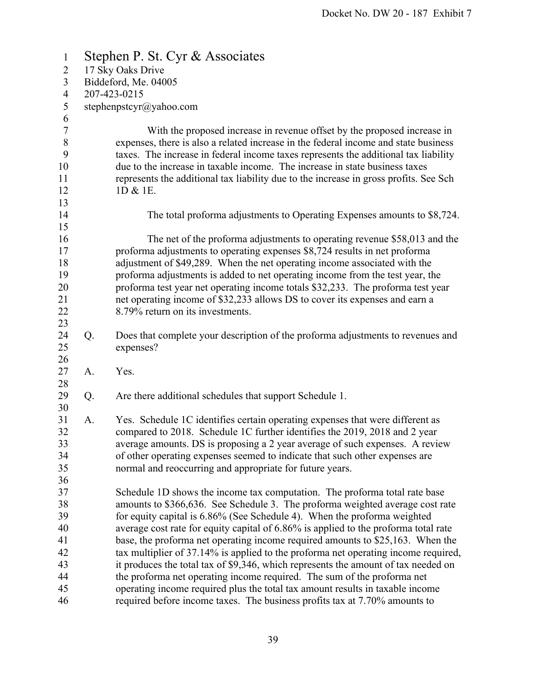| $\mathbf{1}$   |                         | Stephen P. St. Cyr & Associates                                                       |  |  |
|----------------|-------------------------|---------------------------------------------------------------------------------------|--|--|
| $\overline{2}$ | 17 Sky Oaks Drive       |                                                                                       |  |  |
| 3              | Biddeford, Me. 04005    |                                                                                       |  |  |
| $\overline{4}$ | 207-423-0215            |                                                                                       |  |  |
| 5              | stephenpstcyr@yahoo.com |                                                                                       |  |  |
| 6              |                         |                                                                                       |  |  |
| $\tau$         |                         | With the proposed increase in revenue offset by the proposed increase in              |  |  |
| $\,8\,$        |                         | expenses, there is also a related increase in the federal income and state business   |  |  |
| 9              |                         | taxes. The increase in federal income taxes represents the additional tax liability   |  |  |
| 10             |                         | due to the increase in taxable income. The increase in state business taxes           |  |  |
| 11             |                         | represents the additional tax liability due to the increase in gross profits. See Sch |  |  |
| 12             |                         | 1D & 1E.                                                                              |  |  |
| 13             |                         |                                                                                       |  |  |
| 14             |                         | The total proforma adjustments to Operating Expenses amounts to \$8,724.              |  |  |
| 15             |                         |                                                                                       |  |  |
| 16             |                         | The net of the proforma adjustments to operating revenue \$58,013 and the             |  |  |
| 17             |                         | proforma adjustments to operating expenses \$8,724 results in net proforma            |  |  |
| 18             |                         | adjustment of \$49,289. When the net operating income associated with the             |  |  |
| 19             |                         | proforma adjustments is added to net operating income from the test year, the         |  |  |
| 20             |                         | proforma test year net operating income totals \$32,233. The proforma test year       |  |  |
| 21             |                         | net operating income of \$32,233 allows DS to cover its expenses and earn a           |  |  |
| 22             |                         | 8.79% return on its investments.                                                      |  |  |
| 23             |                         |                                                                                       |  |  |
| 24             | Q.                      | Does that complete your description of the proforma adjustments to revenues and       |  |  |
| 25             |                         | expenses?                                                                             |  |  |
| 26             |                         |                                                                                       |  |  |
| 27             | A.                      | Yes.                                                                                  |  |  |
| 28             |                         |                                                                                       |  |  |
| 29             | Q.                      | Are there additional schedules that support Schedule 1.                               |  |  |
| 30             |                         |                                                                                       |  |  |
| 31             | A.                      | Yes. Schedule 1C identifies certain operating expenses that were different as         |  |  |
| 32             |                         | compared to 2018. Schedule 1C further identifies the 2019, 2018 and 2 year            |  |  |
| 33             |                         | average amounts. DS is proposing a 2 year average of such expenses. A review          |  |  |
| 34             |                         | of other operating expenses seemed to indicate that such other expenses are           |  |  |
| 35             |                         | normal and reoccurring and appropriate for future years.                              |  |  |
| 36             |                         |                                                                                       |  |  |
| 37             |                         | Schedule 1D shows the income tax computation. The proforma total rate base            |  |  |
| 38             |                         | amounts to \$366,636. See Schedule 3. The proforma weighted average cost rate         |  |  |
| 39             |                         | for equity capital is 6.86% (See Schedule 4). When the proforma weighted              |  |  |
| 40             |                         | average cost rate for equity capital of 6.86% is applied to the proforma total rate   |  |  |
| 41             |                         | base, the proforma net operating income required amounts to \$25,163. When the        |  |  |
| 42             |                         | tax multiplier of 37.14% is applied to the proforma net operating income required,    |  |  |
| 43             |                         | it produces the total tax of \$9,346, which represents the amount of tax needed on    |  |  |
| 44             |                         | the proforma net operating income required. The sum of the proforma net               |  |  |
| 45             |                         | operating income required plus the total tax amount results in taxable income         |  |  |
| 46             |                         | required before income taxes. The business profits tax at 7.70% amounts to            |  |  |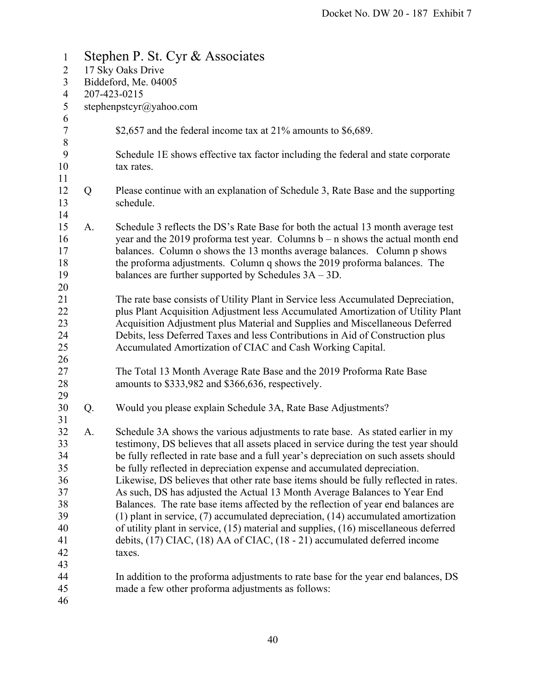| $\mathbf{1}$                                                               |                   | Stephen P. St. Cyr & Associates                                                                                                                                                                                                                                                                                                                                                                                                                                                                                                                                                                                                                                                                                                                                                                                                                                                 |  |  |  |  |
|----------------------------------------------------------------------------|-------------------|---------------------------------------------------------------------------------------------------------------------------------------------------------------------------------------------------------------------------------------------------------------------------------------------------------------------------------------------------------------------------------------------------------------------------------------------------------------------------------------------------------------------------------------------------------------------------------------------------------------------------------------------------------------------------------------------------------------------------------------------------------------------------------------------------------------------------------------------------------------------------------|--|--|--|--|
| $\overline{2}$                                                             | 17 Sky Oaks Drive |                                                                                                                                                                                                                                                                                                                                                                                                                                                                                                                                                                                                                                                                                                                                                                                                                                                                                 |  |  |  |  |
| 3                                                                          |                   | Biddeford, Me. 04005                                                                                                                                                                                                                                                                                                                                                                                                                                                                                                                                                                                                                                                                                                                                                                                                                                                            |  |  |  |  |
| $\overline{4}$                                                             |                   | 207-423-0215                                                                                                                                                                                                                                                                                                                                                                                                                                                                                                                                                                                                                                                                                                                                                                                                                                                                    |  |  |  |  |
| $\mathfrak s$                                                              |                   | stephenpstcyr@yahoo.com                                                                                                                                                                                                                                                                                                                                                                                                                                                                                                                                                                                                                                                                                                                                                                                                                                                         |  |  |  |  |
| 6<br>$\tau$<br>$8\phantom{1}$                                              |                   | \$2,657 and the federal income tax at $21\%$ amounts to \$6,689.                                                                                                                                                                                                                                                                                                                                                                                                                                                                                                                                                                                                                                                                                                                                                                                                                |  |  |  |  |
| 9<br>10<br>11                                                              |                   | Schedule 1E shows effective tax factor including the federal and state corporate<br>tax rates.                                                                                                                                                                                                                                                                                                                                                                                                                                                                                                                                                                                                                                                                                                                                                                                  |  |  |  |  |
| 12<br>13<br>14                                                             | Q                 | Please continue with an explanation of Schedule 3, Rate Base and the supporting<br>schedule.                                                                                                                                                                                                                                                                                                                                                                                                                                                                                                                                                                                                                                                                                                                                                                                    |  |  |  |  |
| 15<br>16<br>17<br>18<br>19                                                 | A.                | Schedule 3 reflects the DS's Rate Base for both the actual 13 month average test<br>year and the 2019 proforma test year. Columns $b - n$ shows the actual month end<br>balances. Column o shows the 13 months average balances. Column p shows<br>the proforma adjustments. Column q shows the 2019 proforma balances. The<br>balances are further supported by Schedules $3A - 3D$ .                                                                                                                                                                                                                                                                                                                                                                                                                                                                                          |  |  |  |  |
| 20<br>21<br>22<br>23<br>24<br>25                                           |                   | The rate base consists of Utility Plant in Service less Accumulated Depreciation,<br>plus Plant Acquisition Adjustment less Accumulated Amortization of Utility Plant<br>Acquisition Adjustment plus Material and Supplies and Miscellaneous Deferred<br>Debits, less Deferred Taxes and less Contributions in Aid of Construction plus<br>Accumulated Amortization of CIAC and Cash Working Capital.                                                                                                                                                                                                                                                                                                                                                                                                                                                                           |  |  |  |  |
| 26<br>27<br>28<br>29                                                       |                   | The Total 13 Month Average Rate Base and the 2019 Proforma Rate Base<br>amounts to \$333,982 and \$366,636, respectively.                                                                                                                                                                                                                                                                                                                                                                                                                                                                                                                                                                                                                                                                                                                                                       |  |  |  |  |
| 30                                                                         | Q.                | Would you please explain Schedule 3A, Rate Base Adjustments?                                                                                                                                                                                                                                                                                                                                                                                                                                                                                                                                                                                                                                                                                                                                                                                                                    |  |  |  |  |
| 31<br>32<br>33<br>34<br>35<br>36<br>37<br>38<br>39<br>40<br>41<br>42<br>43 | A.                | Schedule 3A shows the various adjustments to rate base. As stated earlier in my<br>testimony, DS believes that all assets placed in service during the test year should<br>be fully reflected in rate base and a full year's depreciation on such assets should<br>be fully reflected in depreciation expense and accumulated depreciation.<br>Likewise, DS believes that other rate base items should be fully reflected in rates.<br>As such, DS has adjusted the Actual 13 Month Average Balances to Year End<br>Balances. The rate base items affected by the reflection of year end balances are<br>$(1)$ plant in service, $(7)$ accumulated depreciation, $(14)$ accumulated amortization<br>of utility plant in service, (15) material and supplies, (16) miscellaneous deferred<br>debits, (17) CIAC, (18) AA of CIAC, (18 - 21) accumulated deferred income<br>taxes. |  |  |  |  |
| 44<br>45<br>46                                                             |                   | In addition to the proforma adjustments to rate base for the year end balances, DS<br>made a few other proforma adjustments as follows:                                                                                                                                                                                                                                                                                                                                                                                                                                                                                                                                                                                                                                                                                                                                         |  |  |  |  |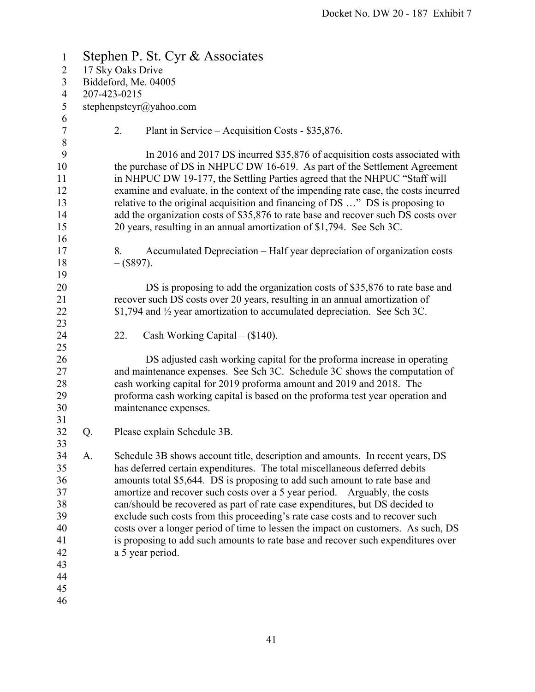| $\mathbf{1}$     |                   |                      | Stephen P. St. Cyr & Associates                                                     |  |  |
|------------------|-------------------|----------------------|-------------------------------------------------------------------------------------|--|--|
| $\overline{2}$   | 17 Sky Oaks Drive |                      |                                                                                     |  |  |
| 3                |                   | Biddeford, Me. 04005 |                                                                                     |  |  |
| $\overline{4}$   | 207-423-0215      |                      |                                                                                     |  |  |
| 5                |                   |                      | stephenpstcyr@yahoo.com                                                             |  |  |
| 6                |                   |                      |                                                                                     |  |  |
| $\boldsymbol{7}$ |                   | 2.                   | Plant in Service – Acquisition Costs - \$35,876.                                    |  |  |
| $\,$ $\,$        |                   |                      |                                                                                     |  |  |
| 9                |                   |                      | In 2016 and 2017 DS incurred \$35,876 of acquisition costs associated with          |  |  |
| 10               |                   |                      | the purchase of DS in NHPUC DW 16-619. As part of the Settlement Agreement          |  |  |
| 11               |                   |                      | in NHPUC DW 19-177, the Settling Parties agreed that the NHPUC "Staff will          |  |  |
| 12               |                   |                      | examine and evaluate, in the context of the impending rate case, the costs incurred |  |  |
| 13               |                   |                      | relative to the original acquisition and financing of DS " DS is proposing to       |  |  |
| 14               |                   |                      | add the organization costs of \$35,876 to rate base and recover such DS costs over  |  |  |
| 15               |                   |                      | 20 years, resulting in an annual amortization of \$1,794. See Sch 3C.               |  |  |
| 16               |                   |                      |                                                                                     |  |  |
| 17               |                   | 8.                   | Accumulated Depreciation – Half year depreciation of organization costs             |  |  |
| 18               |                   | $-(\$897).$          |                                                                                     |  |  |
| 19               |                   |                      |                                                                                     |  |  |
| 20               |                   |                      | DS is proposing to add the organization costs of \$35,876 to rate base and          |  |  |
| 21               |                   |                      | recover such DS costs over 20 years, resulting in an annual amortization of         |  |  |
| 22               |                   |                      | \$1,794 and 1/2 year amortization to accumulated depreciation. See Sch 3C.          |  |  |
| 23               |                   |                      |                                                                                     |  |  |
| 24               |                   | 22.                  | Cash Working Capital $-$ (\$140).                                                   |  |  |
| 25               |                   |                      |                                                                                     |  |  |
| 26               |                   |                      | DS adjusted cash working capital for the proforma increase in operating             |  |  |
| 27               |                   |                      | and maintenance expenses. See Sch 3C. Schedule 3C shows the computation of          |  |  |
| 28               |                   |                      | cash working capital for 2019 proforma amount and 2019 and 2018. The                |  |  |
| 29               |                   |                      | proforma cash working capital is based on the proforma test year operation and      |  |  |
| 30               |                   |                      | maintenance expenses.                                                               |  |  |
| 31               |                   |                      |                                                                                     |  |  |
| 32               | Q.                |                      | Please explain Schedule 3B.                                                         |  |  |
| 33               |                   |                      |                                                                                     |  |  |
| 34               | A.                |                      | Schedule 3B shows account title, description and amounts. In recent years, DS       |  |  |
| 35               |                   |                      | has deferred certain expenditures. The total miscellaneous deferred debits          |  |  |
| 36               |                   |                      | amounts total \$5,644. DS is proposing to add such amount to rate base and          |  |  |
| 37               |                   |                      | amortize and recover such costs over a 5 year period. Arguably, the costs           |  |  |
| 38               |                   |                      | can/should be recovered as part of rate case expenditures, but DS decided to        |  |  |
| 39               |                   |                      | exclude such costs from this proceeding's rate case costs and to recover such       |  |  |
| 40               |                   |                      | costs over a longer period of time to lessen the impact on customers. As such, DS   |  |  |
| 41               |                   |                      | is proposing to add such amounts to rate base and recover such expenditures over    |  |  |
| 42<br>43         |                   |                      | a 5 year period.                                                                    |  |  |
| 44               |                   |                      |                                                                                     |  |  |
| 45               |                   |                      |                                                                                     |  |  |
| 46               |                   |                      |                                                                                     |  |  |
|                  |                   |                      |                                                                                     |  |  |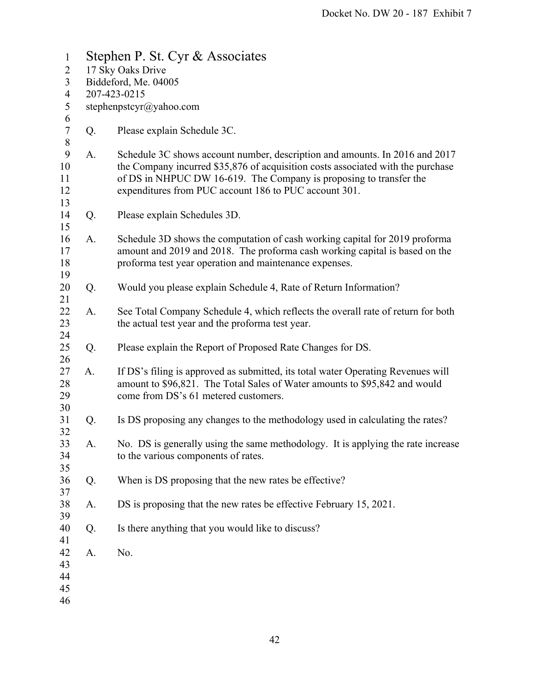| $\mathbf{1}$                  | Stephen P. St. Cyr & Associates |                                                                                                                                                                                                                                                                                               |  |  |  |  |
|-------------------------------|---------------------------------|-----------------------------------------------------------------------------------------------------------------------------------------------------------------------------------------------------------------------------------------------------------------------------------------------|--|--|--|--|
| $\overline{2}$                | 17 Sky Oaks Drive               |                                                                                                                                                                                                                                                                                               |  |  |  |  |
| 3                             | Biddeford, Me. 04005            |                                                                                                                                                                                                                                                                                               |  |  |  |  |
| $\overline{4}$                | 207-423-0215                    |                                                                                                                                                                                                                                                                                               |  |  |  |  |
| 5<br>$\boldsymbol{6}$         | stephenpstcyr@yahoo.com         |                                                                                                                                                                                                                                                                                               |  |  |  |  |
| $\boldsymbol{7}$<br>$\,$ $\,$ | Q.                              | Please explain Schedule 3C.                                                                                                                                                                                                                                                                   |  |  |  |  |
| 9<br>10<br>11<br>12<br>13     | А.                              | Schedule 3C shows account number, description and amounts. In 2016 and 2017<br>the Company incurred \$35,876 of acquisition costs associated with the purchase<br>of DS in NHPUC DW 16-619. The Company is proposing to transfer the<br>expenditures from PUC account 186 to PUC account 301. |  |  |  |  |
| 14<br>15                      | Q.                              | Please explain Schedules 3D.                                                                                                                                                                                                                                                                  |  |  |  |  |
| 16<br>17<br>18<br>19          | A.                              | Schedule 3D shows the computation of cash working capital for 2019 proforma<br>amount and 2019 and 2018. The proforma cash working capital is based on the<br>proforma test year operation and maintenance expenses.                                                                          |  |  |  |  |
| 20<br>21                      | Q.                              | Would you please explain Schedule 4, Rate of Return Information?                                                                                                                                                                                                                              |  |  |  |  |
| 22<br>23<br>24                | A.                              | See Total Company Schedule 4, which reflects the overall rate of return for both<br>the actual test year and the proforma test year.                                                                                                                                                          |  |  |  |  |
| 25<br>26                      | Q.                              | Please explain the Report of Proposed Rate Changes for DS.                                                                                                                                                                                                                                    |  |  |  |  |
| 27<br>28<br>29<br>30          | A.                              | If DS's filing is approved as submitted, its total water Operating Revenues will<br>amount to \$96,821. The Total Sales of Water amounts to \$95,842 and would<br>come from DS's 61 metered customers.                                                                                        |  |  |  |  |
| 31<br>32                      | Q.                              | Is DS proposing any changes to the methodology used in calculating the rates?                                                                                                                                                                                                                 |  |  |  |  |
| 33<br>34<br>35                | A.                              | No. DS is generally using the same methodology. It is applying the rate increase<br>to the various components of rates.                                                                                                                                                                       |  |  |  |  |
| 36<br>37                      | Q.                              | When is DS proposing that the new rates be effective?                                                                                                                                                                                                                                         |  |  |  |  |
| 38<br>39                      | A.                              | DS is proposing that the new rates be effective February 15, 2021.                                                                                                                                                                                                                            |  |  |  |  |
| 40<br>41                      | Q.                              | Is there anything that you would like to discuss?                                                                                                                                                                                                                                             |  |  |  |  |
| 42<br>43<br>44<br>45<br>46    | A.                              | No.                                                                                                                                                                                                                                                                                           |  |  |  |  |
|                               |                                 |                                                                                                                                                                                                                                                                                               |  |  |  |  |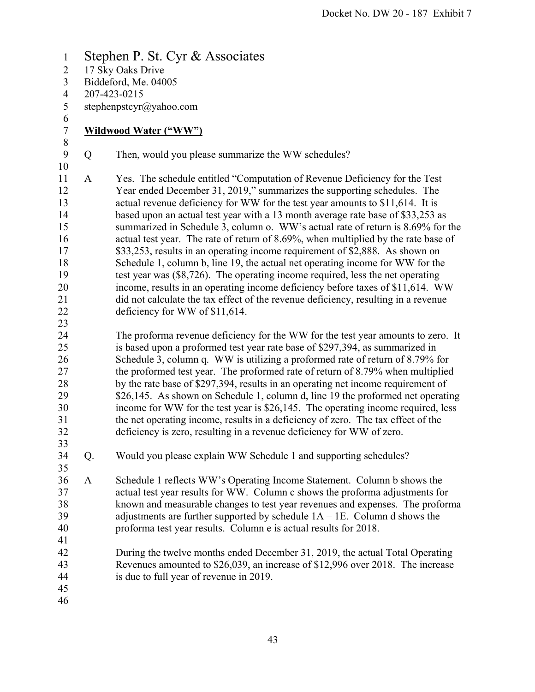1 Stephen P. St. Cyr & Associates 2 17 Sky Oaks Drive 3 Biddeford, Me. 04005 4 207-423-0215 5 stephenpstcyr@yahoo.com 6 7 **Wildwood Water ("WW")**  8 9 Q Then, would you please summarize the WW schedules? 10 11 A Yes. The schedule entitled "Computation of Revenue Deficiency for the Test 12 Year ended December 31, 2019," summarizes the supporting schedules. The 13 actual revenue deficiency for WW for the test year amounts to \$11,614. It is 14 based upon an actual test year with a 13 month average rate base of \$33,253 as 15 summarized in Schedule 3, column o. WW's actual rate of return is 8.69% for the 16 actual test year. The rate of return of 8.69%, when multiplied by the rate base of 17 \$33,253, results in an operating income requirement of \$2,888. As shown on 18 Schedule 1, column b, line 19, the actual net operating income for WW for the 19 test year was (\$8,726). The operating income required, less the net operating 20 income, results in an operating income deficiency before taxes of \$11,614. WW 21 did not calculate the tax effect of the revenue deficiency, resulting in a revenue 22 deficiency for WW of \$11,614. 23 24 The proforma revenue deficiency for the WW for the test year amounts to zero. It 25 is based upon a proformed test year rate base of \$297,394, as summarized in 26 Schedule 3, column q. WW is utilizing a proformed rate of return of 8.79% for 27 the proformed test year. The proformed rate of return of 8.79% when multiplied 28 by the rate base of \$297,394, results in an operating net income requirement of 29 \$26,145. As shown on Schedule 1, column d, line 19 the proformed net operating 30 income for WW for the test year is \$26,145. The operating income required, less 31 the net operating income, results in a deficiency of zero. The tax effect of the 32 deficiency is zero, resulting in a revenue deficiency for WW of zero. 33 34 Q. Would you please explain WW Schedule 1 and supporting schedules? 35 36 A Schedule 1 reflects WW's Operating Income Statement. Column b shows the 37 actual test year results for WW. Column c shows the proforma adjustments for 38 known and measurable changes to test year revenues and expenses. The proforma 39 adjustments are further supported by schedule 1A – 1E. Column d shows the 40 proforma test year results. Column e is actual results for 2018. 41 42 During the twelve months ended December 31, 2019, the actual Total Operating 43 Revenues amounted to \$26,039, an increase of \$12,996 over 2018. The increase 44 is due to full year of revenue in 2019. 45 46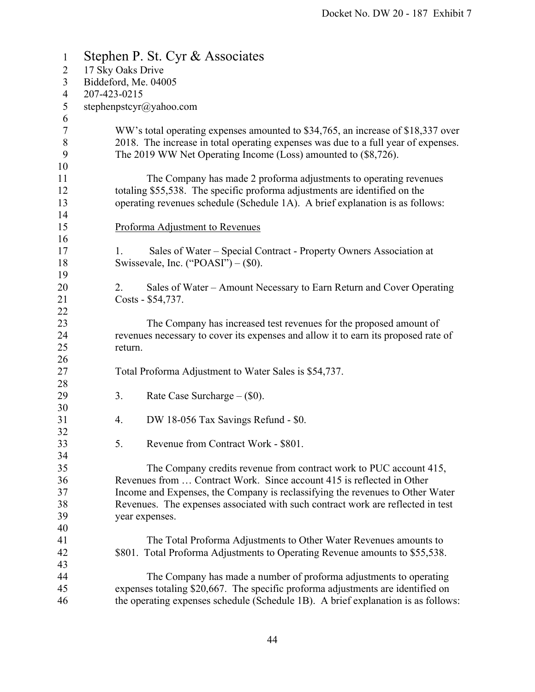| $\mathbf{1}$   |                      | Stephen P. St. Cyr & Associates                                                    |  |  |
|----------------|----------------------|------------------------------------------------------------------------------------|--|--|
| $\overline{2}$ | 17 Sky Oaks Drive    |                                                                                    |  |  |
| 3              | Biddeford, Me. 04005 |                                                                                    |  |  |
| $\overline{4}$ | 207-423-0215         |                                                                                    |  |  |
| 5              |                      | stephenpstcyr@yahoo.com                                                            |  |  |
| 6              |                      |                                                                                    |  |  |
| $\tau$         |                      | WW's total operating expenses amounted to \$34,765, an increase of \$18,337 over   |  |  |
| $\,8\,$        |                      | 2018. The increase in total operating expenses was due to a full year of expenses. |  |  |
| 9              |                      | The 2019 WW Net Operating Income (Loss) amounted to (\$8,726).                     |  |  |
| 10             |                      |                                                                                    |  |  |
| 11             |                      | The Company has made 2 proforma adjustments to operating revenues                  |  |  |
| 12             |                      | totaling \$55,538. The specific proforma adjustments are identified on the         |  |  |
| 13             |                      | operating revenues schedule (Schedule 1A). A brief explanation is as follows:      |  |  |
| 14             |                      |                                                                                    |  |  |
| 15<br>16       |                      | Proforma Adjustment to Revenues                                                    |  |  |
| 17             | 1.                   | Sales of Water – Special Contract - Property Owners Association at                 |  |  |
| 18             |                      | Swissevale, Inc. ("POASI") $-$ (\$0).                                              |  |  |
| 19             |                      |                                                                                    |  |  |
| 20             | 2.                   | Sales of Water – Amount Necessary to Earn Return and Cover Operating               |  |  |
| 21             |                      | Costs - \$54,737.                                                                  |  |  |
| 22             |                      |                                                                                    |  |  |
| 23             |                      | The Company has increased test revenues for the proposed amount of                 |  |  |
| 24             |                      | revenues necessary to cover its expenses and allow it to earn its proposed rate of |  |  |
| 25             | return.              |                                                                                    |  |  |
| 26             |                      |                                                                                    |  |  |
| 27             |                      | Total Proforma Adjustment to Water Sales is \$54,737.                              |  |  |
| 28             |                      |                                                                                    |  |  |
| 29             | 3.                   | Rate Case Surcharge - (\$0).                                                       |  |  |
| 30             |                      |                                                                                    |  |  |
| 31             | 4.                   | DW 18-056 Tax Savings Refund - \$0.                                                |  |  |
| 32             |                      |                                                                                    |  |  |
| 33<br>34       | 5.                   | Revenue from Contract Work - \$801.                                                |  |  |
| 35             |                      | The Company credits revenue from contract work to PUC account 415,                 |  |  |
| 36             |                      | Revenues from  Contract Work. Since account 415 is reflected in Other              |  |  |
| 37             |                      | Income and Expenses, the Company is reclassifying the revenues to Other Water      |  |  |
| 38             |                      | Revenues. The expenses associated with such contract work are reflected in test    |  |  |
| 39             |                      | year expenses.                                                                     |  |  |
| 40             |                      |                                                                                    |  |  |
| 41             |                      | The Total Proforma Adjustments to Other Water Revenues amounts to                  |  |  |
| 42             |                      | \$801. Total Proforma Adjustments to Operating Revenue amounts to \$55,538.        |  |  |
| 43             |                      |                                                                                    |  |  |
| 44             |                      | The Company has made a number of proforma adjustments to operating                 |  |  |
| 45             |                      | expenses totaling \$20,667. The specific proforma adjustments are identified on    |  |  |
| 46             |                      | the operating expenses schedule (Schedule 1B). A brief explanation is as follows:  |  |  |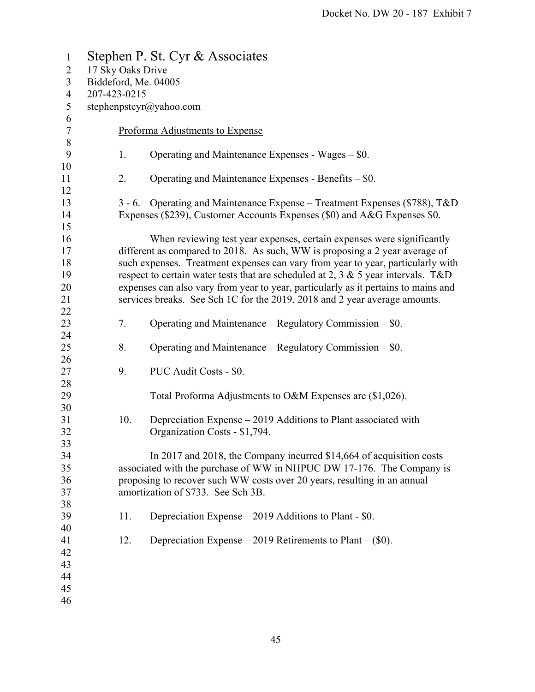| $\mathbf{1}$             |                   | Stephen P. St. Cyr & Associates                                                      |
|--------------------------|-------------------|--------------------------------------------------------------------------------------|
| $\overline{2}$           | 17 Sky Oaks Drive |                                                                                      |
| 3                        |                   | Biddeford, Me. 04005                                                                 |
| $\overline{\mathcal{A}}$ | 207-423-0215      |                                                                                      |
| 5                        |                   | stephenpstcyr@yahoo.com                                                              |
| 6                        |                   |                                                                                      |
| $\boldsymbol{7}$         |                   | Proforma Adjustments to Expense                                                      |
| $\,$ $\,$                |                   |                                                                                      |
| 9                        | 1.                | Operating and Maintenance Expenses - Wages – \$0.                                    |
| 10                       |                   |                                                                                      |
| 11                       | 2.                | Operating and Maintenance Expenses - Benefits - \$0.                                 |
| 12                       |                   |                                                                                      |
| 13                       | $3 - 6.$          | Operating and Maintenance Expense – Treatment Expenses (\$788), T&D                  |
| 14                       |                   | Expenses (\$239), Customer Accounts Expenses (\$0) and A&G Expenses \$0.             |
| 15                       |                   |                                                                                      |
| 16                       |                   | When reviewing test year expenses, certain expenses were significantly               |
| 17                       |                   | different as compared to 2018. As such, WW is proposing a 2 year average of          |
| 18                       |                   | such expenses. Treatment expenses can vary from year to year, particularly with      |
| 19                       |                   | respect to certain water tests that are scheduled at 2, 3 $\&$ 5 year intervals. T&D |
| 20                       |                   | expenses can also vary from year to year, particularly as it pertains to mains and   |
| 21                       |                   | services breaks. See Sch 1C for the 2019, 2018 and 2 year average amounts.           |
| 22                       |                   |                                                                                      |
| 23                       | 7.                | Operating and Maintenance – Regulatory Commission – $$0.$                            |
| 24                       |                   |                                                                                      |
| 25                       | 8.                | Operating and Maintenance – Regulatory Commission – $$0.$                            |
| 26                       |                   |                                                                                      |
| 27                       | 9.                | PUC Audit Costs - \$0.                                                               |
| 28                       |                   |                                                                                      |
| 29                       |                   | Total Proforma Adjustments to O&M Expenses are (\$1,026).                            |
| 30                       |                   |                                                                                      |
| 31                       | 10.               | Depreciation Expense – 2019 Additions to Plant associated with                       |
| 32                       |                   | Organization Costs - \$1,794.                                                        |
| 33                       |                   |                                                                                      |
| 34                       |                   | In 2017 and 2018, the Company incurred \$14,664 of acquisition costs                 |
| 35                       |                   | associated with the purchase of WW in NHPUC DW 17-176. The Company is                |
| 36                       |                   | proposing to recover such WW costs over 20 years, resulting in an annual             |
| 37<br>38                 |                   | amortization of \$733. See Sch 3B.                                                   |
| 39                       | 11.               | Depreciation Expense $-2019$ Additions to Plant - \$0.                               |
| 40                       |                   |                                                                                      |
| 41                       | 12.               | Depreciation Expense – 2019 Retirements to Plant – $(\$0)$ .                         |
| 42                       |                   |                                                                                      |
| 43                       |                   |                                                                                      |
| 44                       |                   |                                                                                      |
| 45                       |                   |                                                                                      |
| 46                       |                   |                                                                                      |
|                          |                   |                                                                                      |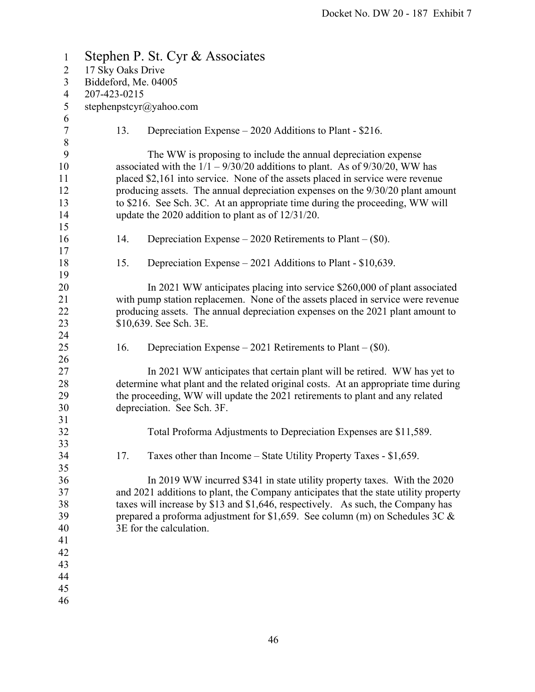| $\mathbf{1}$   |              |                   | Stephen P. St. Cyr & Associates                                                      |
|----------------|--------------|-------------------|--------------------------------------------------------------------------------------|
| $\overline{2}$ |              | 17 Sky Oaks Drive |                                                                                      |
| 3              |              |                   | Biddeford, Me. 04005                                                                 |
| $\overline{4}$ | 207-423-0215 |                   |                                                                                      |
| 5              |              |                   | stephenpstcyr@yahoo.com                                                              |
| 6              |              |                   |                                                                                      |
| $\tau$         |              | 13.               | Depreciation Expense – 2020 Additions to Plant - \$216.                              |
| $8\,$          |              |                   |                                                                                      |
| 9              |              |                   | The WW is proposing to include the annual depreciation expense                       |
| 10             |              |                   | associated with the $1/1 - 9/30/20$ additions to plant. As of $9/30/20$ , WW has     |
| 11             |              |                   | placed \$2,161 into service. None of the assets placed in service were revenue       |
| 12             |              |                   | producing assets. The annual depreciation expenses on the $9/30/20$ plant amount     |
| 13             |              |                   | to \$216. See Sch. 3C. At an appropriate time during the proceeding, WW will         |
| 14             |              |                   | update the 2020 addition to plant as of $12/31/20$ .                                 |
| 15             |              |                   |                                                                                      |
| 16             |              | 14.               | Depreciation Expense $-2020$ Retirements to Plant $-(\$0)$ .                         |
| 17             |              |                   |                                                                                      |
| 18             |              | 15.               | Depreciation Expense $-2021$ Additions to Plant - \$10,639.                          |
| 19             |              |                   |                                                                                      |
| 20             |              |                   | In 2021 WW anticipates placing into service \$260,000 of plant associated            |
| 21             |              |                   | with pump station replacemen. None of the assets placed in service were revenue      |
| 22             |              |                   | producing assets. The annual depreciation expenses on the 2021 plant amount to       |
| 23             |              |                   | \$10,639. See Sch. 3E.                                                               |
| 24             |              |                   |                                                                                      |
| 25             |              | 16.               | Depreciation Expense $-2021$ Retirements to Plant $-(\$0)$ .                         |
| 26             |              |                   |                                                                                      |
| 27             |              |                   | In 2021 WW anticipates that certain plant will be retired. WW has yet to             |
| 28             |              |                   | determine what plant and the related original costs. At an appropriate time during   |
| 29             |              |                   | the proceeding, WW will update the 2021 retirements to plant and any related         |
| 30             |              |                   | depreciation. See Sch. 3F.                                                           |
| 31             |              |                   |                                                                                      |
| 32             |              |                   | Total Proforma Adjustments to Depreciation Expenses are \$11,589.                    |
| 33             |              |                   |                                                                                      |
| 34             |              | 17.               | Taxes other than Income – State Utility Property Taxes - $$1,659$ .                  |
| 35             |              |                   |                                                                                      |
| 36             |              |                   | In 2019 WW incurred \$341 in state utility property taxes. With the 2020             |
| 37             |              |                   | and 2021 additions to plant, the Company anticipates that the state utility property |
| 38             |              |                   | taxes will increase by \$13 and \$1,646, respectively. As such, the Company has      |
| 39             |              |                   | prepared a proforma adjustment for \$1,659. See column (m) on Schedules 3C $\&$      |
| 40             |              |                   | 3E for the calculation.                                                              |
| 41             |              |                   |                                                                                      |
| 42             |              |                   |                                                                                      |
| 43             |              |                   |                                                                                      |
| 44             |              |                   |                                                                                      |
| 45             |              |                   |                                                                                      |
| 46             |              |                   |                                                                                      |
|                |              |                   |                                                                                      |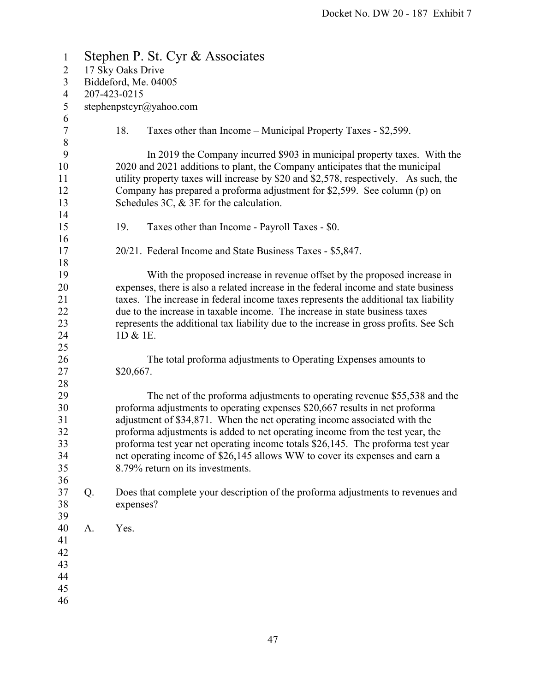| $\mathbf{1}$     |              |                   | Stephen P. St. Cyr & Associates                                                       |  |
|------------------|--------------|-------------------|---------------------------------------------------------------------------------------|--|
| $\overline{2}$   |              | 17 Sky Oaks Drive |                                                                                       |  |
| 3                |              |                   | Biddeford, Me. 04005                                                                  |  |
| $\overline{4}$   | 207-423-0215 |                   |                                                                                       |  |
| 5                |              |                   | stephenpstcyr@yahoo.com                                                               |  |
| 6                |              |                   |                                                                                       |  |
| $\boldsymbol{7}$ |              | 18.               | Taxes other than Income – Municipal Property Taxes - \$2,599.                         |  |
| $\,$ $\,$        |              |                   |                                                                                       |  |
| 9                |              |                   | In 2019 the Company incurred \$903 in municipal property taxes. With the              |  |
| 10               |              |                   | 2020 and 2021 additions to plant, the Company anticipates that the municipal          |  |
| 11               |              |                   | utility property taxes will increase by \$20 and \$2,578, respectively. As such, the  |  |
| 12               |              |                   | Company has prepared a proforma adjustment for \$2,599. See column (p) on             |  |
| 13               |              |                   | Schedules 3C, $&$ 3E for the calculation.                                             |  |
| 14               |              |                   |                                                                                       |  |
| 15               |              | 19.               | Taxes other than Income - Payroll Taxes - \$0.                                        |  |
| 16               |              |                   |                                                                                       |  |
| 17               |              |                   | 20/21. Federal Income and State Business Taxes - \$5,847.                             |  |
| 18               |              |                   |                                                                                       |  |
| 19               |              |                   | With the proposed increase in revenue offset by the proposed increase in              |  |
| 20               |              |                   | expenses, there is also a related increase in the federal income and state business   |  |
| 21               |              |                   | taxes. The increase in federal income taxes represents the additional tax liability   |  |
| 22<br>23         |              |                   | due to the increase in taxable income. The increase in state business taxes           |  |
| 24               |              | 1D & 1E.          | represents the additional tax liability due to the increase in gross profits. See Sch |  |
| 25               |              |                   |                                                                                       |  |
| 26               |              |                   | The total proforma adjustments to Operating Expenses amounts to                       |  |
| 27               |              | \$20,667.         |                                                                                       |  |
| 28               |              |                   |                                                                                       |  |
| 29               |              |                   | The net of the proforma adjustments to operating revenue \$55,538 and the             |  |
| 30               |              |                   | proforma adjustments to operating expenses \$20,667 results in net proforma           |  |
| 31               |              |                   | adjustment of \$34,871. When the net operating income associated with the             |  |
| 32               |              |                   | proforma adjustments is added to net operating income from the test year, the         |  |
| 33               |              |                   | proforma test year net operating income totals \$26,145. The proforma test year       |  |
| 34               |              |                   | net operating income of \$26,145 allows WW to cover its expenses and earn a           |  |
| 35               |              |                   | 8.79% return on its investments.                                                      |  |
| 36               |              |                   |                                                                                       |  |
| 37               | Q.           |                   | Does that complete your description of the proforma adjustments to revenues and       |  |
| 38               |              | expenses?         |                                                                                       |  |
| 39               |              |                   |                                                                                       |  |
| 40               | А.           | Yes.              |                                                                                       |  |
| 41               |              |                   |                                                                                       |  |
| 42               |              |                   |                                                                                       |  |
| 43               |              |                   |                                                                                       |  |
| 44               |              |                   |                                                                                       |  |
| 45               |              |                   |                                                                                       |  |
| 46               |              |                   |                                                                                       |  |
|                  |              |                   |                                                                                       |  |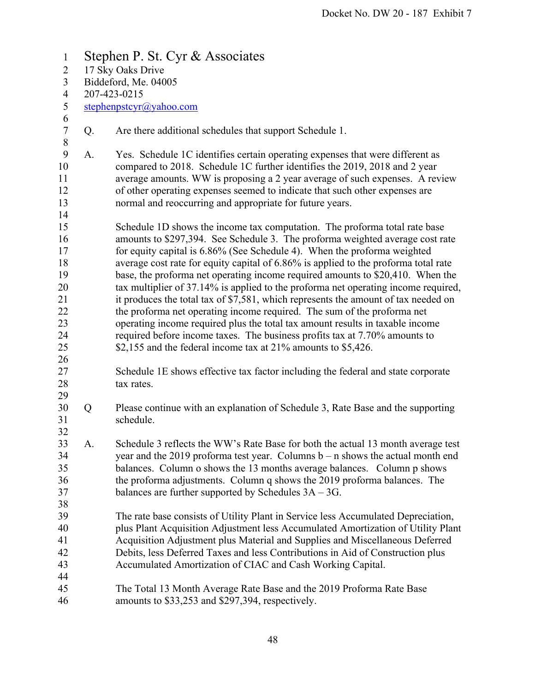1 Stephen P. St. Cyr & Associates 2 17 Sky Oaks Drive 3 Biddeford, Me. 04005 4 207-423-0215 5 stephenpstcyr@yahoo.com 6 7 Q. Are there additional schedules that support Schedule 1. 8 9 A. Yes. Schedule 1C identifies certain operating expenses that were different as 10 compared to 2018. Schedule 1C further identifies the 2019, 2018 and 2 year 11 average amounts. WW is proposing a 2 year average of such expenses. A review 12 of other operating expenses seemed to indicate that such other expenses are 13 normal and reoccurring and appropriate for future years. 14 15 Schedule 1D shows the income tax computation. The proforma total rate base 16 amounts to \$297,394. See Schedule 3. The proforma weighted average cost rate 17 for equity capital is 6.86% (See Schedule 4). When the proforma weighted 18 average cost rate for equity capital of 6.86% is applied to the proforma total rate 19 base, the proforma net operating income required amounts to \$20,410. When the 20 tax multiplier of 37.14% is applied to the proforma net operating income required, 21 it produces the total tax of \$7,581, which represents the amount of tax needed on 22 the proforma net operating income required. The sum of the proforma net 23 operating income required plus the total tax amount results in taxable income 24 required before income taxes. The business profits tax at 7.70% amounts to 25 \$2,155 and the federal income tax at 21% amounts to \$5,426. 26 27 Schedule 1E shows effective tax factor including the federal and state corporate 28 tax rates. 29 30 Q Please continue with an explanation of Schedule 3, Rate Base and the supporting 31 schedule. 32 33 A. Schedule 3 reflects the WW's Rate Base for both the actual 13 month average test 34 year and the 2019 proforma test year. Columns b – n shows the actual month end 35 balances. Column o shows the 13 months average balances. Column p shows 36 the proforma adjustments. Column q shows the 2019 proforma balances. The 37 balances are further supported by Schedules 3A – 3G. 38 39 The rate base consists of Utility Plant in Service less Accumulated Depreciation, 40 plus Plant Acquisition Adjustment less Accumulated Amortization of Utility Plant 41 Acquisition Adjustment plus Material and Supplies and Miscellaneous Deferred 42 Debits, less Deferred Taxes and less Contributions in Aid of Construction plus 43 Accumulated Amortization of CIAC and Cash Working Capital. 44 45 The Total 13 Month Average Rate Base and the 2019 Proforma Rate Base 46 amounts to \$33,253 and \$297,394, respectively.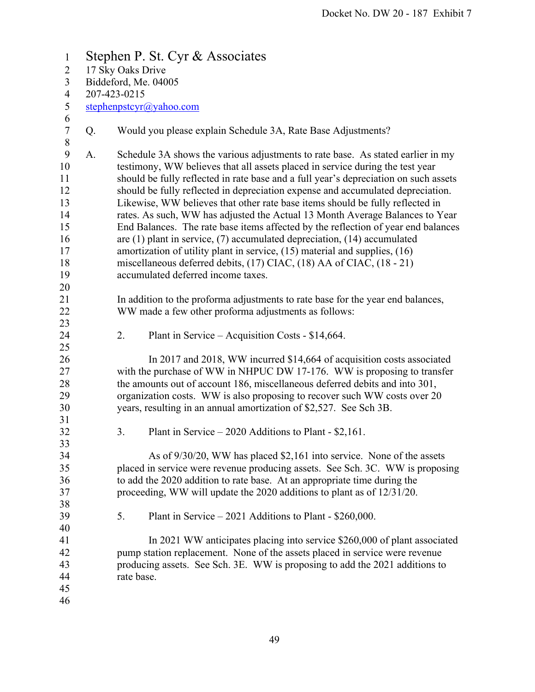1 Stephen P. St. Cyr & Associates 2 17 Sky Oaks Drive 3 Biddeford, Me. 04005 4 207-423-0215 5 stephenpstcyr@yahoo.com 6 7 Q. Would you please explain Schedule 3A, Rate Base Adjustments? 8 9 A. Schedule 3A shows the various adjustments to rate base. As stated earlier in my 10 testimony, WW believes that all assets placed in service during the test year 11 should be fully reflected in rate base and a full year's depreciation on such assets 12 should be fully reflected in depreciation expense and accumulated depreciation. 13 Likewise, WW believes that other rate base items should be fully reflected in 14 rates. As such, WW has adjusted the Actual 13 Month Average Balances to Year 15 End Balances. The rate base items affected by the reflection of year end balances 16 are (1) plant in service, (7) accumulated depreciation, (14) accumulated 17 amortization of utility plant in service, (15) material and supplies, (16) 18 miscellaneous deferred debits, (17) CIAC, (18) AA of CIAC, (18 - 21) 19 accumulated deferred income taxes. 20 21 In addition to the proforma adjustments to rate base for the year end balances, 22 WW made a few other proforma adjustments as follows: 23 24 2. Plant in Service – Acquisition Costs - \$14,664. 25 26 In 2017 and 2018, WW incurred \$14,664 of acquisition costs associated 27 with the purchase of WW in NHPUC DW 17-176. WW is proposing to transfer 28 the amounts out of account 186, miscellaneous deferred debits and into 301, 29 organization costs. WW is also proposing to recover such WW costs over 20 30 years, resulting in an annual amortization of \$2,527. See Sch 3B. 31 32 3. Plant in Service – 2020 Additions to Plant - \$2,161. 33 34 As of 9/30/20, WW has placed \$2,161 into service. None of the assets 35 placed in service were revenue producing assets. See Sch. 3C. WW is proposing 36 to add the 2020 addition to rate base. At an appropriate time during the 37 proceeding, WW will update the 2020 additions to plant as of 12/31/20. 38 39 5. Plant in Service – 2021 Additions to Plant - \$260,000. 40 41 In 2021 WW anticipates placing into service \$260,000 of plant associated 42 pump station replacement. None of the assets placed in service were revenue 43 producing assets. See Sch. 3E. WW is proposing to add the 2021 additions to 44 rate base. 45 46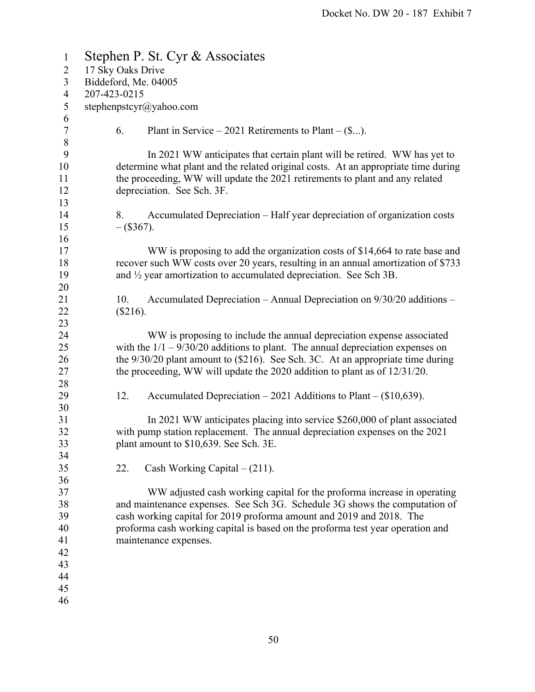| $\mathbf{1}$   | Stephen P. St. Cyr & Associates                                                      |
|----------------|--------------------------------------------------------------------------------------|
| $\overline{2}$ | 17 Sky Oaks Drive                                                                    |
| $\overline{3}$ | Biddeford, Me. 04005                                                                 |
| $\overline{4}$ | 207-423-0215                                                                         |
| 5              | stephenpstcyr@yahoo.com                                                              |
| 6              |                                                                                      |
| $\tau$         | 6.<br>Plant in Service – 2021 Retirements to Plant – $(\$).$                         |
| $\,8\,$        |                                                                                      |
| 9              | In 2021 WW anticipates that certain plant will be retired. WW has yet to             |
| 10             | determine what plant and the related original costs. At an appropriate time during   |
| 11             | the proceeding, WW will update the 2021 retirements to plant and any related         |
| 12             | depreciation. See Sch. 3F.                                                           |
| 13             |                                                                                      |
| 14             | Accumulated Depreciation – Half year depreciation of organization costs<br>8.        |
| 15             | $-(\$367).$                                                                          |
| 16             |                                                                                      |
| 17             | WW is proposing to add the organization costs of \$14,664 to rate base and           |
| 18             | recover such WW costs over 20 years, resulting in an annual amortization of \$733    |
| 19             | and $\frac{1}{2}$ year amortization to accumulated depreciation. See Sch 3B.         |
| 20             |                                                                                      |
| 21             | Accumulated Depreciation - Annual Depreciation on 9/30/20 additions -<br>10.         |
| 22             | $(\$216).$                                                                           |
| 23             |                                                                                      |
| 24             | WW is proposing to include the annual depreciation expense associated                |
| 25             | with the $1/1 - 9/30/20$ additions to plant. The annual depreciation expenses on     |
| 26             | the $9/30/20$ plant amount to $(\$216)$ . See Sch. 3C. At an appropriate time during |
| 27             | the proceeding, WW will update the 2020 addition to plant as of 12/31/20.            |
| 28             |                                                                                      |
| 29             | 12.<br>Accumulated Depreciation $-2021$ Additions to Plant $-(\$10,639)$ .           |
| 30             |                                                                                      |
| 31             | In 2021 WW anticipates placing into service \$260,000 of plant associated            |
| 32             | with pump station replacement. The annual depreciation expenses on the 2021          |
| 33             | plant amount to \$10,639. See Sch. 3E.                                               |
| 34             |                                                                                      |
| 35             | Cash Working Capital $- (211)$ .<br>22.                                              |
| 36             |                                                                                      |
| 37             | WW adjusted cash working capital for the proforma increase in operating              |
| 38             | and maintenance expenses. See Sch 3G. Schedule 3G shows the computation of           |
| 39             | cash working capital for 2019 proforma amount and 2019 and 2018. The                 |
| 40             | proforma cash working capital is based on the proforma test year operation and       |
| 41             | maintenance expenses.                                                                |
| 42             |                                                                                      |
| 43             |                                                                                      |
| 44             |                                                                                      |
| 45             |                                                                                      |
| 46             |                                                                                      |
|                |                                                                                      |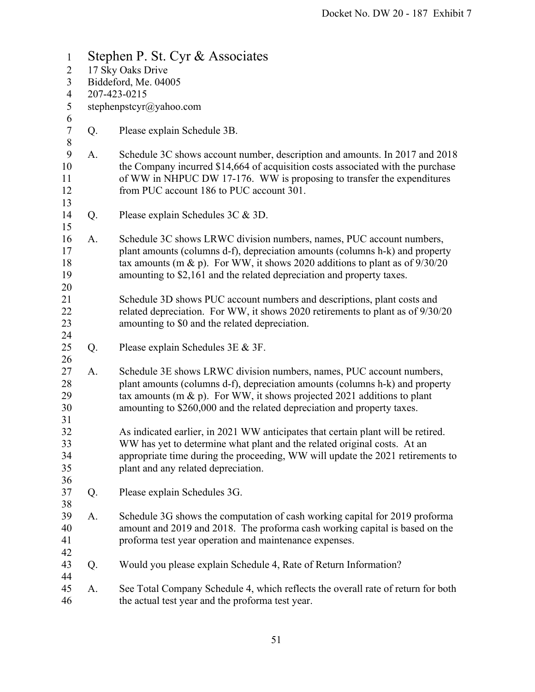1 Stephen P. St. Cyr & Associates 2 17 Sky Oaks Drive 3 Biddeford, Me. 04005 4 207-423-0215 5 stephenpstcyr@yahoo.com 6 7 Q. Please explain Schedule 3B. 8 9 A. Schedule 3C shows account number, description and amounts. In 2017 and 2018 10 the Company incurred \$14,664 of acquisition costs associated with the purchase 11 of WW in NHPUC DW 17-176. WW is proposing to transfer the expenditures 12 from PUC account 186 to PUC account 301. 13 14 Q. Please explain Schedules 3C & 3D. 15 16 A. Schedule 3C shows LRWC division numbers, names, PUC account numbers, 17 plant amounts (columns d-f), depreciation amounts (columns h-k) and property 18 tax amounts (m & p). For WW, it shows 2020 additions to plant as of 9/30/20 19 amounting to \$2,161 and the related depreciation and property taxes. 20 21 Schedule 3D shows PUC account numbers and descriptions, plant costs and 22 related depreciation. For WW, it shows 2020 retirements to plant as of 9/30/20 23 amounting to \$0 and the related depreciation. 24 25 Q. Please explain Schedules 3E & 3F. 26 27 A. Schedule 3E shows LRWC division numbers, names, PUC account numbers, 28 plant amounts (columns d-f), depreciation amounts (columns h-k) and property 29 tax amounts (m & p). For WW, it shows projected 2021 additions to plant 30 amounting to \$260,000 and the related depreciation and property taxes. 31 32 As indicated earlier, in 2021 WW anticipates that certain plant will be retired. 33 WW has yet to determine what plant and the related original costs. At an 34 appropriate time during the proceeding, WW will update the 2021 retirements to 35 plant and any related depreciation. 36 37 Q. Please explain Schedules 3G. 38 39 A. Schedule 3G shows the computation of cash working capital for 2019 proforma 40 amount and 2019 and 2018. The proforma cash working capital is based on the 41 proforma test year operation and maintenance expenses. 42 43 Q. Would you please explain Schedule 4, Rate of Return Information? 44 45 A. See Total Company Schedule 4, which reflects the overall rate of return for both 46 the actual test year and the proforma test year.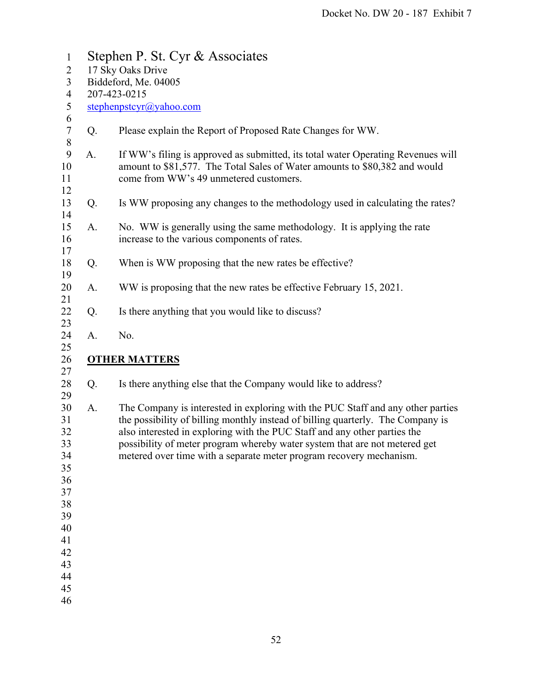| $\mathbf{1}$                                                                                 |    | Stephen P. St. Cyr & Associates                                                                                                                                                                                                                                                                                                                                                                      |  |  |  |  |  |
|----------------------------------------------------------------------------------------------|----|------------------------------------------------------------------------------------------------------------------------------------------------------------------------------------------------------------------------------------------------------------------------------------------------------------------------------------------------------------------------------------------------------|--|--|--|--|--|
| $\overline{2}$                                                                               |    | 17 Sky Oaks Drive                                                                                                                                                                                                                                                                                                                                                                                    |  |  |  |  |  |
| 3                                                                                            |    | Biddeford, Me. 04005                                                                                                                                                                                                                                                                                                                                                                                 |  |  |  |  |  |
| $\overline{4}$                                                                               |    | 207-423-0215                                                                                                                                                                                                                                                                                                                                                                                         |  |  |  |  |  |
| 5<br>6                                                                                       |    | stephenpstcyr@yahoo.com                                                                                                                                                                                                                                                                                                                                                                              |  |  |  |  |  |
| $\sqrt{ }$<br>$\,8\,$                                                                        | Q. | Please explain the Report of Proposed Rate Changes for WW.                                                                                                                                                                                                                                                                                                                                           |  |  |  |  |  |
| 9<br>10<br>11<br>12                                                                          | A. | If WW's filing is approved as submitted, its total water Operating Revenues will<br>amount to \$81,577. The Total Sales of Water amounts to \$80,382 and would<br>come from WW's 49 unmetered customers.                                                                                                                                                                                             |  |  |  |  |  |
| 13<br>14                                                                                     | Q. | Is WW proposing any changes to the methodology used in calculating the rates?                                                                                                                                                                                                                                                                                                                        |  |  |  |  |  |
| 15<br>16<br>17                                                                               | A. | No. WW is generally using the same methodology. It is applying the rate<br>increase to the various components of rates.                                                                                                                                                                                                                                                                              |  |  |  |  |  |
| 18<br>19                                                                                     | Q. | When is WW proposing that the new rates be effective?                                                                                                                                                                                                                                                                                                                                                |  |  |  |  |  |
| 20<br>21                                                                                     | A. | WW is proposing that the new rates be effective February 15, 2021.                                                                                                                                                                                                                                                                                                                                   |  |  |  |  |  |
| 22<br>23                                                                                     | Q. | Is there anything that you would like to discuss?                                                                                                                                                                                                                                                                                                                                                    |  |  |  |  |  |
| 24<br>25                                                                                     | A. | No.                                                                                                                                                                                                                                                                                                                                                                                                  |  |  |  |  |  |
| 26<br>27                                                                                     |    | <b>OTHER MATTERS</b>                                                                                                                                                                                                                                                                                                                                                                                 |  |  |  |  |  |
| 28<br>29                                                                                     | Q. | Is there anything else that the Company would like to address?                                                                                                                                                                                                                                                                                                                                       |  |  |  |  |  |
| 30<br>31<br>32<br>33<br>34<br>35<br>36<br>37<br>38<br>39<br>40<br>41<br>42<br>43<br>44<br>45 | A. | The Company is interested in exploring with the PUC Staff and any other parties<br>the possibility of billing monthly instead of billing quarterly. The Company is<br>also interested in exploring with the PUC Staff and any other parties the<br>possibility of meter program whereby water system that are not metered get<br>metered over time with a separate meter program recovery mechanism. |  |  |  |  |  |
| 46                                                                                           |    |                                                                                                                                                                                                                                                                                                                                                                                                      |  |  |  |  |  |